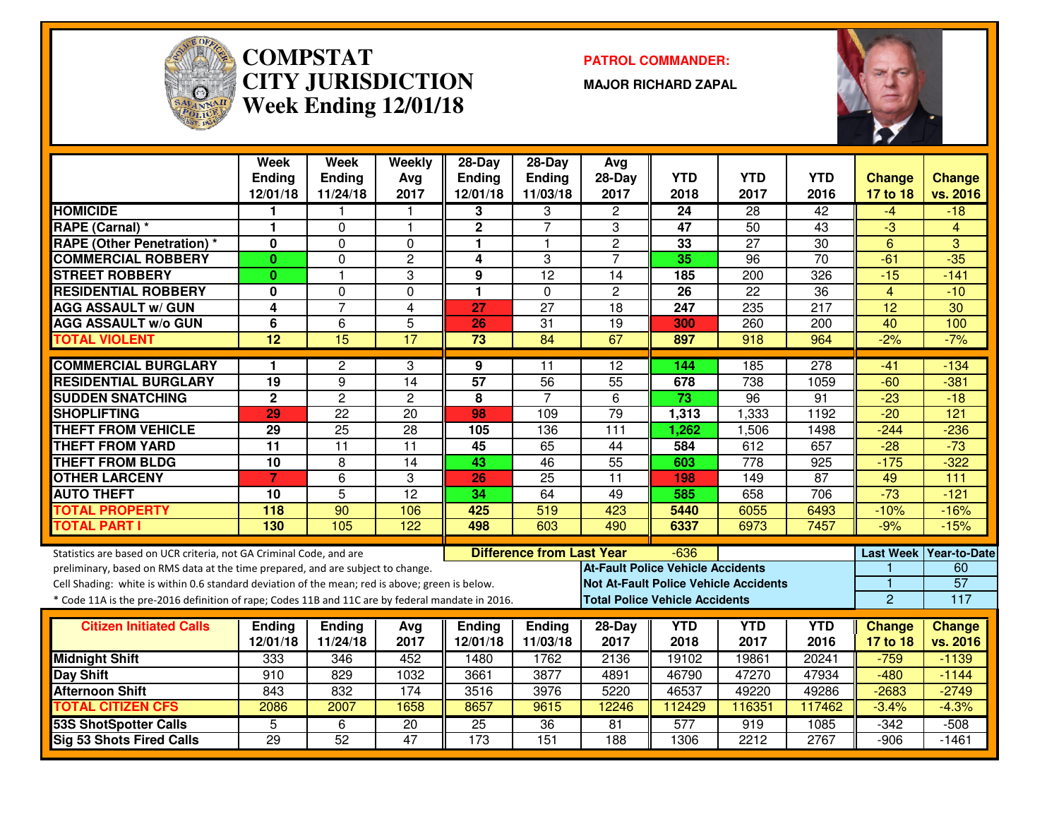

#### **COMPSTAT PATROL COMMANDER: CITY JURISDICTIONWeek Ending 12/01/18**

**MAJOR RICHARD ZAPAL**



|                                                                                                  | Week<br>Ending  | Week<br>Ending  | Weekly<br>Avg   | $28 - Day$<br><b>Ending</b> | $28-Day$<br><b>Ending</b>        | Avg<br>28-Day                            | <b>YTD</b> | <b>YTD</b>                                   | <b>YTD</b>      | <b>Change</b>  | <b>Change</b>            |
|--------------------------------------------------------------------------------------------------|-----------------|-----------------|-----------------|-----------------------------|----------------------------------|------------------------------------------|------------|----------------------------------------------|-----------------|----------------|--------------------------|
|                                                                                                  | 12/01/18        | 11/24/18        | 2017            | 12/01/18                    | 11/03/18                         | 2017                                     | 2018       | 2017                                         | 2016            | 17 to 18       | vs. 2016                 |
| <b>HOMICIDE</b>                                                                                  | 1.              |                 |                 | 3                           | 3                                | $\overline{c}$                           | 24         | 28                                           | $\overline{42}$ | $-4$           | $-18$                    |
| RAPE (Carnal) *                                                                                  | 1.              | $\Omega$        | $\mathbf{1}$    | $\overline{2}$              | $\overline{7}$                   | 3                                        | 47         | 50                                           | $\overline{43}$ | $\overline{3}$ | $\overline{4}$           |
| <b>RAPE (Other Penetration) *</b>                                                                | $\mathbf{0}$    | $\Omega$        | $\Omega$        | 1                           | $\overline{1}$                   | $\overline{2}$                           | 33         | $\overline{27}$                              | $\overline{30}$ | 6              | 3                        |
| <b>COMMERCIAL ROBBERY</b>                                                                        | $\mathbf{0}$    | $\Omega$        | $\overline{c}$  | 4                           | 3                                | $\overline{7}$                           | 35         | 96                                           | $\overline{70}$ | $-61$          | $-35$                    |
| <b>STREET ROBBERY</b>                                                                            | $\mathbf{0}$    | $\mathbf{1}$    | 3               | 9                           | 12                               | 14                                       | 185        | 200                                          | 326             | $-15$          | $-141$                   |
| <b>RESIDENTIAL ROBBERY</b>                                                                       | 0               | $\Omega$        | 0               | 1                           | $\mathbf{0}$                     | $\overline{c}$                           | 26         | 22                                           | 36              | $\overline{4}$ | $-10$                    |
| <b>AGG ASSAULT w/ GUN</b>                                                                        | 4               | $\overline{7}$  | 4               | 27                          | $\overline{27}$                  | 18                                       | 247        | 235                                          | 217             | 12             | $\overline{30}$          |
| <b>AGG ASSAULT w/o GUN</b>                                                                       | 6               | 6               | $\overline{5}$  | 26                          | $\overline{31}$                  | $\overline{19}$                          | 300        | 260                                          | 200             | 40             | 100                      |
| <b>TOTAL VIOLENT</b>                                                                             | $\overline{12}$ | $\overline{15}$ | 17              | $\overline{73}$             | 84                               | 67                                       | 897        | 918                                          | 964             | $-2%$          | $-7%$                    |
| <b>COMMERCIAL BURGLARY</b>                                                                       | 1               | $\mathbf{2}$    | 3               | 9                           | 11                               | $\overline{12}$                          | 144        | 185                                          | 278             | $-41$          | $-134$                   |
| <b>RESIDENTIAL BURGLARY</b>                                                                      | $\overline{19}$ | 9               | $\overline{14}$ | $\overline{57}$             | 56                               | 55                                       | 678        | 738                                          | 1059            | $-60$          | $-381$                   |
| <b>SUDDEN SNATCHING</b>                                                                          | $\mathbf 2$     | $\overline{c}$  | $\overline{2}$  | 8                           | $\overline{7}$                   | 6                                        | 73         | 96                                           | 91              | $-23$          | $-18$                    |
| <b>SHOPLIFTING</b>                                                                               | 29              | 22              | 20              | 98                          | 109                              | $\overline{79}$                          | 1,313      | 1,333                                        | 1192            | $-20$          | 121                      |
| <b>THEFT FROM VEHICLE</b>                                                                        | 29              | $\overline{25}$ | $\overline{28}$ | 105                         | 136                              | $\overline{111}$                         | 1,262      | 1,506                                        | 1498            | $-244$         | $-236$                   |
| <b>THEFT FROM YARD</b>                                                                           | $\overline{11}$ | $\overline{11}$ | $\overline{11}$ | 45                          | 65                               | 44                                       | 584        | 612                                          | 657             | $-28$          | $-73$                    |
| <b>THEFT FROM BLDG</b>                                                                           | $\overline{10}$ | 8               | $\overline{14}$ | 43                          | 46                               | 55                                       | 603        | $\overline{778}$                             | 925             | $-175$         | $-322$                   |
| <b>OTHER LARCENY</b>                                                                             | $\overline{7}$  | 6               | 3               | 26                          | $\overline{25}$                  | $\overline{11}$                          | 198        | 149                                          | $\overline{87}$ | 49             | $\overline{111}$         |
| <b>AUTO THEFT</b>                                                                                | 10              | $\overline{5}$  | $\overline{12}$ | $\overline{34}$             | 64                               | 49                                       | 585        | 658                                          | 706             | $-73$          | $-121$                   |
| <b>TOTAL PROPERTY</b>                                                                            | 118             | 90              | 106             | 425                         | 519                              | 423                                      | 5440       | 6055                                         | 6493            | $-10%$         | $-16%$                   |
| <b>TOTAL PART I</b>                                                                              | 130             | 105             | 122             | 498                         | 603                              | 490                                      | 6337       | 6973                                         | 7457            | $-9%$          | $-15%$                   |
| Statistics are based on UCR criteria, not GA Criminal Code, and are                              |                 |                 |                 |                             | <b>Difference from Last Year</b> |                                          | $-636$     |                                              |                 |                | Last Week   Year-to-Date |
| preliminary, based on RMS data at the time prepared, and are subject to change.                  |                 |                 |                 |                             |                                  | <b>At-Fault Police Vehicle Accidents</b> |            |                                              |                 |                | 60                       |
| Cell Shading: white is within 0.6 standard deviation of the mean; red is above; green is below.  |                 |                 |                 |                             |                                  |                                          |            | <b>Not At-Fault Police Vehicle Accidents</b> |                 |                | $\overline{57}$          |
| * Code 11A is the pre-2016 definition of rape; Codes 11B and 11C are by federal mandate in 2016. |                 |                 |                 |                             |                                  | <b>Total Police Vehicle Accidents</b>    |            |                                              |                 | $\overline{2}$ | 117                      |
| <b>Citizen Initiated Calls</b>                                                                   | <b>Endina</b>   | <b>Ending</b>   | Avg             | Ending                      | Ending                           | 28-Day                                   | <b>YTD</b> | <b>YTD</b>                                   | <b>YTD</b>      | <b>Change</b>  | <b>Change</b>            |
|                                                                                                  | 12/01/18        | 11/24/18        | 2017            | 12/01/18                    | 11/03/18                         | 2017                                     | 2018       | 2017                                         | 2016            | 17 to 18       | vs. 2016                 |
| <b>Midnight Shift</b>                                                                            | 333             | 346             | 452             | 1480                        | 1762                             | 2136                                     | 19102      | 19861                                        | 20241           | $-759$         | $-1139$                  |
| <b>Day Shift</b>                                                                                 | 910             | 829             | 1032            | 3661                        | 3877                             | 4891                                     | 46790      | 47270                                        | 47934           | $-480$         | $-1144$                  |
| <b>Afternoon Shift</b>                                                                           | 843             | 832             | 174             | 3516                        | 3976                             | 5220                                     | 46537      | 49220                                        | 49286           | $-2683$        | $-2749$                  |
| <b>TOTAL CITIZEN CFS</b>                                                                         | 2086            | 2007            | 1658            | 8657                        | 9615                             | 12246                                    | 112429     | 116351                                       | 117462          | $-3.4%$        | $-4.3%$                  |
| <b>53S ShotSpotter Calls</b>                                                                     | 5               | 6               | 20              | $\overline{25}$             | 36                               | 81                                       | 577        | 919                                          | 1085            | $-342$         | $-508$                   |
| <b>Sig 53 Shots Fired Calls</b>                                                                  | $\overline{29}$ | 52              | 47              | $\overline{173}$            | 151                              | 188                                      | 1306       | 2212                                         | 2767            | $-906$         | $-1461$                  |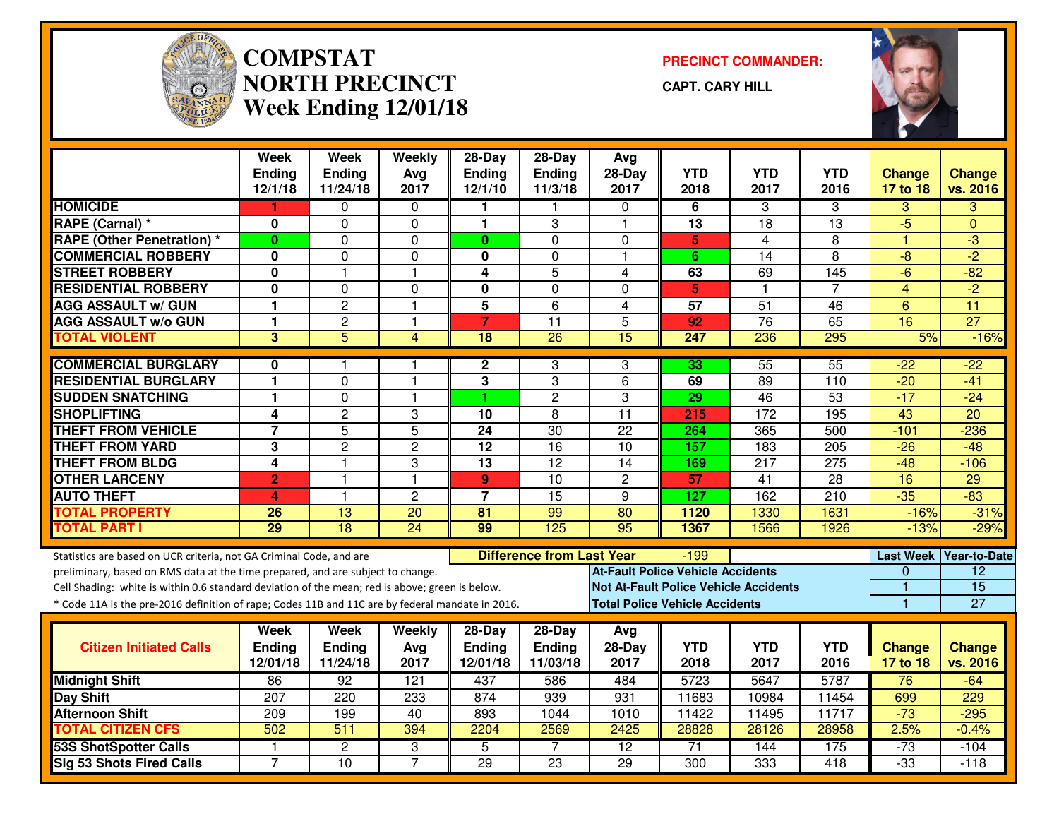

#### **COMPSTAT PRECINCT COMMANDER: NORTH PRECINCTWeek Ending 12/01/18**

**CAPT. CARY HILL**



|                                                                                                  | Week<br><b>Ending</b><br>12/1/18 | Week<br><b>Ending</b><br>11/24/18 | Weekly<br>Avg<br>2017 | 28-Day<br><b>Ending</b><br>12/1/10 | 28-Day<br>Ending<br>11/3/18      | Avg<br>28-Day<br>2017                    | <b>YTD</b><br>2018 | <b>YTD</b><br>2017 | <b>YTD</b><br>2016 | <b>Change</b><br>17 to 18 | <b>Change</b><br>vs. 2016 |
|--------------------------------------------------------------------------------------------------|----------------------------------|-----------------------------------|-----------------------|------------------------------------|----------------------------------|------------------------------------------|--------------------|--------------------|--------------------|---------------------------|---------------------------|
| <b>HOMICIDE</b>                                                                                  | 1                                | $\Omega$                          | $\mathbf{0}$          | 1                                  | -1                               | $\Omega$                                 | 6                  | 3                  | 3                  | 3                         | 3                         |
| RAPE (Carnal) *                                                                                  | 0                                | $\Omega$                          | 0                     | $\blacktriangleleft$               | 3                                | $\overline{1}$                           | $\overline{13}$    | 18                 | 13                 | $-5$                      | $\Omega$                  |
| <b>RAPE (Other Penetration) *</b>                                                                | $\mathbf{0}$                     | $\Omega$                          | 0                     | $\mathbf{0}$                       | $\Omega$                         | 0                                        | 5                  | 4                  | 8                  | 1                         | $-3$                      |
| <b>COMMERCIAL ROBBERY</b>                                                                        | 0                                | $\Omega$                          | 0                     | 0                                  | $\mathbf 0$                      | $\overline{1}$                           | 6                  | $\overline{14}$    | 8                  | $-8$                      | $-2$                      |
| <b>STREET ROBBERY</b>                                                                            | 0                                | 1                                 | 1                     | 4                                  | 5                                | 4                                        | 63                 | 69                 | 145                | -6                        | $-82$                     |
| <b>RESIDENTIAL ROBBERY</b>                                                                       | $\mathbf{0}$                     | $\Omega$                          | $\Omega$              | $\mathbf 0$                        | $\mathbf 0$                      | $\Omega$                                 | 5                  | $\mathbf{1}$       | $\overline{7}$     | $\overline{4}$            | $-2$                      |
| <b>AGG ASSAULT w/ GUN</b>                                                                        | 1                                | $\overline{c}$                    | 1                     | 5                                  | $6\phantom{1}6$                  | 4                                        | $\overline{57}$    | $\overline{51}$    | 46                 | $6\phantom{1}6$           | 11                        |
| <b>AGG ASSAULT w/o GUN</b>                                                                       | 1                                | $\overline{c}$                    | 1                     | $\overline{7}$                     | $\overline{11}$                  | $\overline{5}$                           | 92                 | 76                 | 65                 | 16                        | $\overline{27}$           |
| <b>TOTAL VIOLENT</b>                                                                             | 3                                | 5                                 | $\overline{4}$        | $\overline{18}$                    | 26                               | 15                                       | 247                | 236                | 295                | 5%                        | $-16%$                    |
| <b>COMMERCIAL BURGLARY</b>                                                                       | 0                                | 1.                                | 1                     | $\mathbf{2}$                       | 3                                | 3                                        | 33                 | 55                 | $\overline{55}$    | $-22$                     | $-22$                     |
| <b>RESIDENTIAL BURGLARY</b>                                                                      | $\mathbf{1}$                     | 0                                 | 1                     | 3                                  | 3                                | 6                                        | 69                 | 89                 | 110                | $-20$                     | $-41$                     |
| <b>SUDDEN SNATCHING</b>                                                                          | 1                                | $\Omega$                          | 1                     | 1                                  | $\overline{2}$                   | 3                                        | 29                 | 46                 | 53                 | $-17$                     | $-24$                     |
| <b>SHOPLIFTING</b>                                                                               | 4                                | $\overline{c}$                    | 3                     | 10                                 | 8                                | $\overline{11}$                          | 215                | 172                | 195                | 43                        | 20                        |
| <b>THEFT FROM VEHICLE</b>                                                                        | $\overline{7}$                   | 5                                 | 5                     | $\overline{24}$                    | $\overline{30}$                  | $\overline{22}$                          | 264                | 365                | 500                | $-101$                    | $-236$                    |
| <b>THEFT FROM YARD</b>                                                                           | 3                                | $\overline{c}$                    | $\overline{c}$        | $\overline{12}$                    | $\overline{16}$                  | $\overline{10}$                          | 157                | 183                | 205                | $-26$                     | $-48$                     |
| <b>THEFT FROM BLDG</b>                                                                           | 4                                | $\overline{1}$                    | 3                     | $\overline{13}$                    | $\overline{12}$                  | $\overline{14}$                          | 169                | $\overline{217}$   | $\overline{275}$   | $-48$                     | $-106$                    |
| <b>OTHER LARCENY</b>                                                                             | $\overline{2}$                   | 1                                 | 1                     | $\mathbf{9}$                       | 10                               | $\overline{2}$                           | 57                 | 41                 | 28                 | 16                        | 29                        |
| <b>AUTO THEFT</b>                                                                                | 4                                | $\mathbf{1}$                      | $\overline{c}$        | $\overline{7}$                     | 15                               | 9                                        | 127                | 162                | 210                | $-35$                     | $-83$                     |
| <b>TOTAL PROPERTY</b>                                                                            | 26                               | $\overline{13}$                   | $\overline{20}$       | $\overline{81}$                    | 99                               | $\overline{80}$                          | 1120               | 1330               | 1631               | $-16%$                    | $-31%$                    |
| <b>TOTAL PART I</b>                                                                              | 29                               | $\overline{18}$                   | $\overline{24}$       | 99                                 | 125                              | $\overline{95}$                          | 1367               | 1566               | 1926               | $-13%$                    | $-29%$                    |
| Statistics are based on UCR criteria, not GA Criminal Code, and are                              |                                  |                                   |                       |                                    | <b>Difference from Last Year</b> |                                          | $-199$             |                    |                    | <b>Last Week</b>          | Year-to-Date              |
| preliminary, based on RMS data at the time prepared, and are subject to change.                  |                                  |                                   |                       |                                    |                                  | <b>At-Fault Police Vehicle Accidents</b> |                    |                    |                    | $\Omega$                  | $\overline{12}$           |
| Cell Shading: white is within 0.6 standard deviation of the mean; red is above; green is below.  |                                  |                                   |                       |                                    |                                  | Not At-Fault Police Vehicle Accidents    |                    |                    |                    | 1                         | 15                        |
| * Code 11A is the pre-2016 definition of rape; Codes 11B and 11C are by federal mandate in 2016. |                                  |                                   |                       |                                    |                                  | <b>Total Police Vehicle Accidents</b>    |                    |                    |                    | $\mathbf{1}$              | 27                        |
|                                                                                                  | Week                             | Week                              | Weekly                | 28-Day                             | 28-Day                           | Avg                                      |                    |                    |                    |                           |                           |
| <b>Citizen Initiated Calls</b>                                                                   | <b>Ending</b>                    | Ending                            | Avg                   | <b>Ending</b>                      | <b>Ending</b>                    | 28-Day                                   | <b>YTD</b>         | <b>YTD</b>         | <b>YTD</b>         | <b>Change</b>             | <b>Change</b>             |
|                                                                                                  | 12/01/18                         | 11/24/18                          | 2017                  | 12/01/18                           | 11/03/18                         | 2017                                     | 2018               | 2017               | 2016               | 17 to 18                  | vs. 2016                  |
| <b>Midnight Shift</b>                                                                            | 86                               | 92                                | 121                   | 437                                | 586                              | 484                                      | 5723               | 5647               | 5787               | 76                        | $-64$                     |
| Day Shift                                                                                        | 207                              | 220                               | 233                   | 874                                | 939                              | 931                                      | 11683              | 10984              | 11454              | 699                       | 229                       |
| <b>Afternoon Shift</b>                                                                           | 209                              | 199                               | 40                    | 893                                | 1044                             | 1010                                     | 11422              | 11495              | 11717              | $-73$                     | $-295$                    |
| <b>TOTAL CITIZEN CFS</b>                                                                         | 502                              | $\overline{511}$                  | 394                   | 2204                               | 2569                             | 2425                                     | 28828              | 28126              | 28958              | 2.5%                      | $-0.4%$                   |
| <b>53S ShotSpotter Calls</b>                                                                     | $\mathbf{1}$                     | $\overline{2}$                    | 3                     | 5                                  | $\overline{7}$                   | $\overline{12}$                          | $\overline{71}$    | 144                | 175                | $-73$                     | $-104$                    |
| <b>Sig 53 Shots Fired Calls</b>                                                                  | $\overline{7}$                   | $\overline{10}$                   | $\overline{7}$        | 29                                 | $\overline{23}$                  | $\overline{29}$                          | 300                | 333                | 418                | $-33$                     | $-118$                    |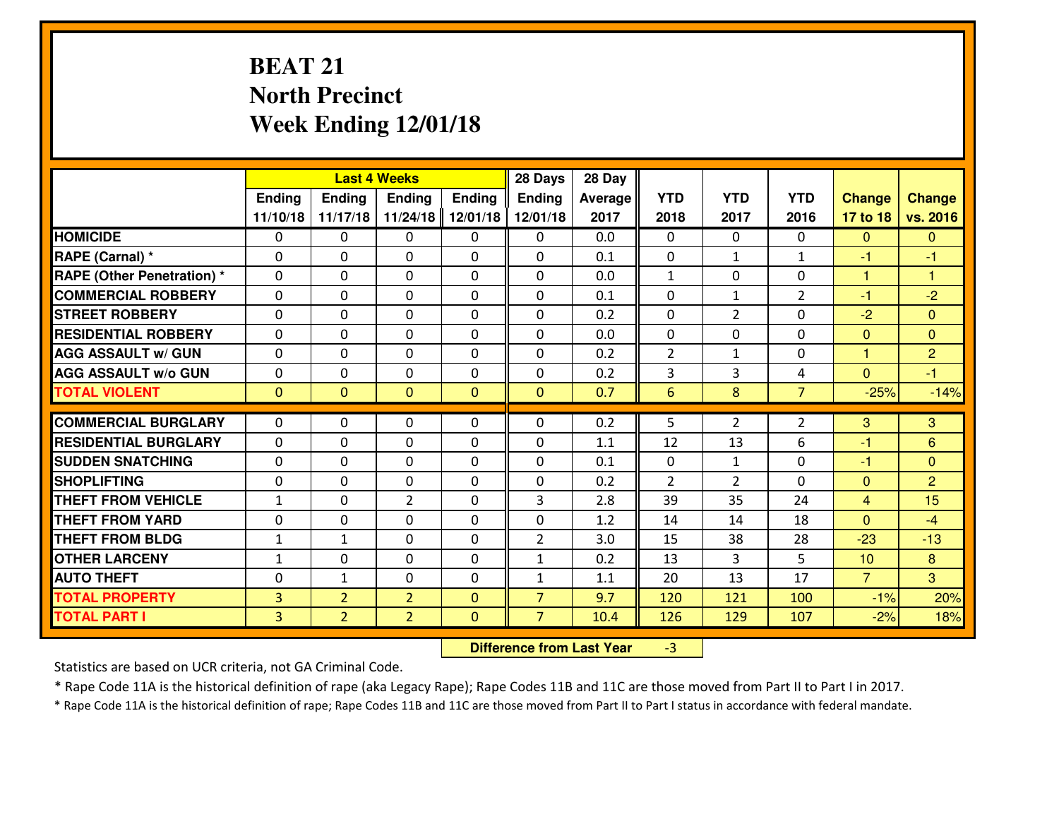# **BEAT 21 North PrecinctWeek Ending 12/01/18**

|                                              |                                  |                                  | <b>Last 4 Weeks</b>              |                              | 28 Days                          | 28 Day      |                |                |                |                |                      |
|----------------------------------------------|----------------------------------|----------------------------------|----------------------------------|------------------------------|----------------------------------|-------------|----------------|----------------|----------------|----------------|----------------------|
|                                              | Ending                           | <b>Ending</b>                    | Ending                           | <b>Ending</b>                | <b>Ending</b>                    | Average     | <b>YTD</b>     | <b>YTD</b>     | <b>YTD</b>     | <b>Change</b>  | <b>Change</b>        |
|                                              | 11/10/18                         | 11/17/18                         | 11/24/18                         | 12/01/18                     | 12/01/18                         | 2017        | 2018           | 2017           | 2016           | 17 to 18       | vs. 2016             |
| <b>HOMICIDE</b>                              | $\Omega$                         | 0                                | 0                                | $\Omega$                     | 0                                | 0.0         | 0              | $\Omega$       | $\Omega$       | $\Omega$       | $\Omega$             |
| RAPE (Carnal) *                              | $\mathbf{0}$                     | 0                                | $\mathbf{0}$                     | 0                            | 0                                | 0.1         | $\mathbf{0}$   | $\mathbf{1}$   | $\mathbf{1}$   | $-1$           | $-1$                 |
| <b>RAPE (Other Penetration) *</b>            | $\mathbf{0}$                     | 0                                | $\mathbf{0}$                     | $\Omega$                     | $\Omega$                         | 0.0         | $\mathbf{1}$   | 0              | 0              | 1              | $\blacktriangleleft$ |
| <b>COMMERCIAL ROBBERY</b>                    | $\mathbf{0}$                     | 0                                | 0                                | $\Omega$                     | $\Omega$                         | 0.1         | $\mathbf{0}$   | $\mathbf{1}$   | $\overline{2}$ | $-1$           | $-2$                 |
| <b>STREET ROBBERY</b>                        | $\mathbf{0}$                     | 0                                | $\mathbf 0$                      | 0                            | $\Omega$                         | 0.2         | $\mathbf{0}$   | 2              | 0              | $-2$           | $\mathbf{0}$         |
| <b>RESIDENTIAL ROBBERY</b>                   | $\Omega$                         | 0                                | $\mathbf 0$                      | 0                            | 0                                | 0.0         | 0              | 0              | 0              | $\mathbf{0}$   | $\Omega$             |
| <b>AGG ASSAULT W/ GUN</b>                    | 0                                | 0                                | $\mathbf 0$                      | 0                            | 0                                | 0.2         | $\overline{2}$ | $\mathbf{1}$   | 0              | $\mathbf{1}$   | $\overline{2}$       |
| <b>AGG ASSAULT W/o GUN</b>                   | 0                                | 0                                | $\mathbf 0$                      | 0                            | 0                                | 0.2         | 3              | $\overline{3}$ | 4              | $\mathbf{0}$   | $-1$                 |
| <b>TOTAL VIOLENT</b>                         | $\mathbf{0}$                     | $\overline{0}$                   | $\mathbf{0}$                     | $\mathbf{0}$                 | $\mathbf{0}$                     | 0.7         | $6\phantom{1}$ | 8              | $\overline{7}$ | $-25%$         | $-14%$               |
| <b>COMMERCIAL BURGLARY</b>                   | $\mathbf{0}$                     | 0                                | 0                                | 0                            | $\Omega$                         | 0.2         | 5              | $\overline{2}$ | $\overline{2}$ | 3              | 3                    |
| <b>RESIDENTIAL BURGLARY</b>                  | $\Omega$                         | 0                                | $\mathbf{0}$                     | 0                            | $\Omega$                         | 1.1         | 12             | 13             | 6              | -1             | 6                    |
| <b>SUDDEN SNATCHING</b>                      | $\mathbf{0}$                     | 0                                | 0                                | 0                            | $\Omega$                         | 0.1         | $\mathbf{0}$   | $\mathbf{1}$   | 0              | -1             | $\Omega$             |
| <b>SHOPLIFTING</b>                           |                                  |                                  |                                  |                              |                                  |             |                |                |                |                |                      |
|                                              |                                  |                                  |                                  |                              |                                  |             |                |                |                |                |                      |
|                                              | 0                                | 0                                | $\mathbf 0$                      | $\Omega$                     | 0                                | 0.2         | $\overline{2}$ | $\overline{2}$ | $\Omega$       | $\mathbf{0}$   | $\overline{2}$       |
| <b>THEFT FROM VEHICLE</b>                    | $\mathbf{1}$                     | 0                                | $\overline{2}$                   | $\Omega$                     | 3                                | 2.8         | 39             | 35             | 24             | $\overline{4}$ | 15                   |
| <b>THEFT FROM YARD</b>                       | 0                                | 0                                | $\mathbf 0$                      | $\Omega$                     | 0                                | 1.2         | 14             | 14             | 18             | $\overline{0}$ | $-4$                 |
| <b>THEFT FROM BLDG</b>                       | $\mathbf{1}$                     | $\mathbf{1}$                     | 0                                | 0                            | $\overline{2}$                   | 3.0         | 15             | 38             | 28             | $-23$          | $-13$                |
| <b>OTHER LARCENY</b>                         | $\mathbf{1}$                     | 0                                | $\mathbf 0$                      | 0                            | $\mathbf{1}$                     | 0.2         | 13             | 3              | 5              | 10             | 8                    |
| <b>AUTO THEFT</b>                            | 0                                | $\mathbf{1}$                     | 0                                | 0                            | $\mathbf{1}$                     | 1.1         | 20             | 13             | 17             | $\overline{7}$ | $\overline{3}$       |
| <b>TOTAL PROPERTY</b><br><b>TOTAL PART I</b> | $\overline{3}$<br>$\overline{3}$ | $\overline{2}$<br>$\overline{2}$ | $\overline{2}$<br>$\overline{2}$ | $\mathbf{0}$<br>$\mathbf{0}$ | $\overline{7}$<br>$\overline{7}$ | 9.7<br>10.4 | 120<br>126     | 121<br>129     | 100<br>107     | $-1%$<br>$-2%$ | 20%<br>18%           |

 **Difference from Last Year**-3

Statistics are based on UCR criteria, not GA Criminal Code.

\* Rape Code 11A is the historical definition of rape (aka Legacy Rape); Rape Codes 11B and 11C are those moved from Part II to Part I in 2017.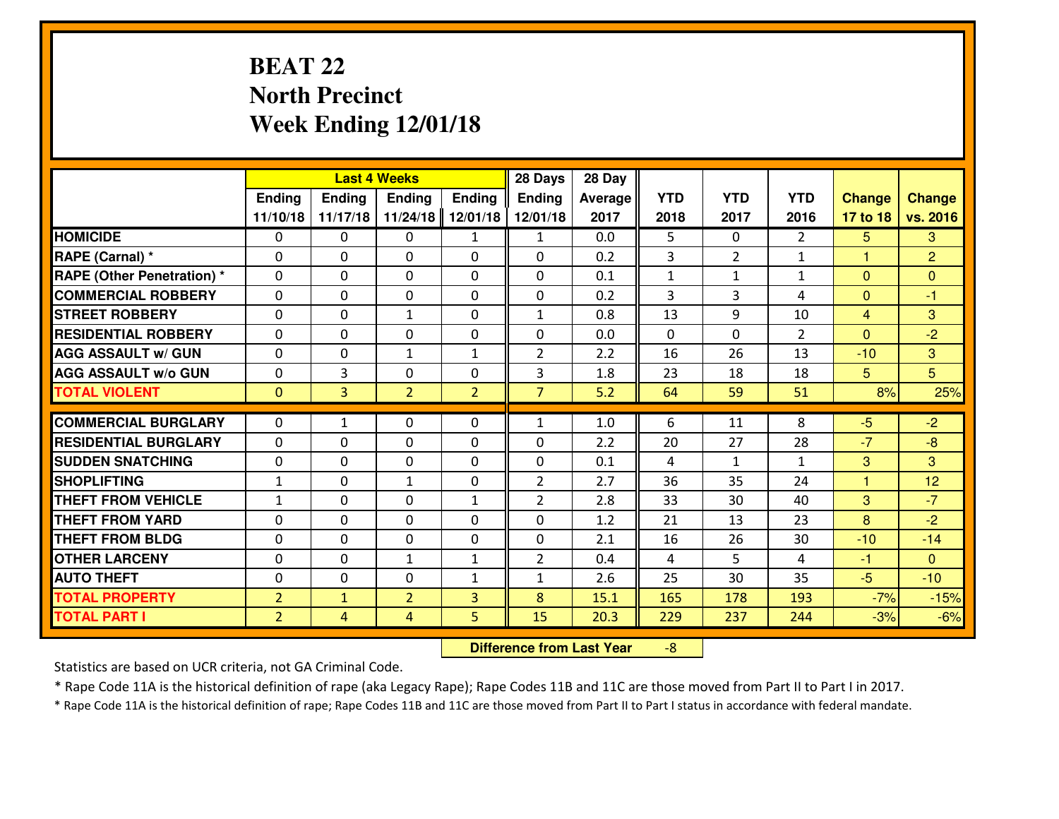# **BEAT 22 North PrecinctWeek Ending 12/01/18**

|                                  |                |               | <b>Last 4 Weeks</b> |                | 28 Days        | 28 Day  |                |                |                |                |                |
|----------------------------------|----------------|---------------|---------------------|----------------|----------------|---------|----------------|----------------|----------------|----------------|----------------|
|                                  | Ending         | <b>Ending</b> | <b>Ending</b>       | Ending         | <b>Ending</b>  | Average | <b>YTD</b>     | <b>YTD</b>     | <b>YTD</b>     | <b>Change</b>  | <b>Change</b>  |
|                                  | 11/10/18       | 11/17/18      | 11/24/18            | 12/01/18       | 12/01/18       | 2017    | 2018           | 2017           | 2016           | 17 to 18       | vs. 2016       |
| <b>HOMICIDE</b>                  | $\Omega$       | 0             | 0                   | $\mathbf{1}$   | 1              | 0.0     | 5.             | $\Omega$       | $\mathfrak{D}$ | 5              | 3              |
| RAPE (Carnal) *                  | $\Omega$       | 0             | $\Omega$            | $\Omega$       | $\Omega$       | 0.2     | 3              | $\overline{2}$ | $\mathbf{1}$   | 1              | $\overline{2}$ |
| <b>RAPE (Other Penetration)*</b> | 0              | 0             | $\mathbf 0$         | 0              | 0              | 0.1     | $\mathbf{1}$   | $\mathbf{1}$   | $\mathbf{1}$   | $\overline{0}$ | $\mathbf{0}$   |
| <b>COMMERCIAL ROBBERY</b>        | 0              | 0             | $\mathbf 0$         | 0              | 0              | 0.2     | 3              | 3              | 4              | $\mathbf{0}$   | $-1$           |
| <b>STREET ROBBERY</b>            | $\mathbf{0}$   | 0             | 1                   | 0              | $\mathbf{1}$   | 0.8     | 13             | 9              | 10             | $\overline{4}$ | 3              |
| <b>RESIDENTIAL ROBBERY</b>       | 0              | 0             | $\mathbf 0$         | $\mathbf{0}$   | 0              | 0.0     | $\mathbf{0}$   | $\Omega$       | $\overline{2}$ | $\Omega$       | $-2$           |
| <b>AGG ASSAULT W/ GUN</b>        | 0              | 0             | 1                   | $\mathbf{1}$   | $\overline{2}$ | 2.2     | 16             | 26             | 13             | $-10$          | 3              |
| <b>AGG ASSAULT W/o GUN</b>       | 0              | 3             | 0                   | 0              | 3              | 1.8     | 23             | 18             | 18             | 5              | 5              |
| <b>TOTAL VIOLENT</b>             | $\mathbf{0}$   | 3             | $\overline{2}$      | $\overline{2}$ | $\overline{7}$ | 5.2     | 64             | 59             | 51             | 8%             | 25%            |
| <b>COMMERCIAL BURGLARY</b>       | $\Omega$       | $\mathbf{1}$  | $\mathbf{0}$        | 0              | $\mathbf{1}$   | 1.0     | 6              | 11             | 8              | $-5$           | $-2$           |
| <b>RESIDENTIAL BURGLARY</b>      | $\mathbf{0}$   | 0             | 0                   | 0              | 0              | 2.2     | 20             | 27             | 28             | $-7$           | $-8$           |
| <b>SUDDEN SNATCHING</b>          | $\mathbf{0}$   | 0             | $\mathbf 0$         | 0              | 0              | 0.1     | 4              | $\mathbf{1}$   | $\mathbf{1}$   | 3              | $\mathbf{3}$   |
| <b>SHOPLIFTING</b>               | $\mathbf{1}$   | 0             | 1                   | 0              | $\overline{2}$ | 2.7     | 36             | 35             | 24             | 1              | 12             |
| <b>THEFT FROM VEHICLE</b>        | $\mathbf{1}$   | 0             | $\mathbf 0$         | $\mathbf{1}$   | $\overline{2}$ | 2.8     | 33             | 30             | 40             | 3              | $-7$           |
| <b>THEFT FROM YARD</b>           | 0              | 0             | $\mathbf 0$         | 0              | 0              | 1.2     | 21             | 13             | 23             | 8              | $-2$           |
| <b>THEFT FROM BLDG</b>           | 0              | 0             | $\mathbf 0$         | $\mathbf{0}$   | 0              | 2.1     | 16             | 26             | 30             | $-10$          | $-14$          |
| <b>OTHER LARCENY</b>             | 0              | 0             | $\mathbf{1}$        | $\mathbf{1}$   | $\overline{2}$ | 0.4     | $\overline{4}$ | 5              | 4              | $-1$           | $\overline{0}$ |
| <b>AUTO THEFT</b>                | 0              | 0             | $\mathbf 0$         | $\mathbf{1}$   | $\mathbf{1}$   | 2.6     | 25             | 30             | 35             | $-5$           | $-10$          |
| <b>TOTAL PROPERTY</b>            | $\overline{2}$ | $\mathbf{1}$  | $\overline{2}$      | 3              | 8              | 15.1    | 165            | 178            | 193            | $-7%$          | $-15%$         |
| <b>TOTAL PART I</b>              | $\overline{2}$ | 4             | 4                   | 5              | 15             | 20.3    | 229            | 237            | 244            | $-3%$          | $-6%$          |
|                                  |                |               |                     |                |                |         |                |                |                |                |                |

 **Difference from Last Year**-8

Statistics are based on UCR criteria, not GA Criminal Code.

\* Rape Code 11A is the historical definition of rape (aka Legacy Rape); Rape Codes 11B and 11C are those moved from Part II to Part I in 2017.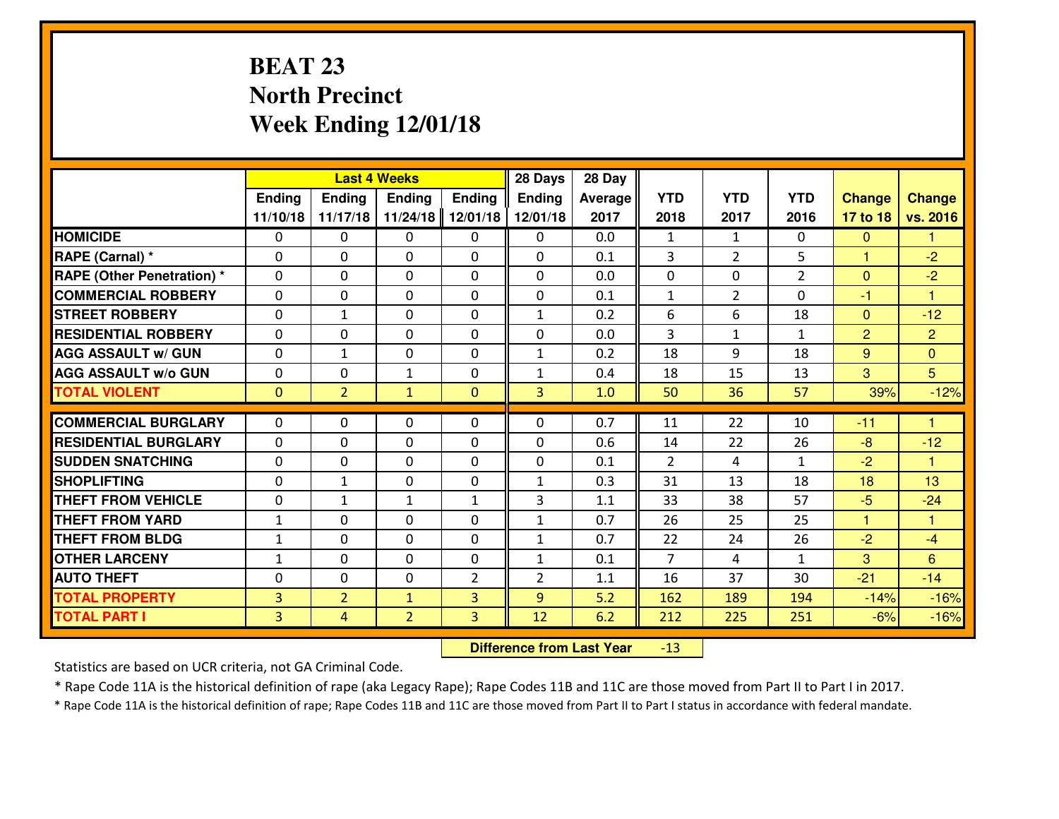# **BEAT 23 North PrecinctWeek Ending 12/01/18**

|                                   |                |                | <b>Last 4 Weeks</b> |              | 28 Days        | 28 Day  |                |                |                |                |                      |
|-----------------------------------|----------------|----------------|---------------------|--------------|----------------|---------|----------------|----------------|----------------|----------------|----------------------|
|                                   | Ending         | <b>Ending</b>  | <b>Ending</b>       | Ending       | <b>Ending</b>  | Average | <b>YTD</b>     | <b>YTD</b>     | <b>YTD</b>     | <b>Change</b>  | <b>Change</b>        |
|                                   | 11/10/18       | 11/17/18       | 11/24/18            | 12/01/18     | 12/01/18       | 2017    | 2018           | 2017           | 2016           | 17 to 18       | vs. 2016             |
| <b>HOMICIDE</b>                   | $\Omega$       | 0              | $\Omega$            | 0            | $\Omega$       | 0.0     | 1              | $\mathbf{1}$   | 0              | $\mathbf{0}$   | 1                    |
| RAPE (Carnal) *                   | 0              | 0              | $\mathbf{0}$        | 0            | $\Omega$       | 0.1     | 3              | $\overline{2}$ | 5              | $\mathbf{1}$   | $-2$                 |
| <b>RAPE (Other Penetration) *</b> | $\Omega$       | 0              | $\mathbf{0}$        | $\Omega$     | $\Omega$       | 0.0     | 0              | $\Omega$       | $\overline{2}$ | $\mathbf{0}$   | $-2$                 |
| <b>COMMERCIAL ROBBERY</b>         | 0              | 0              | 0                   | 0            | 0              | 0.1     | $\mathbf{1}$   | $\overline{2}$ | $\Omega$       | $-1$           | $\mathbf{1}$         |
| <b>STREET ROBBERY</b>             | $\Omega$       | $\mathbf{1}$   | $\mathbf 0$         | 0            | $\mathbf{1}$   | 0.2     | 6              | 6              | 18             | $\overline{0}$ | $-12$                |
| <b>RESIDENTIAL ROBBERY</b>        | $\Omega$       | 0              | $\mathbf 0$         | $\Omega$     | 0              | 0.0     | $\overline{3}$ | $\mathbf{1}$   | $\mathbf{1}$   | 2              | $\overline{2}$       |
| <b>AGG ASSAULT W/ GUN</b>         | 0              | 1              | $\mathbf 0$         | 0            | $\mathbf{1}$   | 0.2     | 18             | 9              | 18             | 9              | $\overline{0}$       |
| <b>AGG ASSAULT W/o GUN</b>        | 0              | 0              | $\mathbf{1}$        | 0            | $\mathbf{1}$   | 0.4     | 18             | 15             | 13             | 3              | 5 <sup>5</sup>       |
| <b>TOTAL VIOLENT</b>              | $\mathbf{0}$   | $\overline{2}$ | $\mathbf{1}$        | $\mathbf{0}$ | 3              | 1.0     | 50             | 36             | 57             | 39%            | $-12%$               |
| <b>COMMERCIAL BURGLARY</b>        | $\Omega$       | 0              | $\mathbf{0}$        | $\Omega$     | $\Omega$       | 0.7     | 11             | 22             | 10             | $-11$          | $\blacktriangleleft$ |
|                                   |                |                |                     |              |                |         |                |                |                |                |                      |
| <b>RESIDENTIAL BURGLARY</b>       | 0              | 0              | $\mathbf 0$         | 0            | 0              | 0.6     | 14             | 22             | 26             | $-8$           | $-12$                |
| <b>SUDDEN SNATCHING</b>           | 0              | 0              | $\mathbf 0$         | 0            | 0              | 0.1     | 2              | 4              | $\mathbf{1}$   | $-2$           | $\overline{1}$       |
| <b>SHOPLIFTING</b>                | 0              | $\mathbf{1}$   | $\mathbf 0$         | 0            | $\mathbf{1}$   | 0.3     | 31             | 13             | 18             | 18             | 13                   |
| <b>THEFT FROM VEHICLE</b>         | 0              | $\mathbf{1}$   | 1                   | $\mathbf{1}$ | 3              | 1.1     | 33             | 38             | 57             | $-5$           | $-24$                |
| <b>THEFT FROM YARD</b>            | $\mathbf 1$    | 0              | $\mathbf 0$         | 0            | $\mathbf{1}$   | 0.7     | 26             | 25             | 25             | $\mathbf{1}$   | $\mathbf{1}$         |
| <b>THEFT FROM BLDG</b>            | $\mathbf{1}$   | 0              | $\mathbf 0$         | 0            | $\mathbf{1}$   | 0.7     | 22             | 24             | 26             | $-2$           | $-4$                 |
| <b>OTHER LARCENY</b>              | $\mathbf{1}$   | 0              | $\mathbf 0$         | 0            | $\mathbf{1}$   | 0.1     | $\overline{7}$ | 4              | $\mathbf{1}$   | 3              | $6\overline{6}$      |
| <b>AUTO THEFT</b>                 | 0              | 0              | $\mathbf{0}$        | 2            | $\overline{2}$ | 1.1     | 16             | 37             | 30             | $-21$          | $-14$                |
| <b>TOTAL PROPERTY</b>             | $\overline{3}$ | $\overline{2}$ | $\mathbf{1}$        | 3            | 9              | 5.2     | 162            | 189            | 194            | $-14%$         | $-16%$               |
| <b>TOTAL PART I</b>               | $\overline{3}$ | $\overline{4}$ | $\overline{2}$      | 3            | 12             | 6.2     | 212            | 225            | 251            | $-6%$          | $-16%$               |

 **Difference from Last Year**-13

Statistics are based on UCR criteria, not GA Criminal Code.

\* Rape Code 11A is the historical definition of rape (aka Legacy Rape); Rape Codes 11B and 11C are those moved from Part II to Part I in 2017.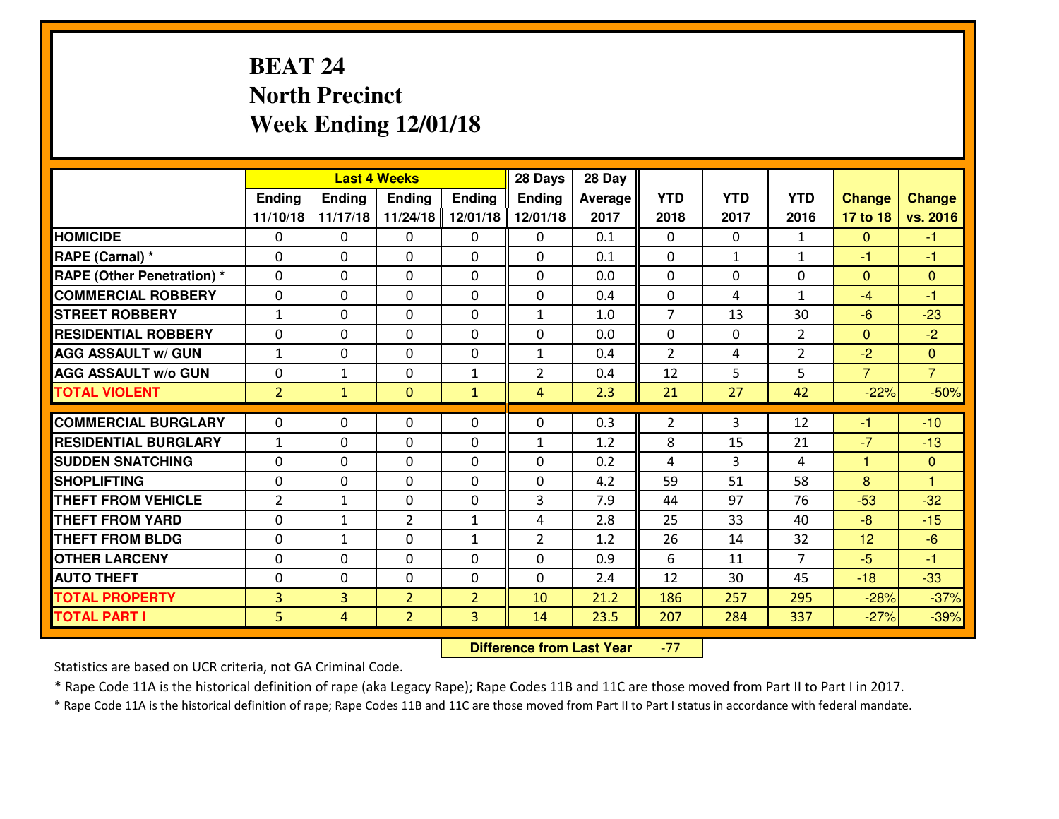# **BEAT 24 North PrecinctWeek Ending 12/01/18**

|                                  |                |               | <b>Last 4 Weeks</b> |                | 28 Days        | 28 Day  |                |              |                |                |                |
|----------------------------------|----------------|---------------|---------------------|----------------|----------------|---------|----------------|--------------|----------------|----------------|----------------|
|                                  | Ending         | <b>Ending</b> | <b>Ending</b>       | Ending         | <b>Ending</b>  | Average | <b>YTD</b>     | <b>YTD</b>   | <b>YTD</b>     | <b>Change</b>  | <b>Change</b>  |
|                                  | 11/10/18       | 11/17/18      | 11/24/18            | 12/01/18       | 12/01/18       | 2017    | 2018           | 2017         | 2016           | 17 to 18       | vs. 2016       |
| <b>HOMICIDE</b>                  | $\Omega$       | 0             | 0                   | 0              | $\Omega$       | 0.1     | 0              | $\Omega$     | $\mathbf{1}$   | $\Omega$       | -1             |
| RAPE (Carnal) *                  | $\Omega$       | 0             | $\Omega$            | $\Omega$       | $\Omega$       | 0.1     | $\Omega$       | $\mathbf{1}$ | $\mathbf{1}$   | $-1$           | -1             |
| <b>RAPE (Other Penetration)*</b> | 0              | 0             | $\mathbf 0$         | 0              | 0              | 0.0     | 0              | 0            | 0              | $\Omega$       | $\mathbf{0}$   |
| <b>COMMERCIAL ROBBERY</b>        | 0              | 0             | $\mathbf 0$         | 0              | 0              | 0.4     | 0              | 4            | $\mathbf{1}$   | $-4$           | $-1$           |
| <b>STREET ROBBERY</b>            | $\mathbf{1}$   | 0             | $\mathbf 0$         | 0              | $\mathbf{1}$   | 1.0     | $\overline{7}$ | 13           | 30             | $-6$           | $-23$          |
| <b>RESIDENTIAL ROBBERY</b>       | 0              | 0             | $\mathbf 0$         | 0              | 0              | 0.0     | $\mathbf 0$    | $\mathbf{0}$ | $\overline{2}$ | $\mathbf{0}$   | $-2$           |
| <b>AGG ASSAULT W/ GUN</b>        | $1\,$          | 0             | $\mathbf 0$         | 0              | $\mathbf{1}$   | 0.4     | $\overline{2}$ | 4            | $\overline{2}$ | $-2$           | $\overline{0}$ |
| <b>AGG ASSAULT W/o GUN</b>       | 0              | $\mathbf{1}$  | 0                   | 1              | $\overline{2}$ | 0.4     | 12             | 5            | 5              | $\overline{7}$ | $\overline{7}$ |
| <b>TOTAL VIOLENT</b>             | $\overline{2}$ | $\mathbf{1}$  | $\mathbf{O}$        | $\mathbf{1}$   | $\overline{4}$ | 2.3     | 21             | 27           | 42             | $-22%$         | $-50%$         |
| <b>COMMERCIAL BURGLARY</b>       | $\Omega$       | 0             | $\mathbf{0}$        | 0              | $\Omega$       | 0.3     | 2              | 3            | 12             | $-1$           | $-10$          |
| <b>RESIDENTIAL BURGLARY</b>      | $\mathbf{1}$   | 0             | 0                   | 0              | $\mathbf{1}$   | 1.2     | 8              | 15           | 21             | $-7$           | $-13$          |
| <b>SUDDEN SNATCHING</b>          | $\mathbf{0}$   | 0             | $\mathbf 0$         | 0              | 0              | 0.2     | 4              | 3            | 4              | 1              | $\mathbf{0}$   |
| <b>SHOPLIFTING</b>               | 0              | 0             | $\mathbf 0$         | 0              | 0              | 4.2     | 59             | 51           | 58             | 8              | 1              |
| <b>THEFT FROM VEHICLE</b>        | $\overline{2}$ | $\mathbf{1}$  | $\mathbf 0$         | 0              | 3              | 7.9     | 44             | 97           | 76             | $-53$          | $-32$          |
| <b>THEFT FROM YARD</b>           | 0              | 1             | $\overline{2}$      | $\mathbf{1}$   | 4              | 2.8     | 25             | 33           | 40             | $-8$           | $-15$          |
| <b>THEFT FROM BLDG</b>           | 0              | $\mathbf{1}$  | $\mathbf 0$         | $\mathbf{1}$   | $\overline{2}$ | 1.2     | 26             | 14           | 32             | 12             | $-6$           |
| <b>OTHER LARCENY</b>             | 0              | 0             | $\mathbf 0$         | 0              | 0              | 0.9     | 6              | 11           | $\overline{7}$ | $-5$           | $-1$           |
| <b>AUTO THEFT</b>                | 0              | 0             | $\mathbf 0$         | $\mathbf 0$    | 0              | 2.4     | 12             | 30           | 45             | $-18$          | $-33$          |
| <b>TOTAL PROPERTY</b>            | $\overline{3}$ | 3             | $\overline{2}$      | $\overline{2}$ | 10             | 21.2    | 186            | 257          | 295            | $-28%$         | $-37%$         |
| <b>TOTAL PART I</b>              | 5              | 4             | $\overline{2}$      | 3              | 14             | 23.5    | 207            | 284          | 337            | $-27%$         | $-39%$         |

 **Difference from Last Year**-77

Statistics are based on UCR criteria, not GA Criminal Code.

\* Rape Code 11A is the historical definition of rape (aka Legacy Rape); Rape Codes 11B and 11C are those moved from Part II to Part I in 2017.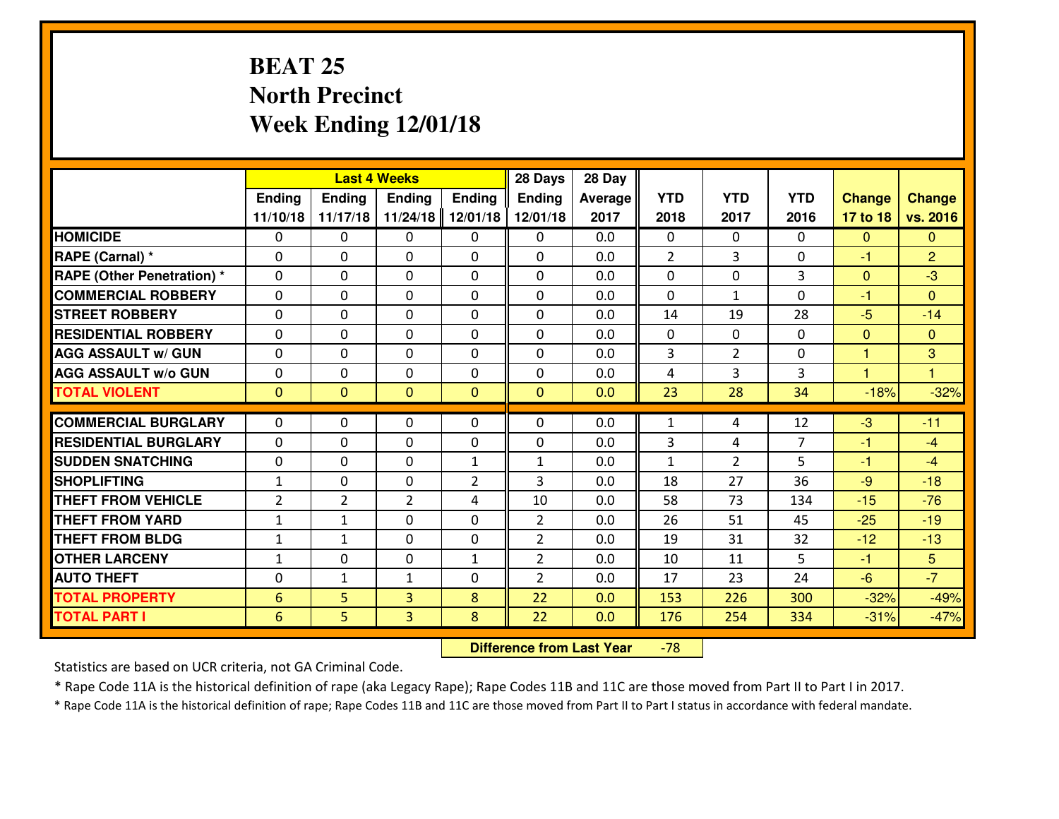# **BEAT 25 North PrecinctWeek Ending 12/01/18**

|                                   |                  |                | <b>Last 4 Weeks</b> |                | 28 Days        | 28 Day  |                |                |                |                      |                |
|-----------------------------------|------------------|----------------|---------------------|----------------|----------------|---------|----------------|----------------|----------------|----------------------|----------------|
|                                   | Ending           | <b>Ending</b>  | Ending              | Ending         | <b>Ending</b>  | Average | <b>YTD</b>     | <b>YTD</b>     | <b>YTD</b>     | <b>Change</b>        | <b>Change</b>  |
|                                   | 11/10/18         | 11/17/18       | 11/24/18            | 12/01/18       | 12/01/18       | 2017    | 2018           | 2017           | 2016           | 17 to 18             | vs. 2016       |
| <b>HOMICIDE</b>                   | 0                | $\Omega$       | $\Omega$            | 0              | $\Omega$       | 0.0     | $\Omega$       | $\Omega$       | 0              | $\mathbf{0}$         | $\mathbf{0}$   |
| RAPE (Carnal) *                   | $\Omega$         | $\Omega$       | $\Omega$            | 0              | 0              | 0.0     | $\overline{2}$ | 3              | $\Omega$       | $-1$                 | $\overline{2}$ |
| <b>RAPE (Other Penetration) *</b> | 0                | 0              | $\mathbf 0$         | 0              | 0              | 0.0     | $\mathbf 0$    | 0              | 3              | $\mathbf{0}$         | $-3$           |
| <b>COMMERCIAL ROBBERY</b>         | 0                | 0              | $\mathbf 0$         | $\Omega$       | 0              | 0.0     | $\mathbf 0$    | $\mathbf{1}$   | 0              | $-1$                 | $\mathbf{0}$   |
| <b>STREET ROBBERY</b>             | 0                | 0              | 0                   | $\Omega$       | 0              | 0.0     | 14             | 19             | 28             | $-5$                 | $-14$          |
| <b>RESIDENTIAL ROBBERY</b>        | 0                | 0              | 0                   | $\Omega$       | 0              | 0.0     | $\mathbf{0}$   | $\mathbf{0}$   | $\Omega$       | $\mathbf{0}$         | $\Omega$       |
| <b>AGG ASSAULT W/ GUN</b>         | 0                | 0              | $\mathbf 0$         | $\Omega$       | 0              | 0.0     | 3              | $\overline{2}$ | 0              | 1                    | 3              |
| <b>AGG ASSAULT W/o GUN</b>        | 0                | 0              | $\mathbf 0$         | $\Omega$       | 0              | 0.0     | 4              | 3              | 3              | $\blacktriangleleft$ | 1              |
| <b>TOTAL VIOLENT</b>              | $\boldsymbol{0}$ | $\overline{0}$ | $\overline{0}$      | $\mathbf{0}$   | $\overline{0}$ | 0.0     | 23             | 28             | 34             | $-18%$               | $-32%$         |
| <b>COMMERCIAL BURGLARY</b>        | $\Omega$         | 0              | $\mathbf{0}$        | 0              | 0              | 0.0     | $\mathbf{1}$   | 4              | 12             | $-3$                 | $-11$          |
| <b>RESIDENTIAL BURGLARY</b>       | $\Omega$         | 0              | 0                   | 0              | $\mathbf{0}$   | 0.0     | 3              | 4              | $\overline{7}$ | $-1$                 | $-4$           |
| <b>SUDDEN SNATCHING</b>           | 0                | 0              | 0                   | $\mathbf{1}$   | $\mathbf{1}$   | 0.0     | $\mathbf{1}$   | $\overline{2}$ | 5              | $-1$                 | $-4$           |
| <b>SHOPLIFTING</b>                | $\mathbf{1}$     | 0              | 0                   | $\overline{2}$ | 3              | 0.0     | 18             | 27             | 36             | $-9$                 | $-18$          |
| <b>THEFT FROM VEHICLE</b>         | $\overline{2}$   | $\overline{2}$ | $\overline{2}$      | 4              | 10             | 0.0     | 58             | 73             | 134            | $-15$                | $-76$          |
| <b>THEFT FROM YARD</b>            | $\mathbf 1$      | $\mathbf{1}$   | $\mathbf 0$         | 0              | $\overline{2}$ | 0.0     | 26             | 51             | 45             | $-25$                | $-19$          |
| <b>THEFT FROM BLDG</b>            | $\mathbf{1}$     | $\mathbf{1}$   | $\mathbf 0$         | $\Omega$       | $\overline{2}$ | 0.0     | 19             | 31             | 32             | $-12$                | $-13$          |
| <b>OTHER LARCENY</b>              | $\mathbf 1$      | 0              | $\mathbf 0$         | $\mathbf 1$    | $\overline{2}$ | 0.0     | 10             | 11             | 5              | $-1$                 | 5 <sup>5</sup> |
| <b>AUTO THEFT</b>                 | 0                | $\mathbf{1}$   | $\mathbf{1}$        | 0              | $\overline{2}$ | 0.0     | 17             | 23             | 24             | $-6$                 | $-7$           |
| <b>TOTAL PROPERTY</b>             | 6                | 5              | 3                   | 8              | 22             | 0.0     | 153            | 226            | 300            | $-32%$               | $-49%$         |
| <b>TOTAL PART I</b>               | 6                | 5              | 3                   | 8              | 22             | 0.0     | 176            | 254            | 334            | $-31%$               | $-47%$         |
|                                   |                  |                |                     |                |                |         |                |                |                |                      |                |

 **Difference from Last Year**-78

Statistics are based on UCR criteria, not GA Criminal Code.

\* Rape Code 11A is the historical definition of rape (aka Legacy Rape); Rape Codes 11B and 11C are those moved from Part II to Part I in 2017.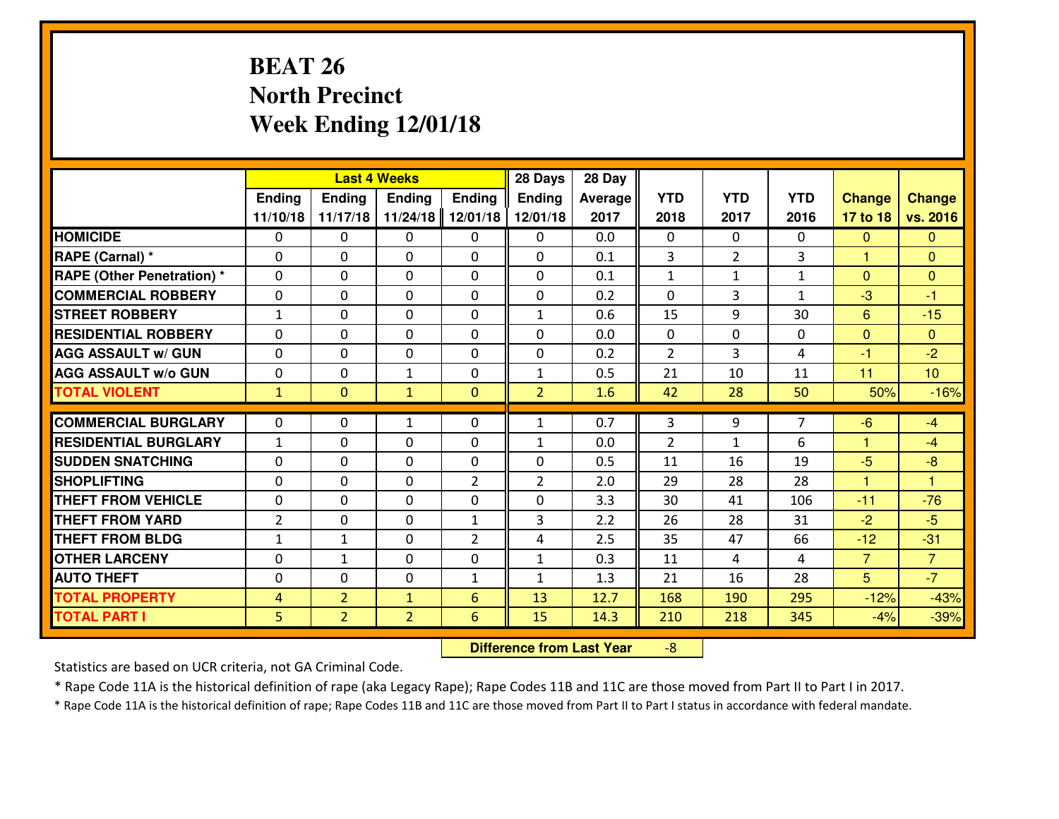# **BEAT 26 North PrecinctWeek Ending 12/01/18**

|                                  |                |                | <b>Last 4 Weeks</b> |                | 28 Days        | 28 Day         |                |                |              |                |                |
|----------------------------------|----------------|----------------|---------------------|----------------|----------------|----------------|----------------|----------------|--------------|----------------|----------------|
|                                  | Ending         | <b>Ending</b>  | <b>Ending</b>       | Ending         | <b>Ending</b>  | <b>Average</b> | <b>YTD</b>     | <b>YTD</b>     | <b>YTD</b>   | <b>Change</b>  | <b>Change</b>  |
|                                  | 11/10/18       | 11/17/18       | 11/24/18            | 12/01/18       | 12/01/18       | 2017           | 2018           | 2017           | 2016         | 17 to 18       | vs. 2016       |
| <b>HOMICIDE</b>                  | $\Omega$       | 0              | 0                   | 0              | $\Omega$       | 0.0            | 0              | $\Omega$       | 0            | $\Omega$       | $\Omega$       |
| RAPE (Carnal) *                  | $\Omega$       | 0              | $\Omega$            | $\Omega$       | $\Omega$       | 0.1            | 3              | $\overline{2}$ | 3            | 1              | $\Omega$       |
| <b>RAPE (Other Penetration)*</b> | 0              | 0              | $\mathbf 0$         | 0              | 0              | 0.1            | $\mathbf{1}$   | $\mathbf{1}$   | $\mathbf{1}$ | $\overline{0}$ | $\overline{0}$ |
| <b>COMMERCIAL ROBBERY</b>        | 0              | 0              | $\mathbf 0$         | 0              | 0              | 0.2            | 0              | 3              | $\mathbf{1}$ | $-3$           | $-1$           |
| <b>STREET ROBBERY</b>            | $\mathbf{1}$   | 0              | $\mathbf 0$         | 0              | $\mathbf{1}$   | 0.6            | 15             | 9              | 30           | $6\phantom{1}$ | $-15$          |
| <b>RESIDENTIAL ROBBERY</b>       | $\Omega$       | 0              | $\mathbf 0$         | 0              | 0              | 0.0            | $\mathbf{0}$   | 0              | 0            | $\mathbf{0}$   | $\mathbf{0}$   |
| <b>AGG ASSAULT W/ GUN</b>        | 0              | 0              | $\mathbf 0$         | 0              | 0              | 0.2            | $\overline{2}$ | $\overline{3}$ | 4            | $-1$           | $-2$           |
| <b>AGG ASSAULT W/o GUN</b>       | 0              | 0              | 1                   | $\mathbf{0}$   | $\mathbf{1}$   | 0.5            | 21             | 10             | 11           | 11             | 10             |
| <b>TOTAL VIOLENT</b>             | $\mathbf{1}$   | $\overline{0}$ | $\mathbf{1}$        | $\mathbf{0}$   | $\overline{2}$ | 1.6            | 42             | 28             | 50           | 50%            | $-16%$         |
| <b>COMMERCIAL BURGLARY</b>       | $\mathbf{0}$   | 0              | $\mathbf{1}$        | 0              | $\mathbf{1}$   | 0.7            | 3              | 9              | 7            | $-6$           | $-4$           |
| <b>RESIDENTIAL BURGLARY</b>      | $\mathbf{1}$   | 0              | 0                   | 0              | $\mathbf{1}$   | 0.0            | $\overline{2}$ | $\mathbf{1}$   | 6            | $\mathbf{1}$   | $-4$           |
| <b>SUDDEN SNATCHING</b>          | $\mathbf{0}$   | 0              | $\mathbf 0$         | 0              | 0              | 0.5            | 11             | 16             | 19           | $-5$           | $-8$           |
| <b>SHOPLIFTING</b>               | 0              | 0              | $\mathbf 0$         | $\overline{2}$ | $\overline{2}$ | 2.0            | 29             | 28             | 28           | 1              | $\overline{1}$ |
| <b>THEFT FROM VEHICLE</b>        | 0              | $\Omega$       | $\mathbf 0$         | 0              | 0              | 3.3            | 30             | 41             | 106          | $-11$          | $-76$          |
| <b>THEFT FROM YARD</b>           | $\overline{2}$ | 0              | $\mathbf 0$         | $\mathbf{1}$   | 3              | 2.2            | 26             | 28             | 31           | $-2$           | $-5$           |
| <b>THEFT FROM BLDG</b>           | $\mathbf{1}$   | $\mathbf{1}$   | $\mathbf 0$         | $\overline{2}$ | 4              | 2.5            | 35             | 47             | 66           | $-12$          | $-31$          |
| <b>OTHER LARCENY</b>             | 0              | $\mathbf{1}$   | $\mathbf 0$         | 0              | $\mathbf{1}$   | 0.3            | 11             | 4              | 4            | $\overline{7}$ | $\overline{7}$ |
| <b>AUTO THEFT</b>                | 0              | 0              | $\mathbf 0$         | $\mathbf{1}$   | $\mathbf{1}$   | 1.3            | 21             | 16             | 28           | 5              | $-7$           |
| <b>TOTAL PROPERTY</b>            | $\overline{4}$ | $\overline{2}$ | $\mathbf{1}$        | 6              | 13             | 12.7           | 168            | 190            | 295          | $-12%$         | $-43%$         |
| <b>TOTAL PART I</b>              | 5              | $\overline{2}$ | $\overline{2}$      | 6              | 15             | 14.3           | 210            | 218            | 345          | $-4%$          | $-39%$         |
|                                  |                |                |                     |                |                |                |                |                |              |                |                |

 **Difference from Last Year**-8

Statistics are based on UCR criteria, not GA Criminal Code.

\* Rape Code 11A is the historical definition of rape (aka Legacy Rape); Rape Codes 11B and 11C are those moved from Part II to Part I in 2017.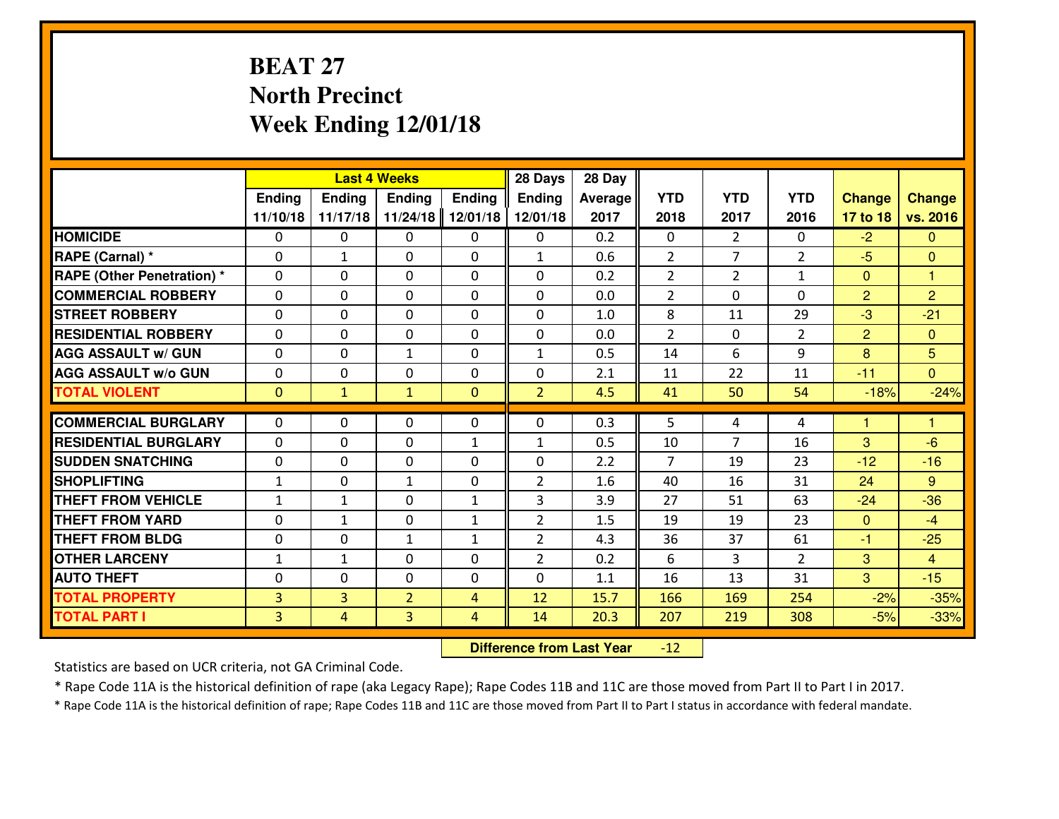# **BEAT 27 North PrecinctWeek Ending 12/01/18**

|                                   |                |                | <b>Last 4 Weeks</b> |                | 28 Days        | 28 Day  |                |                |                |                |                |
|-----------------------------------|----------------|----------------|---------------------|----------------|----------------|---------|----------------|----------------|----------------|----------------|----------------|
|                                   | Ending         | <b>Ending</b>  | <b>Ending</b>       | Ending         | <b>Ending</b>  | Average | <b>YTD</b>     | <b>YTD</b>     | <b>YTD</b>     | <b>Change</b>  | <b>Change</b>  |
|                                   | 11/10/18       | 11/17/18       | 11/24/18            | 12/01/18       | 12/01/18       | 2017    | 2018           | 2017           | 2016           | 17 to 18       | vs. 2016       |
| <b>HOMICIDE</b>                   | $\Omega$       | 0              | $\Omega$            | 0              | 0              | 0.2     | $\Omega$       | $\overline{2}$ | 0              | $-2$           | $\mathbf{0}$   |
| RAPE (Carnal) *                   | 0              | 1              | $\mathbf{0}$        | 0              | $\mathbf{1}$   | 0.6     | 2              | $\overline{7}$ | $\overline{2}$ | $-5$           | $\Omega$       |
| <b>RAPE (Other Penetration) *</b> | $\Omega$       | 0              | $\mathbf{0}$        | $\Omega$       | $\Omega$       | 0.2     | $\overline{2}$ | $\overline{2}$ | $\mathbf{1}$   | $\mathbf{0}$   | $\overline{1}$ |
| <b>COMMERCIAL ROBBERY</b>         | 0              | 0              | 0                   | 0              | 0              | 0.0     | $\overline{2}$ | $\Omega$       | $\Omega$       | $\overline{2}$ | $\overline{2}$ |
| <b>STREET ROBBERY</b>             | $\Omega$       | 0              | $\mathbf 0$         | 0              | 0              | 1.0     | 8              | 11             | 29             | $-3$           | $-21$          |
| <b>RESIDENTIAL ROBBERY</b>        | $\Omega$       | $\Omega$       | $\mathbf 0$         | $\Omega$       | 0              | 0.0     | $\overline{2}$ | $\Omega$       | $\overline{2}$ | $\overline{2}$ | $\overline{0}$ |
| <b>AGG ASSAULT W/ GUN</b>         | $\Omega$       | 0              | $\mathbf{1}$        | 0              | $\mathbf{1}$   | 0.5     | 14             | 6              | 9              | 8              | 5              |
| <b>AGG ASSAULT W/o GUN</b>        | 0              | 0              | $\mathbf 0$         | 0              | 0              | 2.1     | 11             | 22             | 11             | $-11$          | $\overline{0}$ |
| <b>TOTAL VIOLENT</b>              | $\mathbf{0}$   | $\mathbf{1}$   | $\mathbf{1}$        | $\mathbf{0}$   | $\overline{2}$ | 4.5     | 41             | 50             | 54             | $-18%$         | $-24%$         |
| <b>COMMERCIAL BURGLARY</b>        | $\Omega$       | 0              | $\mathbf{0}$        | $\Omega$       | $\Omega$       | 0.3     | 5              | 4              | 4              | 1              | 1              |
|                                   |                |                |                     |                |                |         |                | 7              |                |                |                |
| <b>RESIDENTIAL BURGLARY</b>       | 0              | 0              | $\mathbf 0$         | $\mathbf{1}$   | $\mathbf{1}$   | 0.5     | 10             |                | 16             | 3              | $-6$           |
| <b>SUDDEN SNATCHING</b>           | 0              | 0              | $\mathbf 0$         | 0              | 0              | 2.2     | $\overline{7}$ | 19             | 23<br>31       | $-12$          | $-16$          |
| <b>SHOPLIFTING</b>                | $\mathbf{1}$   | 0              | 1                   | 0              | $\overline{2}$ | 1.6     | 40             | 16             |                | 24             | $9^{\circ}$    |
| <b>THEFT FROM VEHICLE</b>         | $\mathbf{1}$   | $\mathbf{1}$   | $\mathbf 0$         | $\mathbf{1}$   | 3              | 3.9     | 27             | 51             | 63             | $-24$          | $-36$          |
| <b>THEFT FROM YARD</b>            | 0              | $\mathbf{1}$   | $\mathbf 0$         | $\mathbf{1}$   | $\overline{2}$ | 1.5     | 19             | 19             | 23             | $\overline{0}$ | $-4$           |
| <b>THEFT FROM BLDG</b>            | 0              | 0              | 1                   | $\mathbf{1}$   | $\overline{2}$ | 4.3     | 36             | 37             | 61             | $-1$           | $-25$          |
| <b>OTHER LARCENY</b>              | $\mathbf{1}$   | 1              | $\mathbf 0$         | 0              | $\overline{2}$ | 0.2     | 6              | 3              | $\overline{2}$ | 3              | $\overline{4}$ |
| <b>AUTO THEFT</b>                 | 0              | 0              | $\mathbf{0}$        | 0              | 0              | 1.1     | 16             | 13             | 31             | 3              | $-15$          |
| <b>TOTAL PROPERTY</b>             | $\overline{3}$ | 3              | $\overline{2}$      | 4              | 12             | 15.7    | 166            | 169            | 254            | $-2%$          | $-35%$         |
| <b>TOTAL PART I</b>               | $\overline{3}$ | $\overline{4}$ | 3                   | $\overline{4}$ | 14             | 20.3    | 207            | 219            | 308            | $-5%$          | $-33%$         |

 **Difference from Last Year** $-12$ 

Statistics are based on UCR criteria, not GA Criminal Code.

\* Rape Code 11A is the historical definition of rape (aka Legacy Rape); Rape Codes 11B and 11C are those moved from Part II to Part I in 2017.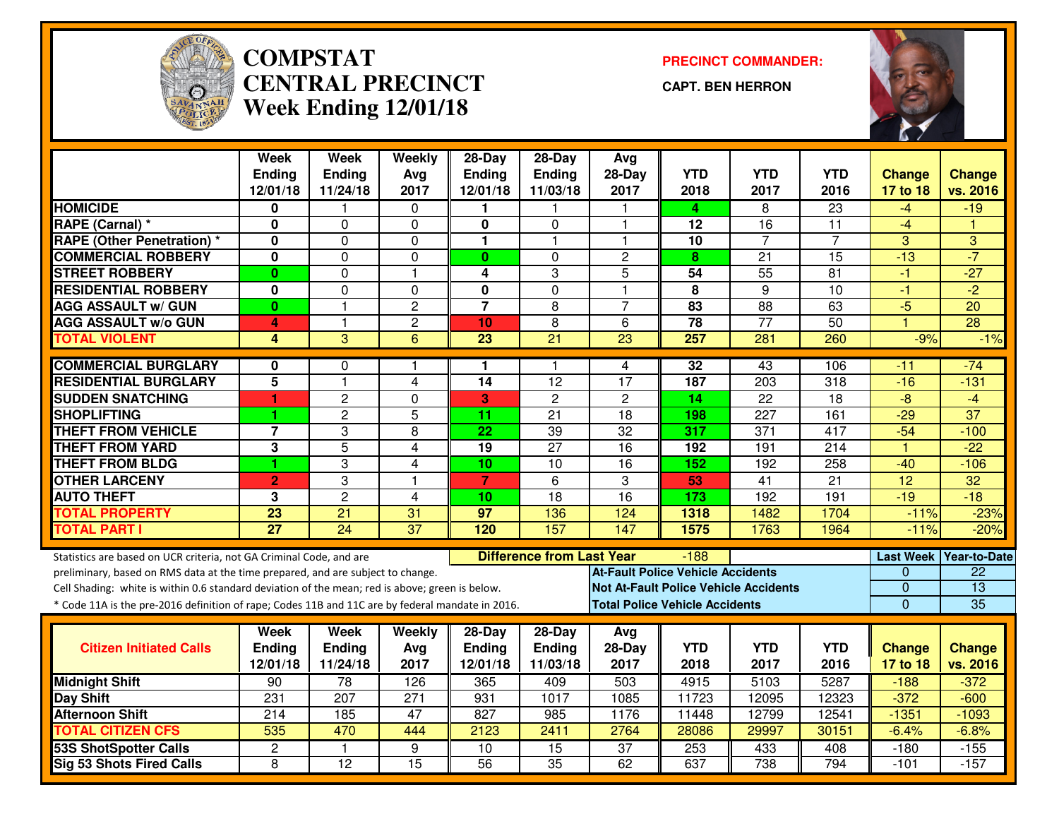

#### **COMPSTAT PRECINCT COMMANDER: CENTRAL PRECINCTWeek Ending 12/01/18**

**CAPT. BEN HERRON**



|                                                                                                  | <b>Week</b>             | <b>Week</b>     | Weekly                  | $28-Day$                | $28-Day$                         | Avg                                      |                         |                                              |                  |                  |                     |
|--------------------------------------------------------------------------------------------------|-------------------------|-----------------|-------------------------|-------------------------|----------------------------------|------------------------------------------|-------------------------|----------------------------------------------|------------------|------------------|---------------------|
|                                                                                                  | <b>Ending</b>           | <b>Ending</b>   | Avg                     | <b>Ending</b>           | Ending                           | 28-Day                                   | <b>YTD</b>              | <b>YTD</b>                                   | <b>YTD</b>       | Change           | <b>Change</b>       |
|                                                                                                  | 12/01/18                | 11/24/18        | 2017                    | 12/01/18                | 11/03/18                         | 2017                                     | 2018                    | 2017                                         | 2016             | 17 to 18         | vs. 2016            |
| <b>HOMICIDE</b>                                                                                  | 0                       |                 | 0                       | 1.                      |                                  |                                          | 4                       | 8                                            | $\overline{23}$  | -4               | $-19$               |
| RAPE (Carnal) *                                                                                  | 0                       | 0               | $\mathbf 0$             | 0                       | $\mathbf{0}$                     | 1                                        | 12                      | 16                                           | 11               | $-4$             |                     |
| <b>RAPE (Other Penetration)</b> *                                                                | 0                       | 0               | 0                       | 1                       | 1                                | $\overline{\mathbf{1}}$                  | 10                      | $\overline{7}$                               | $\overline{7}$   | 3                | 3                   |
| <b>COMMERCIAL ROBBERY</b>                                                                        | $\mathbf{0}$            | $\overline{0}$  | $\mathbf 0$             | $\mathbf{0}$            | $\Omega$                         | $\overline{2}$                           | 8                       | $\overline{21}$                              | $\overline{15}$  | $-13$            | $-7$                |
| <b>STREET ROBBERY</b>                                                                            | $\mathbf{0}$            | $\mathbf{0}$    | $\overline{\mathbf{1}}$ | 4                       | 3                                | 5                                        | 54                      | 55                                           | 81               | $-1$             | $-27$               |
| <b>RESIDENTIAL ROBBERY</b>                                                                       | $\overline{\mathbf{0}}$ | $\overline{0}$  | $\mathbf 0$             | $\overline{\mathbf{0}}$ | $\overline{0}$                   | $\overline{1}$                           | $\overline{\mathbf{8}}$ | $\overline{9}$                               | $\overline{10}$  | $-1$             | $-2$                |
| <b>AGG ASSAULT w/ GUN</b>                                                                        | $\bf{0}$                | 1               | $\overline{c}$          | $\overline{7}$          | 8                                | $\overline{7}$                           | 83                      | 88                                           | 63               | $-5$             | 20                  |
| <b>AGG ASSAULT w/o GUN</b>                                                                       | 4                       | $\mathbf{1}$    | $\overline{2}$          | 10                      | $\overline{8}$                   | $\overline{6}$                           | 78                      | $\overline{77}$                              | 50               | $\overline{1}$   | 28                  |
| <b>TOTAL VIOLENT</b>                                                                             | 4                       | 3               | $\overline{6}$          | $\overline{23}$         | $\overline{21}$                  | 23                                       | 257                     | 281                                          | 260              | $-9%$            | $-1\%$              |
| <b>COMMERCIAL BURGLARY</b>                                                                       | 0                       | $\Omega$        |                         | 1                       | 1                                | 4                                        | 32                      | 43                                           | 106              | -11              | $-74$               |
| <b>RESIDENTIAL BURGLARY</b>                                                                      | $\overline{5}$          | $\mathbf{1}$    | $\overline{4}$          | $\overline{14}$         | 12                               | $\overline{17}$                          | 187                     | 203                                          | $\overline{318}$ | $-16$            | $-131$              |
| <b>SUDDEN SNATCHING</b>                                                                          | 1                       | $\overline{2}$  | $\Omega$                | 3                       | $\overline{c}$                   | $\overline{c}$                           | 14                      | $\overline{22}$                              | 18               | $-8$             | $-4$                |
| <b>SHOPLIFTING</b>                                                                               | 1                       | $\overline{c}$  | 5                       | 11                      | 21                               | 18                                       | 198                     | 227                                          | 161              | $-29$            | $\overline{37}$     |
| <b>THEFT FROM VEHICLE</b>                                                                        | $\overline{7}$          | 3               | 8                       | 22                      | $\overline{39}$                  | $\overline{32}$                          | 317                     | $\overline{371}$                             | 417              | $-54$            | $-100$              |
| <b>THEFT FROM YARD</b>                                                                           | 3                       | $\overline{5}$  | 4                       | $\overline{19}$         | $\overline{27}$                  | $\overline{16}$                          | 192                     | 191                                          | $\overline{214}$ | $\mathbf{1}$     | $-22$               |
| <b>THEFT FROM BLDG</b>                                                                           | 1                       | 3               | 4                       | 10                      | 10                               | 16                                       | 152                     | 192                                          | 258              | $-40$            | $-106$              |
| <b>OTHER LARCENY</b>                                                                             | $\overline{2}$          | 3               | $\overline{1}$          | $\overline{7}$          | 6                                | 3                                        | 53                      | $\overline{41}$                              | $\overline{21}$  | $\overline{12}$  | 32                  |
| <b>AUTO THEFT</b>                                                                                | 3                       | $\overline{2}$  | $\overline{\mathbf{4}}$ | 10                      | $\overline{18}$                  | $\overline{16}$                          | 173                     | 192                                          | 191              | $-19$            | $-18$               |
| <b>TOTAL PROPERTY</b>                                                                            | 23                      | 21              | 31                      | 97                      | 136                              | 124                                      | 1318                    | 1482                                         | 1704             | $-11%$           | $-23%$              |
| <b>TOTAL PART I</b>                                                                              | $\overline{27}$         | $\overline{24}$ | $\overline{37}$         | 120                     | 157                              | 147                                      | 1575                    | 1763                                         | 1964             | $-11%$           | $-20%$              |
|                                                                                                  |                         |                 |                         |                         |                                  |                                          |                         |                                              |                  |                  |                     |
| Statistics are based on UCR criteria, not GA Criminal Code, and are                              |                         |                 |                         |                         | <b>Difference from Last Year</b> |                                          | $-188$                  |                                              |                  | <b>Last Week</b> | <b>Year-to-Date</b> |
| preliminary, based on RMS data at the time prepared, and are subject to change.                  |                         |                 |                         |                         |                                  | <b>At-Fault Police Vehicle Accidents</b> |                         |                                              |                  | $\Omega$         | $\overline{22}$     |
| Cell Shading: white is within 0.6 standard deviation of the mean; red is above; green is below.  |                         |                 |                         |                         |                                  |                                          |                         | <b>Not At-Fault Police Vehicle Accidents</b> |                  | $\mathbf 0$      | $\overline{13}$     |
| * Code 11A is the pre-2016 definition of rape; Codes 11B and 11C are by federal mandate in 2016. |                         |                 |                         |                         |                                  | <b>Total Police Vehicle Accidents</b>    |                         |                                              |                  | $\mathbf 0$      | 35                  |
|                                                                                                  | <b>Week</b>             | Week            | Weekly                  | $28-Day$                | $28-Day$                         | Avg                                      |                         |                                              |                  |                  |                     |
| <b>Citizen Initiated Calls</b>                                                                   | <b>Ending</b>           | <b>Ending</b>   | Avg                     | <b>Ending</b>           | Ending                           | $28-Day$                                 | <b>YTD</b>              | <b>YTD</b>                                   | <b>YTD</b>       | <b>Change</b>    | <b>Change</b>       |
|                                                                                                  | 12/01/18                | 11/24/18        | 2017                    | 12/01/18                | 11/03/18                         | 2017                                     | 2018                    | 2017                                         | 2016             | 17 to 18         | vs. 2016            |
| <b>Midnight Shift</b>                                                                            | $\overline{90}$         | 78              | 126                     | 365                     | 409                              | 503                                      | 4915                    | 5103                                         | 5287             | $-188$           | $-372$              |
| <b>Day Shift</b>                                                                                 | 231                     | 207             | 271                     | 931                     | 1017                             | 1085                                     | 11723                   | 12095                                        | 12323            | $-372$           | $-600$              |
| <b>Afternoon Shift</b>                                                                           | 214                     | 185             | 47                      | 827                     | 985                              | 1176                                     | 11448                   | 12799                                        | 12541            | $-1351$          | $-1093$             |
| <b>TOTAL CITIZEN CFS</b>                                                                         | 535                     | 470             | 444                     | 2123                    | 2411                             | 2764                                     | 28086                   | 29997                                        | 30151            | $-6.4%$          | $-6.8%$             |
| <b>53S ShotSpotter Calls</b>                                                                     | $\mathbf{2}$            | $\mathbf{1}$    | 9                       | $\overline{10}$         | 15                               | $\overline{37}$                          | 253                     | 433                                          | 408              | $-180$           | $-155$              |
| <b>Sig 53 Shots Fired Calls</b>                                                                  | 8                       | $\overline{12}$ | 15                      | $\overline{56}$         | 35                               | 62                                       | 637                     | 738                                          | 794              | $-101$           | $-157$              |
|                                                                                                  |                         |                 |                         |                         |                                  |                                          |                         |                                              |                  |                  |                     |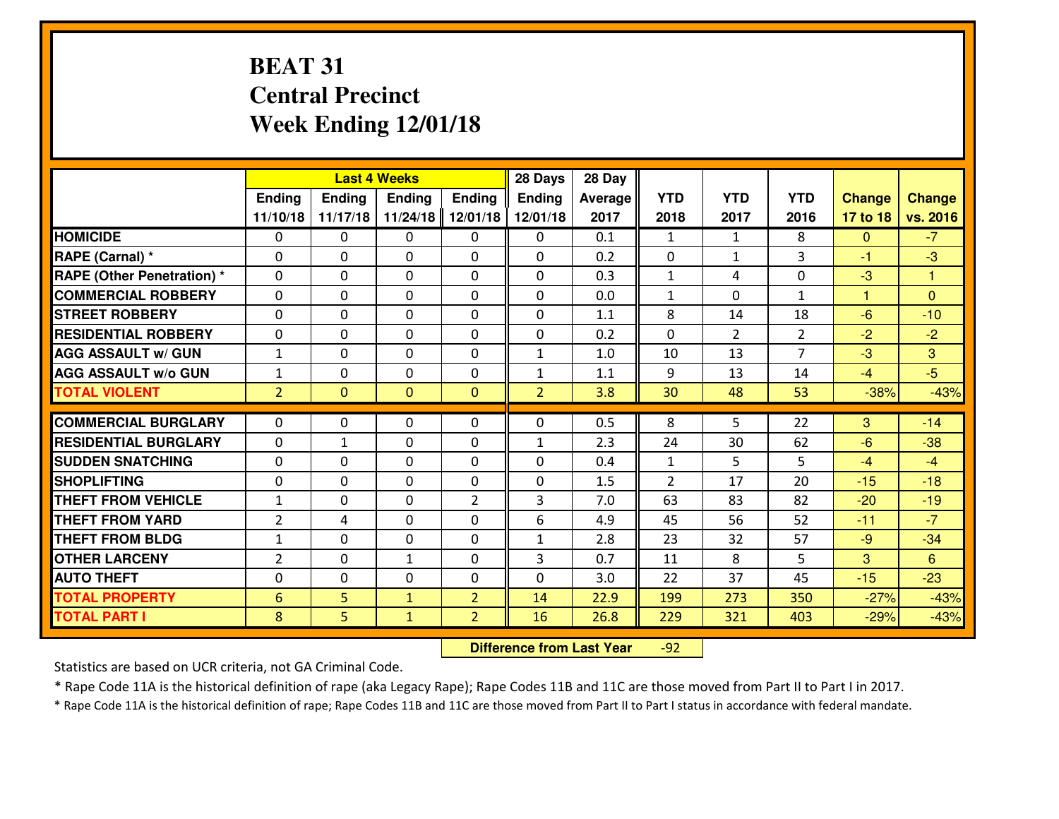# **BEAT 31 Central PrecinctWeek Ending 12/01/18**

|                                   |                |                | <b>Last 4 Weeks</b> |                | 28 Days        | 28 Day  |                |                |                |               |               |
|-----------------------------------|----------------|----------------|---------------------|----------------|----------------|---------|----------------|----------------|----------------|---------------|---------------|
|                                   | Ending         | Ending         | Ending              | Ending         | Ending         | Average | <b>YTD</b>     | <b>YTD</b>     | <b>YTD</b>     | <b>Change</b> | <b>Change</b> |
|                                   | 11/10/18       | 11/17/18       | 11/24/18            | 12/01/18       | 12/01/18       | 2017    | 2018           | 2017           | 2016           | 17 to 18      | vs. 2016      |
| <b>HOMICIDE</b>                   | 0              | $\Omega$       | 0                   | $\Omega$       | 0              | 0.1     | 1              | $\mathbf{1}$   | 8              | $\mathbf{0}$  | $-7$          |
| RAPE (Carnal) *                   | 0              | $\Omega$       | $\mathbf 0$         | $\Omega$       | $\Omega$       | 0.2     | $\mathbf 0$    | $\mathbf{1}$   | 3              | $-1$          | $-3$          |
| <b>RAPE (Other Penetration)</b> * | $\Omega$       | $\Omega$       | $\mathbf 0$         | $\Omega$       | $\Omega$       | 0.3     | $\mathbf{1}$   | 4              | $\Omega$       | $-3$          | 1             |
| <b>COMMERCIAL ROBBERY</b>         | 0              | $\Omega$       | $\mathbf 0$         | $\Omega$       | $\Omega$       | 0.0     | $\mathbf{1}$   | $\Omega$       | $\mathbf{1}$   | 1             | $\Omega$      |
| <b>ISTREET ROBBERY</b>            | 0              | 0              | $\mathbf 0$         | 0              | 0              | 1.1     | 8              | 14             | 18             | $-6$          | $-10$         |
| <b>RESIDENTIAL ROBBERY</b>        | 0              | 0              | $\mathbf 0$         | 0              | 0              | 0.2     | $\mathbf 0$    | $\overline{2}$ | $\overline{2}$ | $-2$          | $-2$          |
| <b>AGG ASSAULT W/ GUN</b>         | $\mathbf{1}$   | 0              | $\mathbf 0$         | $\Omega$       | $\mathbf{1}$   | 1.0     | 10             | 13             | $\overline{7}$ | $-3$          | 3             |
| <b>AGG ASSAULT W/o GUN</b>        | $\mathbf{1}$   | 0              | $\mathbf 0$         | 0              | $\mathbf{1}$   | 1.1     | 9              | 13             | 14             | $-4$          | $-5$          |
| <b>TOTAL VIOLENT</b>              | $\overline{2}$ | $\overline{0}$ | $\overline{0}$      | $\overline{0}$ | $\overline{2}$ | 3.8     | 30             | 48             | 53             | $-38%$        | $-43%$        |
| <b>COMMERCIAL BURGLARY</b>        | $\Omega$       | 0              | 0                   | 0              | 0              | 0.5     | 8              | 5              | 22             | 3             | $-14$         |
| <b>RESIDENTIAL BURGLARY</b>       | $\Omega$       | 1              | $\mathbf{0}$        | 0              | $\mathbf{1}$   | 2.3     | 24             | 30             | 62             | $-6$          | $-38$         |
| <b>SUDDEN SNATCHING</b>           | $\Omega$       | 0              | $\mathbf{0}$        | $\Omega$       | $\mathbf{0}$   | 0.4     | $\mathbf{1}$   | 5              | 5              | $-4$          | $-4$          |
| <b>SHOPLIFTING</b>                | 0              | 0              | $\mathbf 0$         | 0              | 0              | 1.5     | $\overline{2}$ | 17             | 20             | $-15$         | $-18$         |
| <b>THEFT FROM VEHICLE</b>         | $\mathbf{1}$   | 0              | 0                   | $\overline{2}$ | 3              | 7.0     | 63             | 83             | 82             | $-20$         | $-19$         |
| <b>THEFT FROM YARD</b>            | $\overline{2}$ | 4              | 0                   | $\Omega$       | 6              | 4.9     | 45             | 56             | 52             | $-11$         | $-7$          |
| <b>THEFT FROM BLDG</b>            | $\mathbf{1}$   | $\Omega$       | $\mathbf 0$         | $\Omega$       | $\mathbf{1}$   | 2.8     | 23             | 32             | 57             | $-9$          | $-34$         |
| <b>OTHER LARCENY</b>              | $\overline{2}$ | 0              | $\mathbf{1}$        | 0              | 3              | 0.7     | 11             | 8              | 5              | 3             | 6             |
| <b>AUTO THEFT</b>                 | 0              | 0              | 0                   | $\Omega$       | 0              | 3.0     | 22             | 37             | 45             | $-15$         | $-23$         |
| <b>TOTAL PROPERTY</b>             | 6              | 5              | $\mathbf{1}$        | $\overline{2}$ | 14             | 22.9    | 199            | 273            | 350            | $-27%$        | $-43%$        |
| <b>TOTAL PART I</b>               | 8              | 5              | $\mathbf{1}$        | $\overline{2}$ | 16             | 26.8    | 229            | 321            | 403            | $-29%$        | $-43%$        |
|                                   |                |                |                     |                |                |         |                |                |                |               |               |

 **Difference from Last Year**-92

Statistics are based on UCR criteria, not GA Criminal Code.

\* Rape Code 11A is the historical definition of rape (aka Legacy Rape); Rape Codes 11B and 11C are those moved from Part II to Part I in 2017.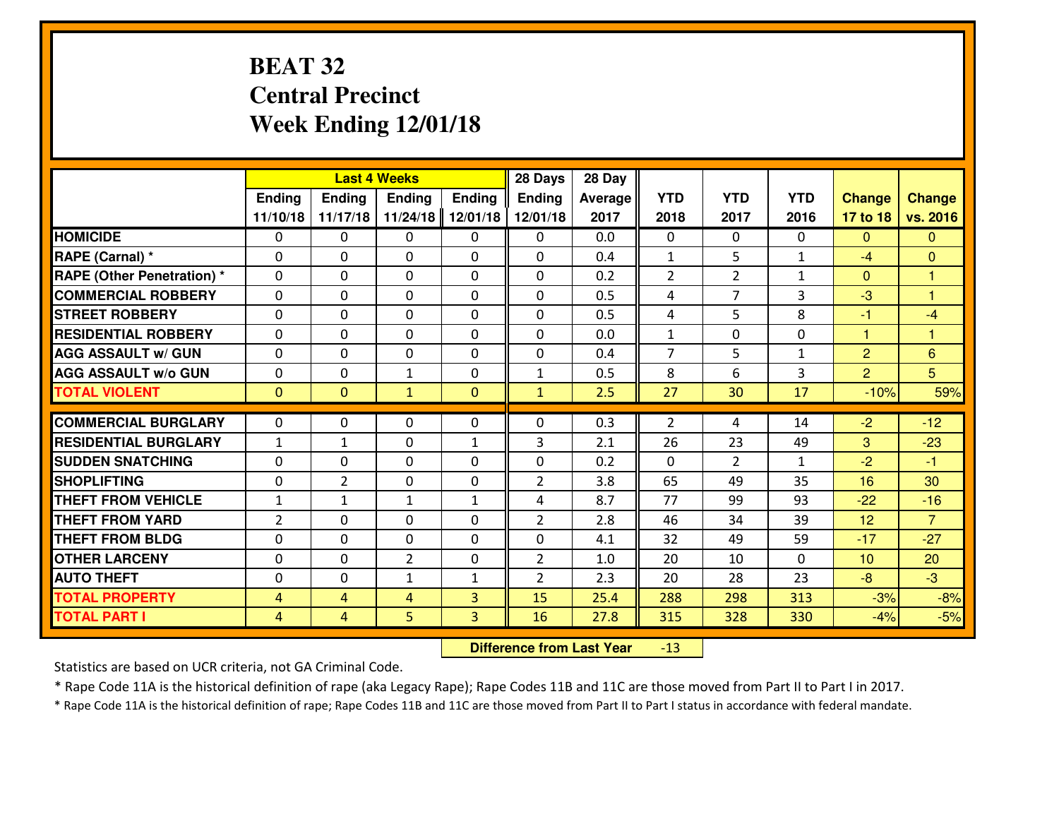# **BEAT 32 Central PrecinctWeek Ending 12/01/18**

|                                  |                |                | <b>Last 4 Weeks</b> |              | 28 Days        | 28 Day  |                |                |              |                |                 |
|----------------------------------|----------------|----------------|---------------------|--------------|----------------|---------|----------------|----------------|--------------|----------------|-----------------|
|                                  | Ending         | <b>Ending</b>  | <b>Ending</b>       | Ending       | <b>Ending</b>  | Average | <b>YTD</b>     | <b>YTD</b>     | <b>YTD</b>   | <b>Change</b>  | <b>Change</b>   |
|                                  | 11/10/18       | 11/17/18       | 11/24/18            | 12/01/18     | 12/01/18       | 2017    | 2018           | 2017           | 2016         | 17 to 18       | vs. 2016        |
| <b>HOMICIDE</b>                  | $\Omega$       | 0              | 0                   | 0            | $\Omega$       | 0.0     | 0              | $\Omega$       | 0            | $\Omega$       | $\Omega$        |
| RAPE (Carnal) *                  | $\Omega$       | 0              | $\Omega$            | $\Omega$     | $\Omega$       | 0.4     | $\mathbf{1}$   | 5              | $\mathbf{1}$ | $-4$           | $\Omega$        |
| <b>RAPE (Other Penetration)*</b> | 0              | 0              | $\mathbf 0$         | 0            | 0              | 0.2     | $\overline{2}$ | $\overline{2}$ | $\mathbf{1}$ | $\Omega$       | 1               |
| <b>COMMERCIAL ROBBERY</b>        | 0              | 0              | $\mathbf 0$         | 0            | 0              | 0.5     | 4              | 7              | 3            | $-3$           | $\overline{1}$  |
| <b>STREET ROBBERY</b>            | $\mathbf{0}$   | 0              | $\mathbf 0$         | 0            | 0              | 0.5     | 4              | 5              | 8            | $-1$           | $-4$            |
| <b>RESIDENTIAL ROBBERY</b>       | 0              | 0              | $\mathbf 0$         | $\mathbf{0}$ | 0              | 0.0     | $\mathbf{1}$   | $\mathbf{0}$   | 0            | $\mathbf{1}$   | 1               |
| <b>AGG ASSAULT W/ GUN</b>        | 0              | 0              | $\mathbf 0$         | 0            | 0              | 0.4     | $\overline{7}$ | 5              | $\mathbf{1}$ | $\overline{2}$ | $6\phantom{1}6$ |
| <b>AGG ASSAULT W/o GUN</b>       | 0              | 0              | 1                   | $\mathbf{0}$ | $\mathbf{1}$   | 0.5     | 8              | 6              | 3            | $\overline{2}$ | $5\overline{)}$ |
| <b>TOTAL VIOLENT</b>             | $\mathbf{0}$   | $\overline{0}$ | $\mathbf{1}$        | $\mathbf{0}$ | $\mathbf{1}$   | 2.5     | 27             | 30             | 17           | $-10%$         | 59%             |
| <b>COMMERCIAL BURGLARY</b>       | $\mathbf{0}$   | 0              | $\mathbf{0}$        | 0            | $\Omega$       | 0.3     | 2              | 4              | 14           | $-2$           | $-12$           |
| <b>RESIDENTIAL BURGLARY</b>      | $\mathbf{1}$   | 1              | 0                   | $\mathbf{1}$ | 3              | 2.1     | 26             | 23             | 49           | 3              | $-23$           |
| <b>SUDDEN SNATCHING</b>          | $\mathbf{0}$   | 0              | $\mathbf 0$         | 0            | 0              | 0.2     | $\mathbf{0}$   | $\overline{2}$ | $\mathbf{1}$ | $-2$           | $-1$            |
| <b>SHOPLIFTING</b>               | 0              | $\overline{2}$ | $\mathbf 0$         | 0            | $\overline{2}$ | 3.8     | 65             | 49             | 35           | 16             | 30              |
| <b>THEFT FROM VEHICLE</b>        | $\mathbf{1}$   | 1              | 1                   | $\mathbf{1}$ | 4              | 8.7     | 77             | 99             | 93           | $-22$          | $-16$           |
| <b>THEFT FROM YARD</b>           | $\overline{2}$ | 0              | $\mathbf 0$         | 0            | $\overline{2}$ | 2.8     | 46             | 34             | 39           | 12             | $\overline{7}$  |
| <b>THEFT FROM BLDG</b>           | 0              | 0              | $\mathbf 0$         | $\mathbf{0}$ | 0              | 4.1     | 32             | 49             | 59           | $-17$          | $-27$           |
| <b>OTHER LARCENY</b>             | 0              | 0              | $\overline{2}$      | $\mathbf 0$  | $\overline{2}$ | 1.0     | 20             | 10             | 0            | 10             | 20              |
| <b>AUTO THEFT</b>                | 0              | 0              | $\mathbf{1}$        | $\mathbf{1}$ | $\overline{2}$ | 2.3     | 20             | 28             | 23           | $-8$           | $-3$            |
| <b>TOTAL PROPERTY</b>            | $\overline{4}$ | 4              | 4                   | 3            | 15             | 25.4    | 288            | 298            | 313          | $-3%$          | $-8%$           |
| <b>TOTAL PART I</b>              | $\overline{4}$ | 4              | 5                   | 3            | 16             | 27.8    | 315            | 328            | 330          | $-4%$          | $-5%$           |
|                                  |                |                |                     |              |                |         |                |                |              |                |                 |

 **Difference from Last Year**-13

Statistics are based on UCR criteria, not GA Criminal Code.

\* Rape Code 11A is the historical definition of rape (aka Legacy Rape); Rape Codes 11B and 11C are those moved from Part II to Part I in 2017.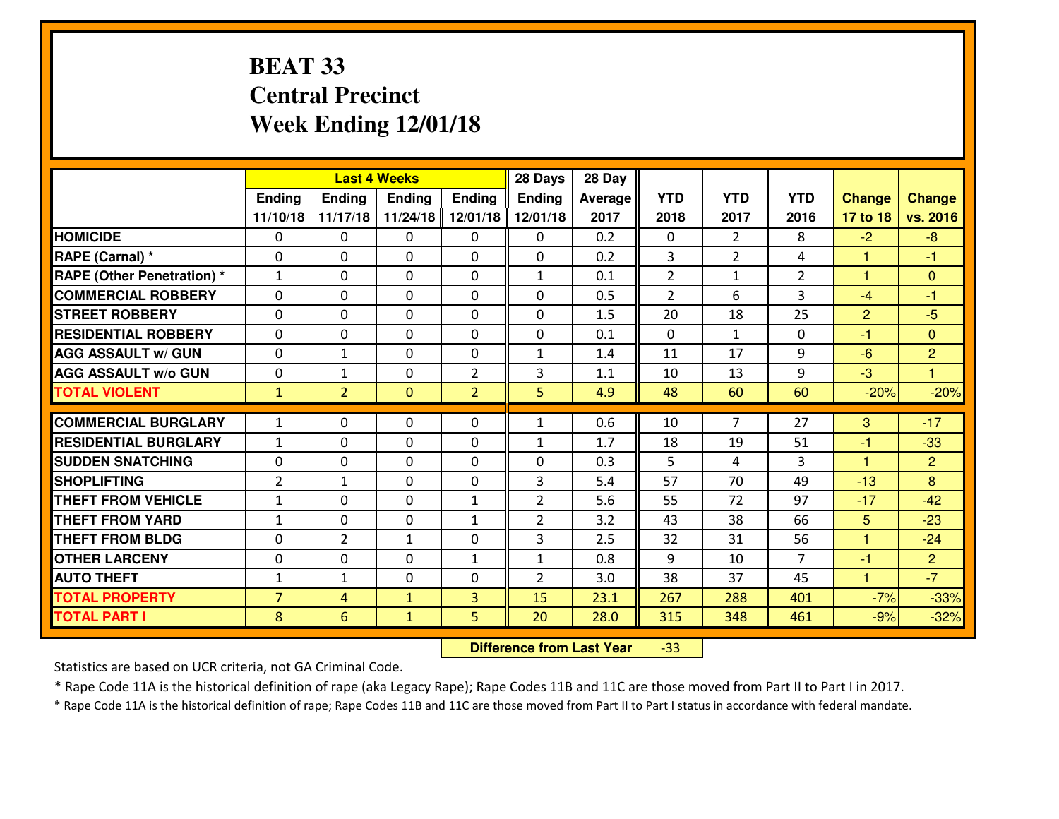# **BEAT 33 Central PrecinctWeek Ending 12/01/18**

|                                   |                |                | <b>Last 4 Weeks</b> |                | 28 Days        | 28 Day  |                |                |                |                      |                |
|-----------------------------------|----------------|----------------|---------------------|----------------|----------------|---------|----------------|----------------|----------------|----------------------|----------------|
|                                   | <b>Ending</b>  | <b>Ending</b>  | <b>Ending</b>       | <b>Ending</b>  | <b>Ending</b>  | Average | <b>YTD</b>     | <b>YTD</b>     | <b>YTD</b>     | <b>Change</b>        | <b>Change</b>  |
|                                   | 11/10/18       | 11/17/18       | 11/24/18            | 12/01/18       | 12/01/18       | 2017    | 2018           | 2017           | 2016           | 17 to 18             | vs. 2016       |
| <b>HOMICIDE</b>                   | 0              | 0              | $\Omega$            | $\mathbf{0}$   | 0              | 0.2     | 0              | $\overline{2}$ | 8              | $-2$                 | -8             |
| RAPE (Carnal) *                   | $\mathbf{0}$   | 0              | $\mathbf{0}$        | 0              | 0              | 0.2     | 3              | $\overline{2}$ | 4              | $\mathbf{1}$         | $-1$           |
| <b>RAPE (Other Penetration) *</b> | $\mathbf{1}$   | 0              | $\mathbf 0$         | 0              | $\mathbf{1}$   | 0.1     | $\overline{2}$ | $\mathbf{1}$   | $\overline{2}$ | 1                    | $\overline{0}$ |
| <b>COMMERCIAL ROBBERY</b>         | $\Omega$       | $\Omega$       | $\mathbf 0$         | 0              | $\Omega$       | 0.5     | $\overline{2}$ | 6              | 3              | $-4$                 | $-1$           |
| <b>STREET ROBBERY</b>             | $\Omega$       | $\Omega$       | $\mathbf 0$         | 0              | 0              | 1.5     | 20             | 18             | 25             | $\overline{2}$       | $-5$           |
| <b>RESIDENTIAL ROBBERY</b>        | $\Omega$       | $\Omega$       | $\mathbf 0$         | $\Omega$       | $\Omega$       | 0.1     | $\mathbf 0$    | $\mathbf{1}$   | 0              | $-1$                 | $\overline{0}$ |
| <b>AGG ASSAULT w/ GUN</b>         | 0              | $\mathbf{1}$   | 0                   | 0              | $\mathbf{1}$   | 1.4     | 11             | 17             | 9              | $-6$                 | $\overline{2}$ |
| <b>AGG ASSAULT W/o GUN</b>        | 0              | $\mathbf{1}$   | 0                   | $\overline{2}$ | 3              | 1.1     | 10             | 13             | 9              | $-3$                 | $\mathbf{1}$   |
| <b>TOTAL VIOLENT</b>              | $\mathbf{1}$   | $\overline{2}$ | $\mathbf{0}$        | $\overline{2}$ | 5              | 4.9     | 48             | 60             | 60             | $-20%$               | $-20%$         |
|                                   |                |                |                     |                |                |         |                | $\overline{7}$ |                |                      |                |
| <b>COMMERCIAL BURGLARY</b>        | $\mathbf{1}$   | 0              | $\mathbf{0}$        | 0              | 1              | 0.6     | 10             |                | 27             | 3                    | $-17$          |
| <b>RESIDENTIAL BURGLARY</b>       | $1\,$          | 0              | 0                   | 0              | $\mathbf{1}$   | 1.7     | 18             | 19             | 51             | $-1$                 | $-33$          |
| <b>SUDDEN SNATCHING</b>           | 0              | 0              | 0                   | 0              | 0              | 0.3     | 5              | 4              | 3              | $\blacktriangleleft$ | $\overline{2}$ |
| <b>SHOPLIFTING</b>                | $\overline{2}$ | $\mathbf{1}$   | 0                   | 0              | 3              | 5.4     | 57             | 70             | 49             | $-13$                | 8              |
| <b>THEFT FROM VEHICLE</b>         | $\mathbf{1}$   | 0              | 0                   | $\mathbf{1}$   | $\overline{2}$ | 5.6     | 55             | 72             | 97             | $-17$                | $-42$          |
| <b>THEFT FROM YARD</b>            | $\mathbf{1}$   | 0              | $\mathbf 0$         | $\mathbf{1}$   | $\overline{2}$ | 3.2     | 43             | 38             | 66             | 5                    | $-23$          |
| <b>THEFT FROM BLDG</b>            | 0              | $\overline{2}$ | $\mathbf{1}$        | 0              | 3              | 2.5     | 32             | 31             | 56             | $\mathbf{1}$         | $-24$          |
| <b>OTHER LARCENY</b>              | $\mathbf{0}$   | 0              | $\mathbf{0}$        | $\mathbf{1}$   | $\mathbf{1}$   | 0.8     | 9              | 10             | $\overline{7}$ | -1                   | $\overline{2}$ |
| <b>AUTO THEFT</b>                 | $\mathbf{1}$   | $\mathbf{1}$   | 0                   | 0              | $\overline{2}$ | 3.0     | 38             | 37             | 45             | $\blacktriangleleft$ | $-7$           |
| <b>TOTAL PROPERTY</b>             | $\overline{7}$ | 4              | $\mathbf{1}$        | 3              | 15             | 23.1    | 267            | 288            | 401            | $-7%$                | $-33%$         |
| <b>TOTAL PART I</b>               | 8              | 6              | $\mathbf{1}$        | 5              | 20             | 28.0    | 315            | 348            | 461            | $-9%$                | $-32%$         |

 **Difference from Last Year**-33

Statistics are based on UCR criteria, not GA Criminal Code.

\* Rape Code 11A is the historical definition of rape (aka Legacy Rape); Rape Codes 11B and 11C are those moved from Part II to Part I in 2017.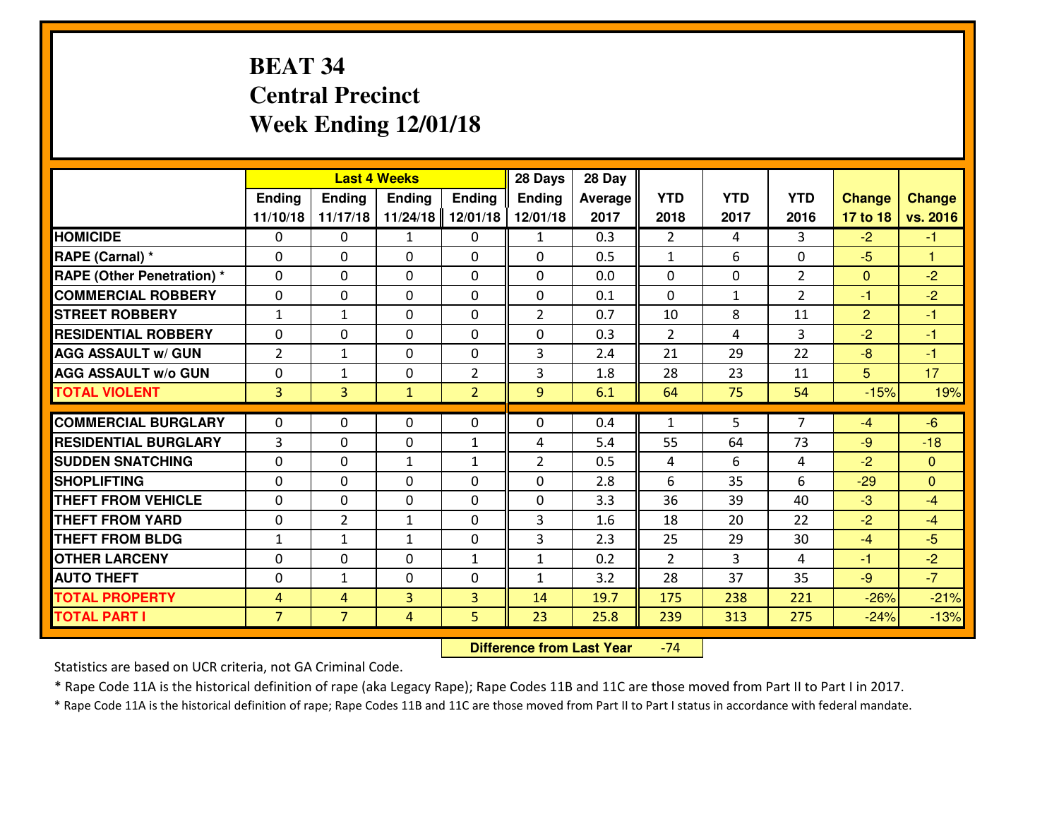# **BEAT 34 Central PrecinctWeek Ending 12/01/18**

|                             |                |                | <b>Last 4 Weeks</b> |                | 28 Days        | 28 Day         |                |              |                |                |                      |
|-----------------------------|----------------|----------------|---------------------|----------------|----------------|----------------|----------------|--------------|----------------|----------------|----------------------|
|                             | <b>Ending</b>  | Ending         | <b>Ending</b>       | <b>Ending</b>  | Ending         | <b>Average</b> | <b>YTD</b>     | <b>YTD</b>   | <b>YTD</b>     | <b>Change</b>  | <b>Change</b>        |
|                             | 11/10/18       | 11/17/18       | 11/24/18            | 12/01/18       | 12/01/18       | 2017           | 2018           | 2017         | 2016           | 17 to 18       | vs. 2016             |
| <b>HOMICIDE</b>             | $\Omega$       | 0              | $\mathbf{1}$        | $\mathbf{0}$   | $\mathbf{1}$   | 0.3            | $\overline{2}$ | 4            | 3              | $-2$           | $-1$                 |
| RAPE (Carnal) *             | $\Omega$       | 0              | $\mathbf{0}$        | $\Omega$       | $\Omega$       | 0.5            | 1              | 6            | 0              | $-5$           | $\blacktriangleleft$ |
| RAPE (Other Penetration) *  | $\Omega$       | 0              | $\mathbf{0}$        | 0              | $\Omega$       | 0.0            | $\mathbf{0}$   | $\Omega$     | $\overline{2}$ | $\mathbf{0}$   | $-2$                 |
| <b>COMMERCIAL ROBBERY</b>   | 0              | 0              | 0                   | 0              | 0              | 0.1            | $\mathbf{0}$   | $\mathbf{1}$ | $\overline{2}$ | $-1$           | $-2$                 |
| <b>STREET ROBBERY</b>       | $\mathbf{1}$   | 1              | $\mathbf 0$         | 0              | $\overline{2}$ | 0.7            | 10             | 8            | 11             | $\overline{2}$ | $-1$                 |
| <b>RESIDENTIAL ROBBERY</b>  | $\Omega$       | 0              | $\mathbf 0$         | 0              | 0              | 0.3            | $\overline{2}$ | 4            | 3              | $-2$           | $-1$                 |
| <b>AGG ASSAULT w/ GUN</b>   | $\overline{2}$ | $\mathbf{1}$   | 0                   | 0              | 3              | 2.4            | 21             | 29           | 22             | $-8$           | $-1$                 |
| <b>AGG ASSAULT W/o GUN</b>  | 0              | 1              | 0                   | $\overline{2}$ | 3              | 1.8            | 28             | 23           | 11             | 5              | 17                   |
| <b>TOTAL VIOLENT</b>        | $\overline{3}$ | $\overline{3}$ | $\mathbf{1}$        | $\overline{2}$ | 9              | 6.1            | 64             | 75           | 54             | $-15%$         | 19%                  |
| <b>COMMERCIAL BURGLARY</b>  | $\Omega$       | 0              | $\mathbf{0}$        | 0              | $\Omega$       | 0.4            | $\mathbf{1}$   | 5            | $\overline{7}$ | $-4$           | $-6$                 |
| <b>RESIDENTIAL BURGLARY</b> | $\mathbf{3}$   | 0              | $\mathbf 0$         | $\mathbf{1}$   | 4              | 5.4            | 55             | 64           | 73             | $-9$           | $-18$                |
| <b>SUDDEN SNATCHING</b>     | $\Omega$       | $\Omega$       | 1                   | $\mathbf{1}$   | $\overline{2}$ | 0.5            | 4              | 6            | 4              | $-2$           | $\Omega$             |
| <b>SHOPLIFTING</b>          | 0              | 0              | 0                   | $\Omega$       | 0              | 2.8            | 6              | 35           | 6              | $-29$          | $\Omega$             |
| <b>THEFT FROM VEHICLE</b>   | $\Omega$       | 0              | 0                   | $\Omega$       | 0              | 3.3            | 36             | 39           | 40             | $-3$           | $-4$                 |
| <b>THEFT FROM YARD</b>      | 0              | $\overline{2}$ | $\mathbf{1}$        | 0              | 3              | 1.6            | 18             | 20           | 22             | $-2$           | $-4$                 |
| <b>THEFT FROM BLDG</b>      | $\mathbf{1}$   | $\mathbf{1}$   | $\mathbf{1}$        | 0              | 3              | 2.3            | 25             | 29           | 30             | $-4$           | $-5$                 |
| <b>OTHER LARCENY</b>        | 0              | 0              | $\mathbf 0$         | $\mathbf{1}$   | $\mathbf{1}$   | 0.2            | $\overline{2}$ | 3            | 4              | $-1$           | $-2$                 |
| <b>AUTO THEFT</b>           | $\mathbf{0}$   | $\mathbf{1}$   | $\mathbf{0}$        | $\Omega$       | $\mathbf{1}$   | 3.2            | 28             | 37           | 35             | $-9$           | $-7$                 |
| <b>TOTAL PROPERTY</b>       | $\overline{4}$ | 4              | 3                   | 3              | 14             | 19.7           | 175            | 238          | 221            | $-26%$         | $-21%$               |
| <b>TOTAL PART I</b>         | $\overline{7}$ | $\overline{7}$ | $\overline{4}$      | 5              | 23             | 25.8           | 239            | 313          | 275            | $-24%$         | $-13%$               |
|                             |                |                |                     |                |                |                |                |              |                |                |                      |

 **Difference from Last Year**-74

Statistics are based on UCR criteria, not GA Criminal Code.

\* Rape Code 11A is the historical definition of rape (aka Legacy Rape); Rape Codes 11B and 11C are those moved from Part II to Part I in 2017.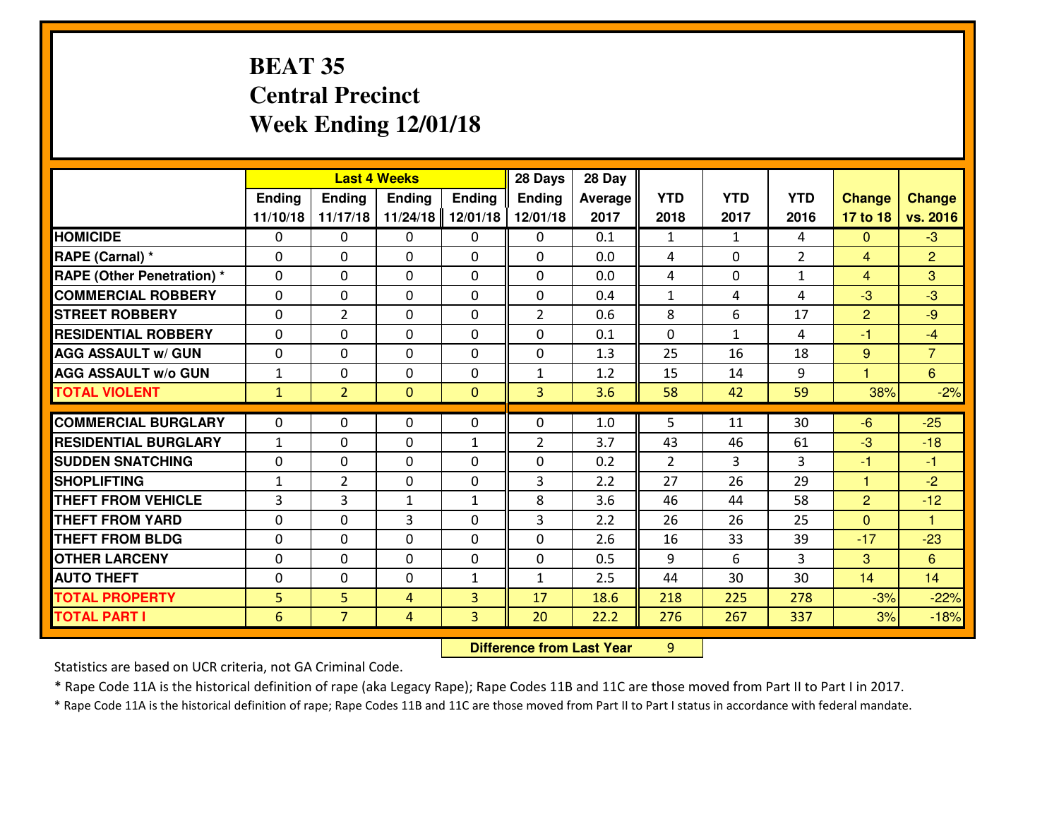# **BEAT 35 Central PrecinctWeek Ending 12/01/18**

|                                              |                      |                     | <b>Last 4 Weeks</b> |               | 28 Days        | 28 Day       |                |              |                |                |                               |
|----------------------------------------------|----------------------|---------------------|---------------------|---------------|----------------|--------------|----------------|--------------|----------------|----------------|-------------------------------|
|                                              | Ending               | Ending              | <b>Ending</b>       | <b>Ending</b> | <b>Ending</b>  | Average      | <b>YTD</b>     | <b>YTD</b>   | <b>YTD</b>     | <b>Change</b>  | <b>Change</b>                 |
|                                              | 11/10/18             | 11/17/18            | 11/24/18            | 12/01/18      | 12/01/18       | 2017         | 2018           | 2017         | 2016           | 17 to 18       | vs. 2016                      |
| <b>HOMICIDE</b>                              | $\mathbf{0}$         | 0                   | $\mathbf{0}$        | 0             | 0              | 0.1          | 1              | $\mathbf{1}$ | 4              | $\Omega$       | $-3$                          |
| RAPE (Carnal) *                              | 0                    | 0                   | $\mathbf{0}$        | 0             | $\Omega$       | 0.0          | 4              | $\Omega$     | $\overline{2}$ | $\overline{4}$ | $\overline{2}$                |
| <b>RAPE (Other Penetration)*</b>             | $\Omega$             | 0                   | $\mathbf{0}$        | $\Omega$      | $\Omega$       | 0.0          | 4              | 0            | $\mathbf{1}$   | $\overline{4}$ | 3                             |
| <b>COMMERCIAL ROBBERY</b>                    | $\Omega$             | 0                   | $\mathbf 0$         | $\Omega$      | 0              | 0.4          | $\mathbf{1}$   | 4            | 4              | $-3$           | $-3$                          |
| <b>ISTREET ROBBERY</b>                       | 0                    | $\overline{2}$      | $\mathbf 0$         | 0             | $\overline{2}$ | 0.6          | 8              | 6            | 17             | $\overline{2}$ | $-9$                          |
| <b>RESIDENTIAL ROBBERY</b>                   | $\Omega$             | 0                   | $\mathbf 0$         | 0             | 0              | 0.1          | $\mathbf{0}$   | $\mathbf{1}$ | 4              | $-1$           | $-4$                          |
| <b>AGG ASSAULT W/ GUN</b>                    | 0                    | 0                   | $\mathbf 0$         | 0             | 0              | 1.3          | 25             | 16           | 18             | 9              | $\overline{7}$                |
| <b>AGG ASSAULT W/o GUN</b>                   | $\mathbf{1}$         | 0                   | $\mathbf 0$         | 0             | $\mathbf{1}$   | 1.2          | 15             | 14           | 9              | $\overline{1}$ | $6^{\circ}$                   |
| <b>TOTAL VIOLENT</b>                         | $\mathbf{1}$         | $\overline{2}$      | $\overline{0}$      | $\mathbf{0}$  | 3              | 3.6          | 58             | 42           | 59             | 38%            | $-2%$                         |
| <b>COMMERCIAL BURGLARY</b>                   | $\Omega$             | 0                   | $\mathbf{0}$        | 0             | $\Omega$       | 1.0          | 5.             | 11           | 30             | $-6$           | $-25$                         |
| <b>RESIDENTIAL BURGLARY</b>                  | $\mathbf{1}$         | 0                   | $\mathbf{0}$        | $\mathbf{1}$  | $\overline{2}$ | 3.7          | 43             | 46           | 61             | $-3$           | $-18$                         |
| <b>SUDDEN SNATCHING</b>                      | $\Omega$             | 0                   | $\mathbf 0$         | $\Omega$      | $\Omega$       | 0.2          | $\overline{2}$ | 3            | 3              | -1             | $-1$                          |
| <b>SHOPLIFTING</b>                           | $\mathbf{1}$         | $\overline{2}$      | $\mathbf{0}$        | $\Omega$      | 3              | 2.2          | 27             | 26           | 29             | $\mathbf{1}$   | $-2$                          |
| <b>THEFT FROM VEHICLE</b>                    |                      |                     |                     |               |                |              |                |              |                |                |                               |
|                                              |                      |                     |                     |               |                |              |                |              |                |                |                               |
|                                              | 3                    | 3                   | 1                   | $\mathbf{1}$  | 8              | 3.6          | 46             | 44           | 58             | $\overline{2}$ | $-12$<br>$\blacktriangleleft$ |
| <b>THEFT FROM YARD</b>                       | 0                    | 0                   | 3                   | 0             | 3              | 2.2          | 26             | 26           | 25             | $\overline{0}$ |                               |
| <b>THEFT FROM BLDG</b>                       | 0                    | 0                   | $\mathbf 0$         | 0             | 0              | 2.6          | 16             | 33<br>6      | 39<br>3        | $-17$          | $-23$                         |
| <b>OTHER LARCENY</b>                         | 0<br>$\mathbf{0}$    | 0<br>0              | $\mathbf 0$         | 0             | 0              | 0.5          | 9              |              |                | 3              | 6                             |
| <b>AUTO THEFT</b>                            |                      |                     | 0                   | $\mathbf{1}$  | $\mathbf{1}$   | 2.5          | 44             | 30           | 30             | 14             | 14                            |
| <b>TOTAL PROPERTY</b><br><b>TOTAL PART I</b> | 5<br>$6\phantom{1}6$ | 5<br>$\overline{7}$ | 4<br>$\overline{4}$ | 3<br>3        | 17<br>20       | 18.6<br>22.2 | 218<br>276     | 225<br>267   | 278<br>337     | $-3%$<br>3%    | $-22%$<br>$-18%$              |

**Difference from Last Year** 9

Statistics are based on UCR criteria, not GA Criminal Code.

\* Rape Code 11A is the historical definition of rape (aka Legacy Rape); Rape Codes 11B and 11C are those moved from Part II to Part I in 2017.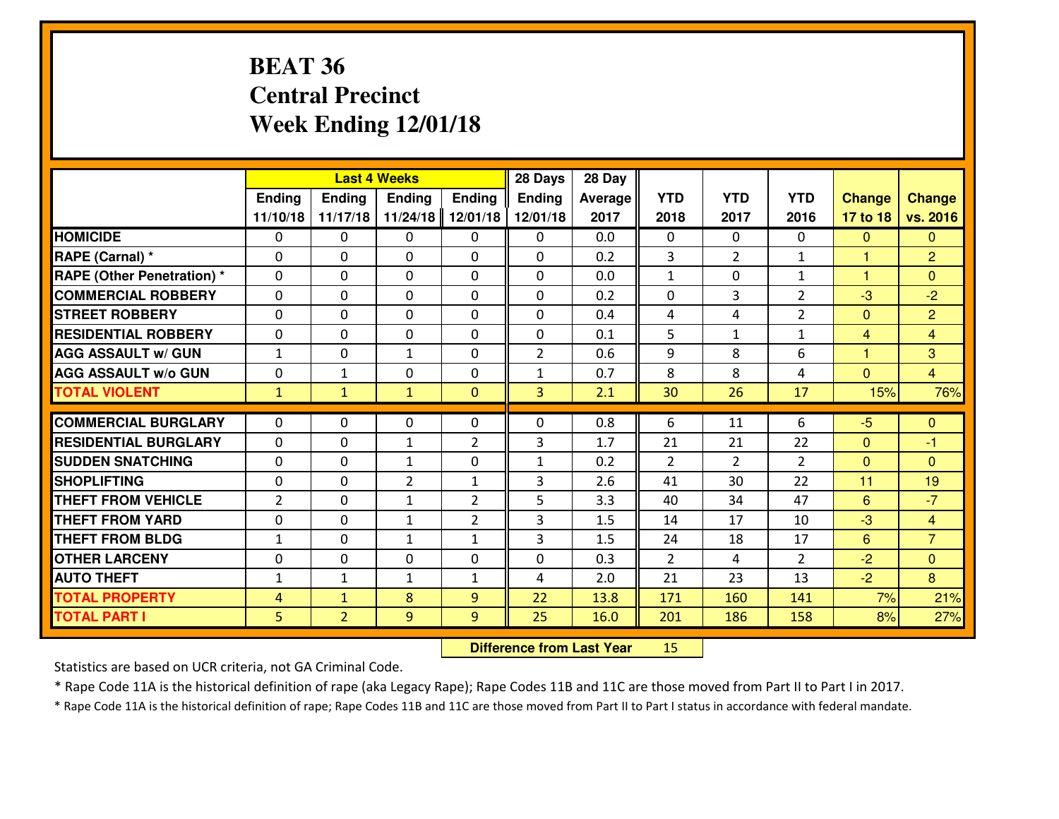# **BEAT 36 Central PrecinctWeek Ending 12/01/18**

|                                   |                |                | <b>Last 4 Weeks</b> |                | 28 Days        | 28 Day         |                |                |                |                      |                |
|-----------------------------------|----------------|----------------|---------------------|----------------|----------------|----------------|----------------|----------------|----------------|----------------------|----------------|
|                                   | Ending         | Ending         | <b>Ending</b>       | Ending         | Ending         | <b>Average</b> | <b>YTD</b>     | <b>YTD</b>     | <b>YTD</b>     | <b>Change</b>        | <b>Change</b>  |
|                                   | 11/10/18       | 11/17/18       | 11/24/18            | 12/01/18       | 12/01/18       | 2017           | 2018           | 2017           | 2016           | 17 to 18             | vs. 2016       |
| <b>HOMICIDE</b>                   | $\Omega$       | 0              | $\Omega$            | $\mathbf{0}$   | 0              | 0.0            | $\Omega$       | $\Omega$       | 0              | $\mathbf{0}$         | $\Omega$       |
| RAPE (Carnal) *                   | $\Omega$       | 0              | $\mathbf{0}$        | $\Omega$       | 0              | 0.2            | 3              | $\overline{2}$ | $\mathbf{1}$   | $\blacktriangleleft$ | $\overline{2}$ |
| <b>RAPE (Other Penetration) *</b> | $\Omega$       | 0              | 0                   | $\Omega$       | $\Omega$       | 0.0            | $\mathbf{1}$   | $\Omega$       | $\mathbf{1}$   | 1                    | $\Omega$       |
| <b>COMMERCIAL ROBBERY</b>         | $\Omega$       | $\Omega$       | $\mathbf{0}$        | $\Omega$       | $\Omega$       | 0.2            | $\Omega$       | 3              | $\overline{2}$ | $-3$                 | $-2$           |
| <b>STREET ROBBERY</b>             | 0              | 0              | $\mathbf 0$         | 0              | 0              | 0.4            | 4              | 4              | $\overline{2}$ | $\mathbf{0}$         | $\overline{2}$ |
| <b>RESIDENTIAL ROBBERY</b>        | 0              | 0              | $\mathbf 0$         | 0              | 0              | 0.1            | 5              | $\mathbf{1}$   | $\mathbf{1}$   | $\overline{4}$       | $\overline{4}$ |
| <b>AGG ASSAULT W/ GUN</b>         | $\mathbf{1}$   | 0              | $\mathbf{1}$        | 0              | $\overline{2}$ | 0.6            | 9              | 8              | 6              | $\mathbf{1}$         | 3              |
| <b>AGG ASSAULT W/o GUN</b>        | 0              | 1              | $\mathbf 0$         | 0              | $\mathbf{1}$   | 0.7            | 8              | 8              | 4              | $\overline{0}$       | $\overline{4}$ |
| <b>TOTAL VIOLENT</b>              | $\mathbf{1}$   | $\mathbf{1}$   | $\mathbf{1}$        | $\overline{0}$ | 3              | 2.1            | 30             | 26             | 17             | 15%                  | 76%            |
| <b>COMMERCIAL BURGLARY</b>        | $\mathbf{0}$   | 0              | 0                   | $\mathbf{0}$   | $\Omega$       | 0.8            | 6              | 11             | 6              | $-5$                 | $\Omega$       |
| <b>RESIDENTIAL BURGLARY</b>       | $\Omega$       | 0              | $\mathbf{1}$        | 2              | 3              | 1.7            | 21             | 21             | 22             | $\mathbf{0}$         | $-1$           |
| <b>SUDDEN SNATCHING</b>           | $\mathbf{0}$   | 0              | $\mathbf{1}$        | 0              | $\mathbf{1}$   | 0.2            | $\overline{2}$ | $\overline{2}$ | $\overline{2}$ | $\mathbf{0}$         | $\mathbf{0}$   |
| <b>SHOPLIFTING</b>                | 0              | 0              | $\overline{2}$      | $\mathbf{1}$   | 3              | 2.6            | 41             | 30             | 22             | 11                   | 19             |
| <b>THEFT FROM VEHICLE</b>         | $\overline{2}$ | 0              | $\mathbf{1}$        | $\overline{2}$ | 5              | 3.3            | 40             | 34             | 47             | 6                    | $-7$           |
| <b>THEFT FROM YARD</b>            | 0              | 0              | $\mathbf{1}$        | $\overline{2}$ | 3              | 1.5            | 14             | 17             | 10             | $-3$                 | $\overline{4}$ |
| <b>THEFT FROM BLDG</b>            | $\mathbf{1}$   | 0              | $\mathbf{1}$        | $\mathbf{1}$   | 3              | 1.5            | 24             | 18             | 17             | 6                    | $\overline{7}$ |
| <b>OTHER LARCENY</b>              | 0              | 0              | 0                   | 0              | 0              | 0.3            | $\overline{2}$ | 4              | $\overline{2}$ | $-2$                 | $\overline{0}$ |
| <b>AUTO THEFT</b>                 | 1              | $\mathbf{1}$   | $\mathbf{1}$        | $\mathbf{1}$   | 4              | 2.0            | 21             | 23             | 13             | $-2$                 | 8              |
| <b>TOTAL PROPERTY</b>             | $\overline{4}$ | $\mathbf{1}$   | 8                   | 9              | 22             | 13.8           | 171            | 160            | 141            | 7%                   | 21%            |
| <b>TOTAL PART I</b>               | 5              | $\overline{2}$ | 9                   | 9              | 25             | 16.0           | 201            | 186            | 158            | 8%                   | 27%            |

 **Difference from Last Year**<sup>15</sup>

Statistics are based on UCR criteria, not GA Criminal Code.

\* Rape Code 11A is the historical definition of rape (aka Legacy Rape); Rape Codes 11B and 11C are those moved from Part II to Part I in 2017.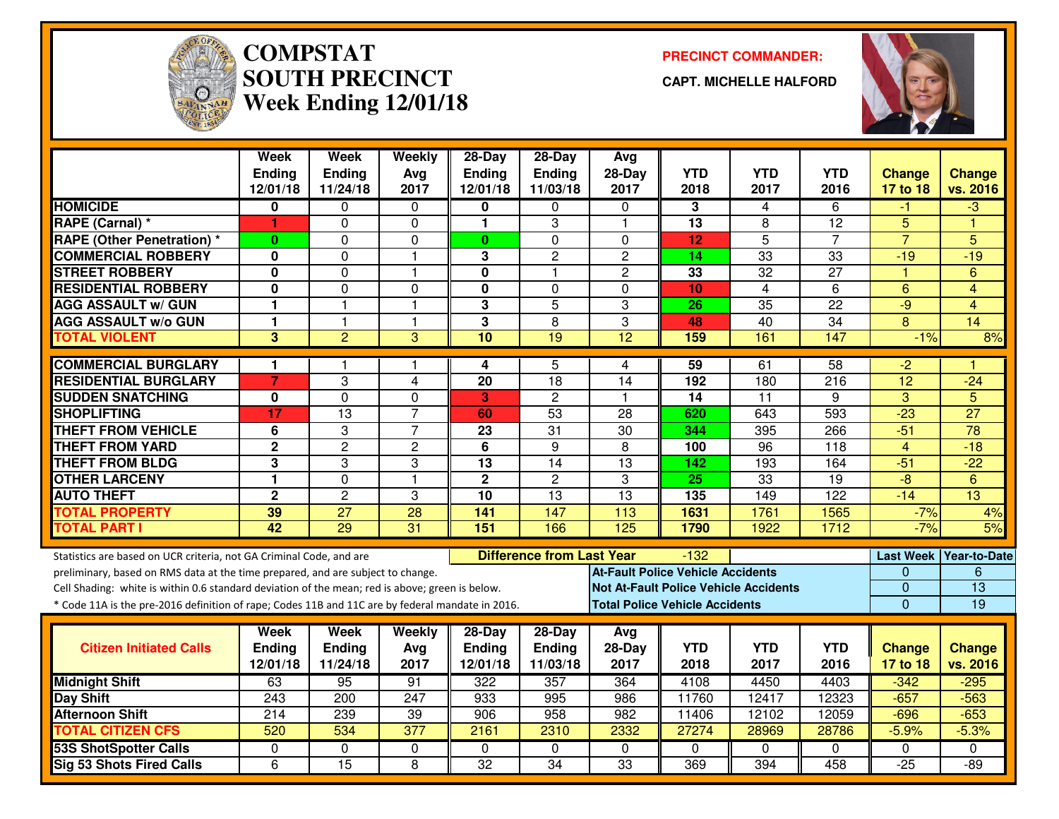

#### **COMPSTAT PRECINCT COMMANDER: SOUTH PRECINCTWeek Ending 12/01/18**

**CAPT. MICHELLE HALFORD**



|                                                                                                  | <b>Week</b><br><b>Ending</b> | <b>Week</b><br><b>Ending</b> | Weekly<br>Avg   | $28-Day$<br><b>Ending</b> | 28-Day<br>Ending                 | Avg<br>$28-Day$                          | <b>YTD</b>                            | <b>YTD</b>                                   | <b>YTD</b>      | <b>Change</b>         | <b>Change</b>           |
|--------------------------------------------------------------------------------------------------|------------------------------|------------------------------|-----------------|---------------------------|----------------------------------|------------------------------------------|---------------------------------------|----------------------------------------------|-----------------|-----------------------|-------------------------|
|                                                                                                  | 12/01/18                     | 11/24/18                     | 2017            | 12/01/18                  | 11/03/18                         | 2017                                     | 2018                                  | 2017                                         | 2016            | 17 to 18              | vs. 2016                |
| <b>HOMICIDE</b>                                                                                  | 0                            | 0                            | 0               | 0                         | 0                                | $\mathbf{0}$                             | 3                                     | 4                                            | 6               | -1                    | -3                      |
| RAPE (Carnal) *                                                                                  | 1                            | $\Omega$                     | $\mathbf 0$     | 1                         | 3                                | $\overline{1}$                           | 13                                    | 8                                            | 12              | 5                     | ۴                       |
| <b>RAPE (Other Penetration) *</b>                                                                | $\bf{0}$                     | $\mathbf 0$                  | $\mathbf 0$     | $\mathbf{0}$              | 0                                | $\Omega$                                 | 12                                    | $\overline{5}$                               | 7               | $\overline{7}$        | 5                       |
| <b>COMMERCIAL ROBBERY</b>                                                                        | 0                            | $\Omega$                     | $\mathbf{1}$    | 3                         | $\overline{c}$                   | $\overline{2}$                           | 14                                    | 33                                           | 33              | $-19$                 | $-19$                   |
| <b>STREET ROBBERY</b>                                                                            | $\mathbf 0$                  | $\Omega$                     | $\mathbf{1}$    | $\bf{0}$                  | $\mathbf{1}$                     | $\mathbf{2}$                             | 33                                    | 32                                           | 27              | -1                    | 6                       |
| <b>RESIDENTIAL ROBBERY</b>                                                                       | 0                            | $\mathbf 0$                  | $\Omega$        | $\bf{0}$                  | $\Omega$                         | $\mathbf{0}$                             | 10                                    | 4                                            | 6               | 6                     | 4                       |
| <b>AGG ASSAULT w/ GUN</b>                                                                        | 1                            | $\overline{1}$               | $\mathbf{1}$    | 3                         | 5                                | 3                                        | 26                                    | 35                                           | 22              | $-9$                  | $\overline{\mathbf{4}}$ |
| <b>AGG ASSAULT w/o GUN</b>                                                                       | $\mathbf{1}$                 | $\mathbf{1}$                 | $\mathbf{1}$    | 3                         | 8                                | 3                                        | 48                                    | 40                                           | $\overline{34}$ | 8                     | $\overline{14}$         |
| <b>TOTAL VIOLENT</b>                                                                             | $\overline{3}$               | $\overline{2}$               | $\overline{3}$  | 10                        | $\overline{19}$                  | $\overline{12}$                          | 159                                   | 161                                          | 147             | $-1%$                 | 8%                      |
| <b>COMMERCIAL BURGLARY</b>                                                                       | 1                            |                              | $\mathbf{1}$    | 4                         | 5                                | 4                                        | $\overline{59}$                       | 61                                           | $\overline{58}$ | $-2$                  |                         |
| <b>RESIDENTIAL BURGLARY</b>                                                                      | 7                            | 3                            | 4               | 20                        | 18                               | 14                                       | 192                                   | 180                                          | 216             | 12                    | $-24$                   |
| <b>SUDDEN SNATCHING</b>                                                                          | $\mathbf 0$                  | $\Omega$                     | $\mathbf 0$     | 3                         | $\overline{2}$                   | -1                                       | $\overline{14}$                       | $\overline{11}$                              | 9               | $\overline{3}$        | $\overline{5}$          |
| <b>SHOPLIFTING</b>                                                                               | 17                           | $\overline{13}$              | $\overline{7}$  | 60                        | $\overline{53}$                  | 28                                       | 620                                   | 643                                          | 593             | $-23$                 | $\overline{27}$         |
| <b>THEFT FROM VEHICLE</b>                                                                        | 6                            | 3                            | $\overline{7}$  | 23                        | $\overline{31}$                  | $\overline{30}$                          | 344                                   | 395                                          | 266             | $-51$                 | $\overline{78}$         |
| <b>THEFT FROM YARD</b>                                                                           | $\mathbf 2$                  | $\overline{2}$               | $\overline{c}$  | 6                         | 9                                | 8                                        | 100                                   | 96                                           | 118             | $\overline{4}$        | $-18$                   |
| <b>THEFT FROM BLDG</b>                                                                           | 3                            | 3                            | 3               | 13                        | 14                               | 13                                       | 142                                   | 193                                          | 164             | $-51$                 | $-22$                   |
| <b>OTHER LARCENY</b>                                                                             | 1                            | $\mathbf 0$                  | $\mathbf{1}$    | $\mathbf{2}$              | $\overline{c}$                   | 3                                        | 25                                    | $\overline{33}$                              | $\overline{19}$ | $-\frac{1}{\sqrt{2}}$ | 6                       |
| <b>AUTO THEFT</b>                                                                                | $\mathbf 2$                  | $\overline{2}$               | 3               | 10                        | 13                               | $\overline{13}$                          | 135                                   | 149                                          | 122             | $-14$                 | 13                      |
| <b>TOTAL PROPERTY</b>                                                                            | 39                           | $\overline{27}$              | 28              | 141                       | 147                              | 113                                      | 1631                                  | 1761                                         | 1565            | $-7%$                 | 4%                      |
| <b>TOTAL PART I</b>                                                                              | 42                           | $\overline{29}$              | $\overline{31}$ | 151                       | 166                              | $\overline{125}$                         | 1790                                  | 1922                                         | 1712            | $-7%$                 | 5%                      |
| Statistics are based on UCR criteria, not GA Criminal Code, and are                              |                              |                              |                 |                           | <b>Difference from Last Year</b> |                                          | $-132$                                |                                              |                 | <b>Last Week</b>      | <b>Year-to-Date</b>     |
| preliminary, based on RMS data at the time prepared, and are subject to change.                  |                              |                              |                 |                           |                                  | <b>At-Fault Police Vehicle Accidents</b> |                                       |                                              |                 | 0                     | 6                       |
| Cell Shading: white is within 0.6 standard deviation of the mean; red is above; green is below.  |                              |                              |                 |                           |                                  |                                          |                                       | <b>Not At-Fault Police Vehicle Accidents</b> |                 | $\overline{0}$        | $\overline{13}$         |
| * Code 11A is the pre-2016 definition of rape; Codes 11B and 11C are by federal mandate in 2016. |                              |                              |                 |                           |                                  |                                          | <b>Total Police Vehicle Accidents</b> |                                              |                 | $\overline{0}$        | 19                      |
|                                                                                                  | Week                         | Week                         | Weekly          | 28-Day                    | 28-Day                           | Avg                                      |                                       |                                              |                 |                       |                         |
| <b>Citizen Initiated Calls</b>                                                                   | <b>Ending</b>                | <b>Ending</b>                | Avg             | <b>Ending</b>             | Ending                           | 28-Day                                   | <b>YTD</b>                            | <b>YTD</b>                                   | <b>YTD</b>      | <b>Change</b>         | <b>Change</b>           |
|                                                                                                  | 12/01/18                     | 11/24/18                     | 2017            | 12/01/18                  | 11/03/18                         | 2017                                     | 2018                                  | 2017                                         | 2016            | 17 to 18              | vs. 2016                |
| <b>Midnight Shift</b>                                                                            | 63                           | 95                           | 91              | $\overline{322}$          | 357                              | 364                                      | 4108                                  | 4450                                         | 4403            | $-342$                | $-295$                  |
| <b>Day Shift</b>                                                                                 | 243                          | 200                          | 247             | 933                       | 995                              | 986                                      | 11760                                 | 12417                                        | 12323           | $-657$                | $-563$                  |
| <b>Afternoon Shift</b>                                                                           | 214                          | 239                          | 39              | 906                       | 958                              | 982                                      | 11406                                 | 12102                                        | 12059           | $-696$                | $-653$                  |
| <b>TOTAL CITIZEN CFS</b>                                                                         | 520                          | 534                          | 377             | 2161                      | 2310                             | 2332                                     | 27274                                 | 28969                                        | 28786           | $-5.9%$               | $-5.3%$                 |
| <b>53S ShotSpotter Calls</b>                                                                     | $\Omega$                     | 0                            | 0               | $\Omega$                  | $\Omega$                         | $\mathbf{0}$                             | $\Omega$                              | $\Omega$                                     | $\Omega$        | $\Omega$              | $\Omega$                |
| <b>Sig 53 Shots Fired Calls</b>                                                                  | 6                            | 15                           | 8               | $\overline{32}$           | $\overline{34}$                  | $\overline{33}$                          | 369                                   | 394                                          | 458             | $-25$                 | $-89$                   |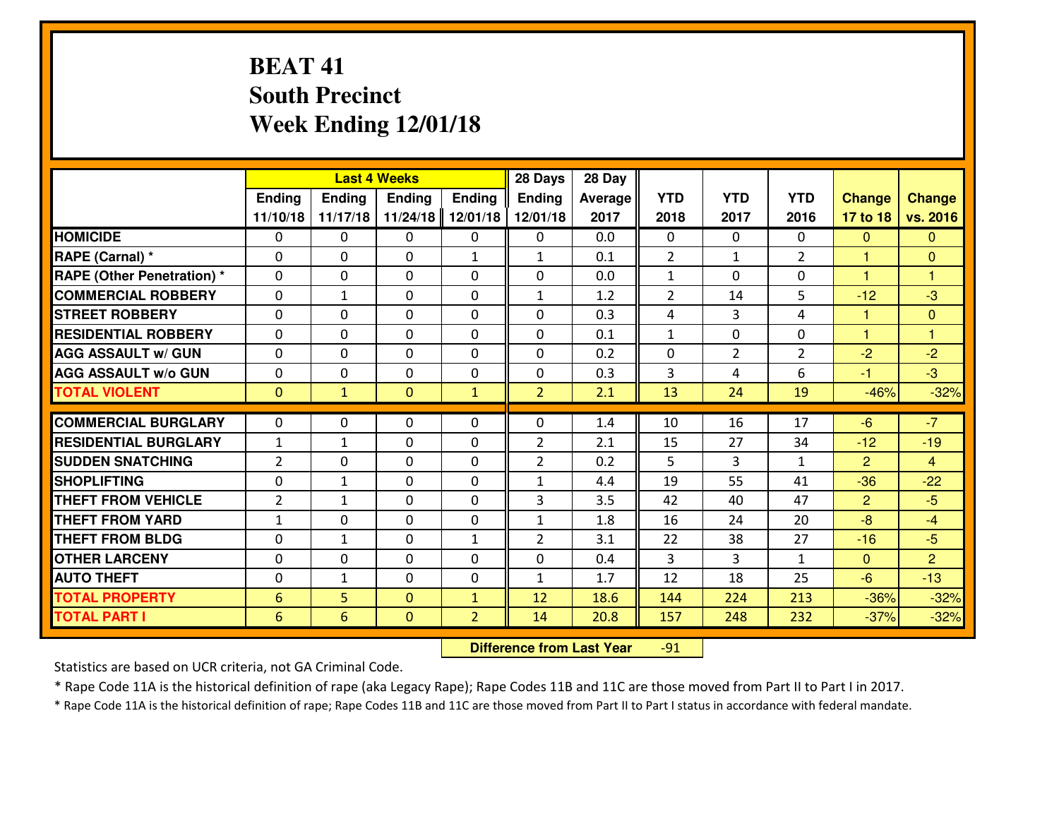# **BEAT 41 South PrecinctWeek Ending 12/01/18**

|                                  |                 |              | <b>Last 4 Weeks</b> |                | 28 Days        | 28 Day  |                |                |                |               |                |
|----------------------------------|-----------------|--------------|---------------------|----------------|----------------|---------|----------------|----------------|----------------|---------------|----------------|
|                                  | Ending          | Ending       | Ending              | <b>Ending</b>  | <b>Ending</b>  | Average | <b>YTD</b>     | <b>YTD</b>     | <b>YTD</b>     | <b>Change</b> | <b>Change</b>  |
|                                  | 11/10/18        | 11/17/18     | 11/24/18            | 12/01/18       | 12/01/18       | 2017    | 2018           | 2017           | 2016           | 17 to 18      | vs. 2016       |
| <b>HOMICIDE</b>                  | 0               | 0            | 0                   | 0              | 0              | 0.0     | 0              | $\Omega$       | 0              | $\mathbf{0}$  | $\mathbf{0}$   |
| RAPE (Carnal) *                  | $\Omega$        | 0            | 0                   | $\mathbf{1}$   | 1              | 0.1     | $\overline{2}$ | $\mathbf{1}$   | $\overline{2}$ | $\mathbf{1}$  | $\mathbf{0}$   |
| <b>RAPE (Other Penetration)*</b> | $\Omega$        | $\Omega$     | $\mathbf 0$         | $\Omega$       | $\Omega$       | 0.0     | $\mathbf{1}$   | 0              | $\Omega$       | 1             | 1              |
| <b>COMMERCIAL ROBBERY</b>        | $\Omega$        | $\mathbf{1}$ | $\mathbf 0$         | $\Omega$       | 1              | 1.2     | $\overline{2}$ | 14             | 5              | $-12$         | $-3$           |
| <b>ISTREET ROBBERY</b>           | $\mathbf{0}$    | 0            | $\mathbf{0}$        | 0              | $\Omega$       | 0.3     | 4              | 3              | 4              | 1             | $\mathbf{0}$   |
| <b>RESIDENTIAL ROBBERY</b>       | 0               | 0            | $\mathbf 0$         | 0              | 0              | 0.1     | $\mathbf{1}$   | $\mathbf{0}$   | 0              | $\mathbf{1}$  | $\overline{1}$ |
| <b>AGG ASSAULT W/ GUN</b>        | 0               | 0            | $\mathbf 0$         | 0              | 0              | 0.2     | 0              | $\overline{2}$ | $\overline{2}$ | $-2$          | $-2$           |
| <b>AGG ASSAULT W/o GUN</b>       | 0               | 0            | $\mathbf 0$         | 0              | 0              | 0.3     | 3              | 4              | 6              | $-1$          | $-3$           |
| <b>TOTAL VIOLENT</b>             | $\mathbf{0}$    | $\mathbf{1}$ | $\overline{0}$      | $\mathbf{1}$   | $\overline{2}$ | 2.1     | 13             | 24             | 19             | $-46%$        | $-32%$         |
| <b>COMMERCIAL BURGLARY</b>       | $\Omega$        | 0            | $\mathbf{0}$        | $\Omega$       | $\Omega$       | 1.4     | 10             | 16             | 17             | $-6$          | $-7$           |
| <b>RESIDENTIAL BURGLARY</b>      | $\mathbf{1}$    | $\mathbf{1}$ | $\mathbf 0$         | $\Omega$       | $\overline{2}$ | 2.1     | 15             | 27             | 34             | $-12$         | $-19$          |
| <b>SUDDEN SNATCHING</b>          | $\overline{2}$  | 0            | $\mathbf 0$         | $\Omega$       | $\overline{2}$ | 0.2     | 5              | 3              | $\mathbf{1}$   | 2             | $\overline{4}$ |
| <b>SHOPLIFTING</b>               | 0               | $\mathbf{1}$ | $\mathbf 0$         | 0              | $\mathbf{1}$   | 4.4     | 19             | 55             | 41             | $-36$         | $-22$          |
| <b>THEFT FROM VEHICLE</b>        | 2               | $\mathbf{1}$ | $\mathbf 0$         | 0              | 3              | 3.5     | 42             | 40             | 47             | 2             | $-5$           |
| <b>THEFT FROM YARD</b>           | $1\,$           | 0            | $\mathbf 0$         | 0              | $\mathbf{1}$   | 1.8     | 16             | 24             | 20             | $-8$          | $-4$           |
| <b>THEFT FROM BLDG</b>           | $\mathbf{0}$    | $\mathbf{1}$ | 0                   | $\mathbf{1}$   | $\overline{2}$ | 3.1     | 22             | 38             | 27             | $-16$         | $-5$           |
| <b>OTHER LARCENY</b>             | 0               | 0            | $\mathbf 0$         | 0              | 0              | 0.4     | 3              | 3              | $\mathbf{1}$   | $\mathbf{0}$  | $\overline{2}$ |
| <b>AUTO THEFT</b>                | 0               | $\mathbf{1}$ | 0                   | $\mathbf{0}$   | 1              | 1.7     | 12             | 18             | 25             | $-6$          | $-13$          |
| <b>TOTAL PROPERTY</b>            | $6\phantom{1}6$ | 5            | $\overline{0}$      | $\mathbf{1}$   | 12             | 18.6    | 144            | 224            | 213            | $-36%$        | $-32%$         |
| <b>TOTAL PART I</b>              | 6               | 6            | $\overline{0}$      | $\overline{2}$ | 14             | 20.8    | 157            | 248            | 232            | $-37%$        | $-32%$         |
|                                  |                 |              |                     |                |                |         |                |                |                |               |                |

 **Difference from Last Year**-91

Statistics are based on UCR criteria, not GA Criminal Code.

\* Rape Code 11A is the historical definition of rape (aka Legacy Rape); Rape Codes 11B and 11C are those moved from Part II to Part I in 2017.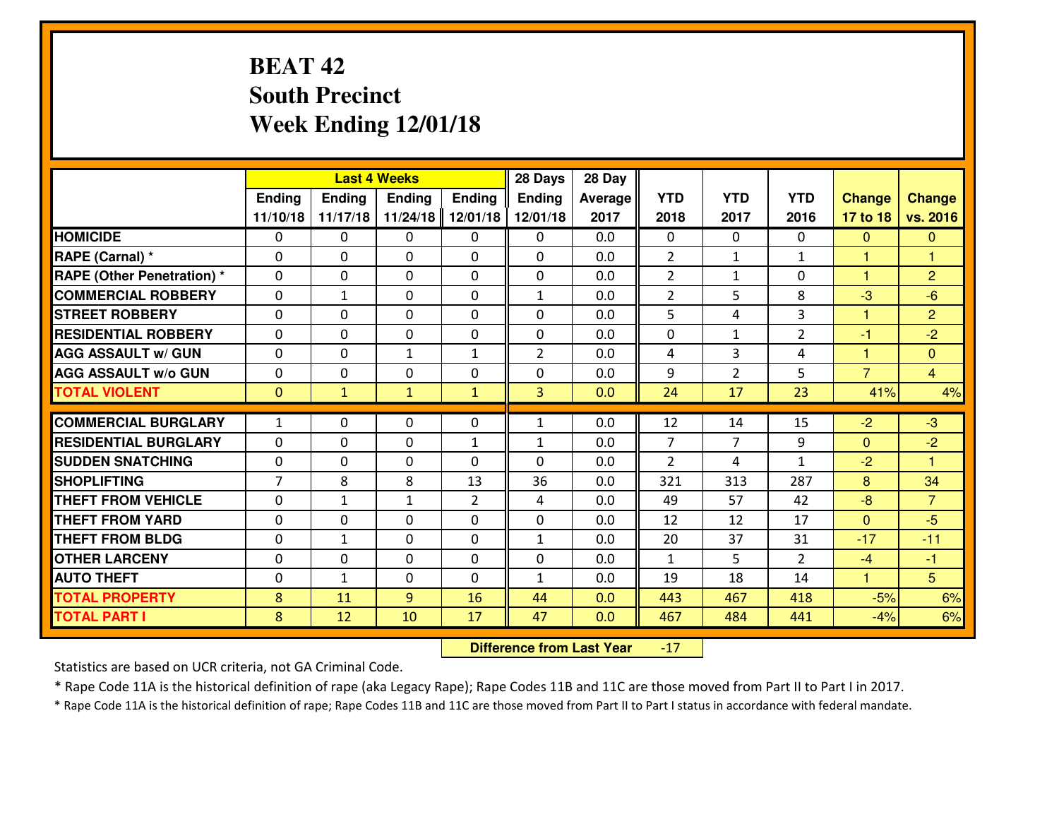# **BEAT 42 South PrecinctWeek Ending 12/01/18**

|                                   |                     |               | <b>Last 4 Weeks</b> |                          | 28 Days        | 28 Day     |               |                |                |                |                      |
|-----------------------------------|---------------------|---------------|---------------------|--------------------------|----------------|------------|---------------|----------------|----------------|----------------|----------------------|
|                                   | Ending              | <b>Ending</b> | <b>Ending</b>       | <b>Ending</b>            | <b>Ending</b>  | Average    | <b>YTD</b>    | <b>YTD</b>     | <b>YTD</b>     | <b>Change</b>  | <b>Change</b>        |
|                                   | 11/10/18            | 11/17/18      | 11/24/18            | 12/01/18                 | 12/01/18       | 2017       | 2018          | 2017           | 2016           | 17 to 18       | vs. 2016             |
| <b>HOMICIDE</b>                   | $\mathbf{0}$        | 0             | $\mathbf{0}$        | 0                        | 0              | 0.0        | 0             | $\Omega$       | $\Omega$       | $\mathbf{0}$   | $\mathbf{0}$         |
| RAPE (Carnal) *                   | $\Omega$            | 0             | $\mathbf{0}$        | 0                        | $\Omega$       | 0.0        | 2             | $\mathbf{1}$   | $\mathbf{1}$   | 1.             | $\mathbf{1}$         |
| <b>RAPE (Other Penetration) *</b> | $\Omega$            | 0             | $\Omega$            | $\Omega$                 | $\Omega$       | 0.0        | 2             | $\mathbf{1}$   | $\Omega$       | 1              | $\overline{2}$       |
| <b>COMMERCIAL ROBBERY</b>         | $\Omega$            | 1             | $\mathbf 0$         | $\Omega$                 | $\mathbf{1}$   | 0.0        | 2             | 5              | 8              | $-3$           | $-6$                 |
| <b>STREET ROBBERY</b>             | 0                   | 0             | $\mathbf 0$         | 0                        | 0              | 0.0        | 5             | 4              | 3              | $\mathbf{1}$   | $\overline{2}$       |
| <b>RESIDENTIAL ROBBERY</b>        | $\Omega$            | 0             | $\mathbf 0$         | 0                        | 0              | 0.0        | 0             | $\mathbf{1}$   | $\overline{2}$ | $-1$           | $-2$                 |
| <b>AGG ASSAULT W/ GUN</b>         | 0                   | 0             | $\mathbf{1}$        | $\mathbf{1}$             | $\overline{2}$ | 0.0        | 4             | $\overline{3}$ | 4              | 1              | $\overline{0}$       |
| <b>AGG ASSAULT W/o GUN</b>        | 0                   | 0             | $\mathbf 0$         | 0                        | 0              | 0.0        | 9             | $\overline{2}$ | 5              | $\overline{7}$ | $\overline{4}$       |
| <b>TOTAL VIOLENT</b>              | $\mathbf{0}$        | $\mathbf{1}$  | $\mathbf{1}$        | $\mathbf{1}$             | 3              | 0.0        | 24            | 17             | 23             | 41%            | 4%                   |
| <b>COMMERCIAL BURGLARY</b>        | $\mathbf{1}$        | 0             | $\mathbf{0}$        | 0                        | $\mathbf{1}$   | 0.0        | 12            | 14             | 15             | $-2$           | $-3$                 |
| <b>RESIDENTIAL BURGLARY</b>       | $\Omega$            | 0             | $\mathbf 0$         |                          |                | 0.0        | 7             | 7              | 9              | $\mathbf{0}$   | $-2$                 |
| <b>SUDDEN SNATCHING</b>           |                     | 0             |                     | $\mathbf{1}$<br>$\Omega$ | 1<br>$\Omega$  |            | $\mathcal{L}$ | 4              | $\mathbf{1}$   |                | $\blacktriangleleft$ |
| <b>SHOPLIFTING</b>                | 0<br>$\overline{7}$ | 8             | $\mathbf 0$<br>8    | 13                       | 36             | 0.0<br>0.0 | 321           | 313            | 287            | $-2$           | 34                   |
|                                   |                     |               |                     |                          |                |            |               |                |                | 8              |                      |
| <b>THEFT FROM VEHICLE</b>         | $\Omega$            | 1             | 1                   | $\overline{2}$           | 4              | 0.0        | 49            | 57             | 42             | $-8$           | $\overline{7}$       |
| <b>THEFT FROM YARD</b>            | 0                   | 0             | $\mathbf 0$         | 0                        | 0              | 0.0        | 12            | 12             | 17             | $\overline{0}$ | $-5$                 |
| <b>THEFT FROM BLDG</b>            | 0                   | 1             | $\mathbf 0$         | 0                        | $\mathbf{1}$   | 0.0        | 20            | 37             | 31             | $-17$          | $-11$                |
| <b>OTHER LARCENY</b>              | 0                   | 0             | $\mathbf 0$         | 0                        | 0              | 0.0        | $\mathbf{1}$  | 5 <sup>1</sup> | $\mathcal{L}$  | $-4$           | $-1$                 |
| <b>AUTO THEFT</b>                 | 0                   | $\mathbf{1}$  | 0                   | $\Omega$                 | $\mathbf{1}$   | 0.0        | 19            | 18             | 14             | $\mathbf{1}$   | 5                    |
| <b>TOTAL PROPERTY</b>             | 8                   | 11            | 9                   | 16                       | 44             | 0.0        | 443           | 467            | 418            | $-5%$          | 6%                   |
| <b>TOTAL PART I</b>               | 8                   | 12            | 10                  | 17                       | 47             | 0.0        | 467           | 484            | 441            | $-4%$          | 6%                   |

 **Difference from Last Year**-17

Statistics are based on UCR criteria, not GA Criminal Code.

\* Rape Code 11A is the historical definition of rape (aka Legacy Rape); Rape Codes 11B and 11C are those moved from Part II to Part I in 2017.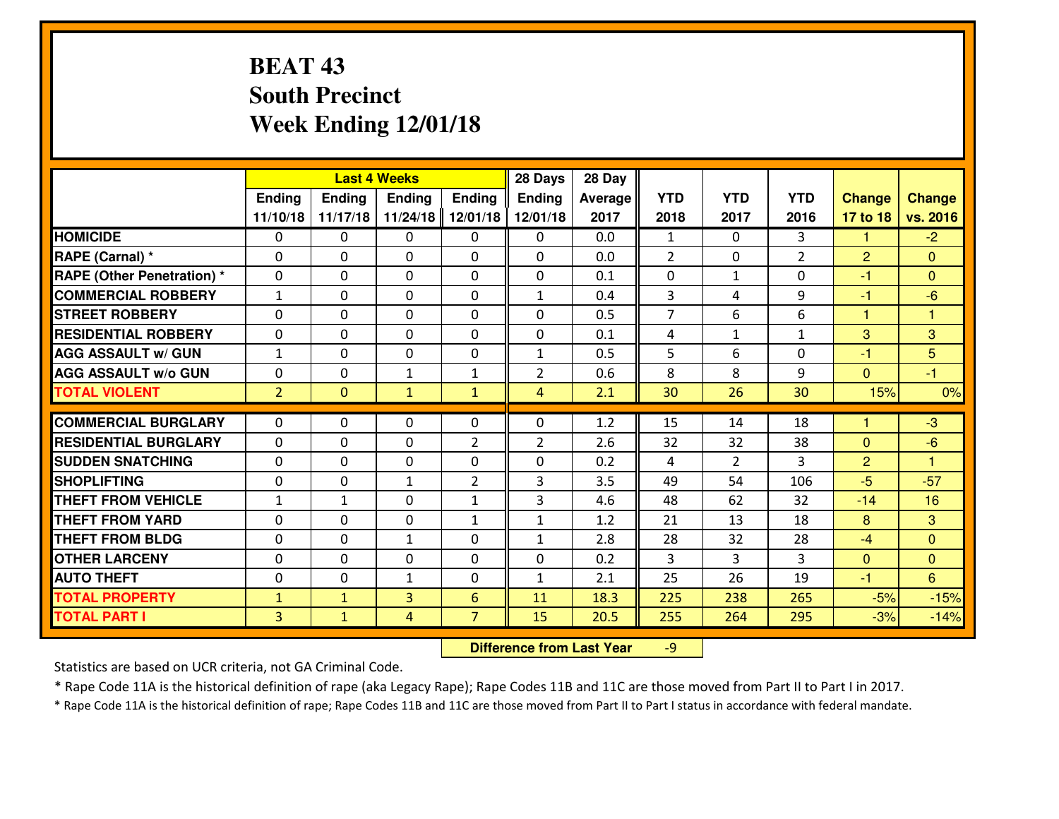# **BEAT 43 South PrecinctWeek Ending 12/01/18**

|                             |                |               | <b>Last 4 Weeks</b> |                | 28 Days        | 28 Day  |                |                |                |                      |                |
|-----------------------------|----------------|---------------|---------------------|----------------|----------------|---------|----------------|----------------|----------------|----------------------|----------------|
|                             | Ending         | <b>Ending</b> | <b>Ending</b>       | <b>Ending</b>  | Ending         | Average | <b>YTD</b>     | <b>YTD</b>     | <b>YTD</b>     | <b>Change</b>        | <b>Change</b>  |
|                             | 11/10/18       | 11/17/18      | 11/24/18            | 12/01/18       | 12/01/18       | 2017    | 2018           | 2017           | 2016           | 17 to 18             | vs. 2016       |
| <b>HOMICIDE</b>             | $\Omega$       | 0             | $\Omega$            | 0              | $\Omega$       | 0.0     | 1              | $\Omega$       | 3              | 1                    | $-2$           |
| RAPE (Carnal) *             | $\mathbf{0}$   | 0             | $\mathbf{0}$        | 0              | $\Omega$       | 0.0     | 2              | $\mathbf{0}$   | $\overline{2}$ | 2                    | $\mathbf{0}$   |
| RAPE (Other Penetration) *  | $\Omega$       | 0             | $\mathbf{0}$        | $\Omega$       | $\Omega$       | 0.1     | $\mathbf{0}$   | $\mathbf{1}$   | 0              | $-1$                 | $\Omega$       |
| <b>COMMERCIAL ROBBERY</b>   | $\mathbf{1}$   | 0             | 0                   | 0              | $\mathbf{1}$   | 0.4     | 3              | 4              | 9              | $-1$                 | $-6$           |
| <b>STREET ROBBERY</b>       | 0              | 0             | $\mathbf 0$         | 0              | 0              | 0.5     | $\overline{7}$ | 6              | 6              | $\mathbf{1}$         | 1              |
| <b>RESIDENTIAL ROBBERY</b>  | $\Omega$       | $\Omega$      | $\mathbf 0$         | $\Omega$       | 0              | 0.1     | 4              | $\mathbf{1}$   | $\mathbf{1}$   | 3                    | 3              |
| <b>AGG ASSAULT w/ GUN</b>   | $\mathbf{1}$   | 0             | $\mathbf 0$         | 0              | $\mathbf{1}$   | 0.5     | 5              | 6              | 0              | $-1$                 | 5              |
| <b>AGG ASSAULT W/o GUN</b>  | 0              | 0             | 1                   | $\mathbf{1}$   | $\overline{2}$ | 0.6     | 8              | 8              | 9              | $\mathbf{0}$         | $-1$           |
| <b>TOTAL VIOLENT</b>        | $\overline{2}$ | $\mathbf{0}$  | $\mathbf{1}$        | $\mathbf{1}$   | $\overline{4}$ | 2.1     | 30             | 26             | 30             | 15%                  | 0%             |
| <b>COMMERCIAL BURGLARY</b>  | $\Omega$       | 0             | $\mathbf{0}$        | $\Omega$       | $\Omega$       | 1.2     | 15             | 14             | 18             | $\blacktriangleleft$ | $-3$           |
| <b>RESIDENTIAL BURGLARY</b> | 0              | 0             | 0                   | $\overline{2}$ | $\overline{2}$ | 2.6     | 32             | 32             | 38             | $\Omega$             | $-6$           |
| <b>SUDDEN SNATCHING</b>     | 0              | 0             | $\mathbf 0$         | 0              | 0              | 0.2     | 4              | $\overline{2}$ | 3              | $\overline{2}$       | 1              |
| <b>SHOPLIFTING</b>          | 0              | 0             | 1                   | $\overline{2}$ | 3              | 3.5     | 49             | 54             | 106            | $-5$                 | $-57$          |
| <b>THEFT FROM VEHICLE</b>   | $\mathbf{1}$   | $\mathbf{1}$  | $\mathbf 0$         | $\mathbf{1}$   | 3              | 4.6     | 48             | 62             | 32             | $-14$                | 16             |
| <b>THEFT FROM YARD</b>      | 0              | 0             | $\mathbf 0$         | $\mathbf{1}$   | $\mathbf{1}$   | 1.2     | 21             | 13             | 18             | 8                    | 3              |
| <b>THEFT FROM BLDG</b>      | 0              | 0             | 1                   | 0              | $\mathbf{1}$   | 2.8     | 28             | 32             | 28             | $-4$                 | $\overline{0}$ |
| <b>OTHER LARCENY</b>        | 0              | 0             | $\mathbf 0$         | 0              | 0              | 0.2     | 3              | 3              | 3              | $\mathbf{0}$         | $\overline{0}$ |
| <b>AUTO THEFT</b>           | $\mathbf{0}$   | 0             | $\mathbf{1}$        | 0              | $\mathbf{1}$   | 2.1     | 25             | 26             | 19             | $-1$                 | 6              |
| <b>TOTAL PROPERTY</b>       | $\mathbf{1}$   | $\mathbf{1}$  | $\overline{3}$      | 6              | 11             | 18.3    | 225            | 238            | 265            | $-5%$                | $-15%$         |
|                             |                |               |                     |                |                |         |                | 264            |                |                      |                |
| <b>TOTAL PART I</b>         | $\overline{3}$ | $\mathbf{1}$  | 4                   | $\overline{7}$ | 15             | 20.5    | 255            |                | 295            | $-3%$                | $-14%$         |

 **Difference from Last Year**-9

Statistics are based on UCR criteria, not GA Criminal Code.

\* Rape Code 11A is the historical definition of rape (aka Legacy Rape); Rape Codes 11B and 11C are those moved from Part II to Part I in 2017.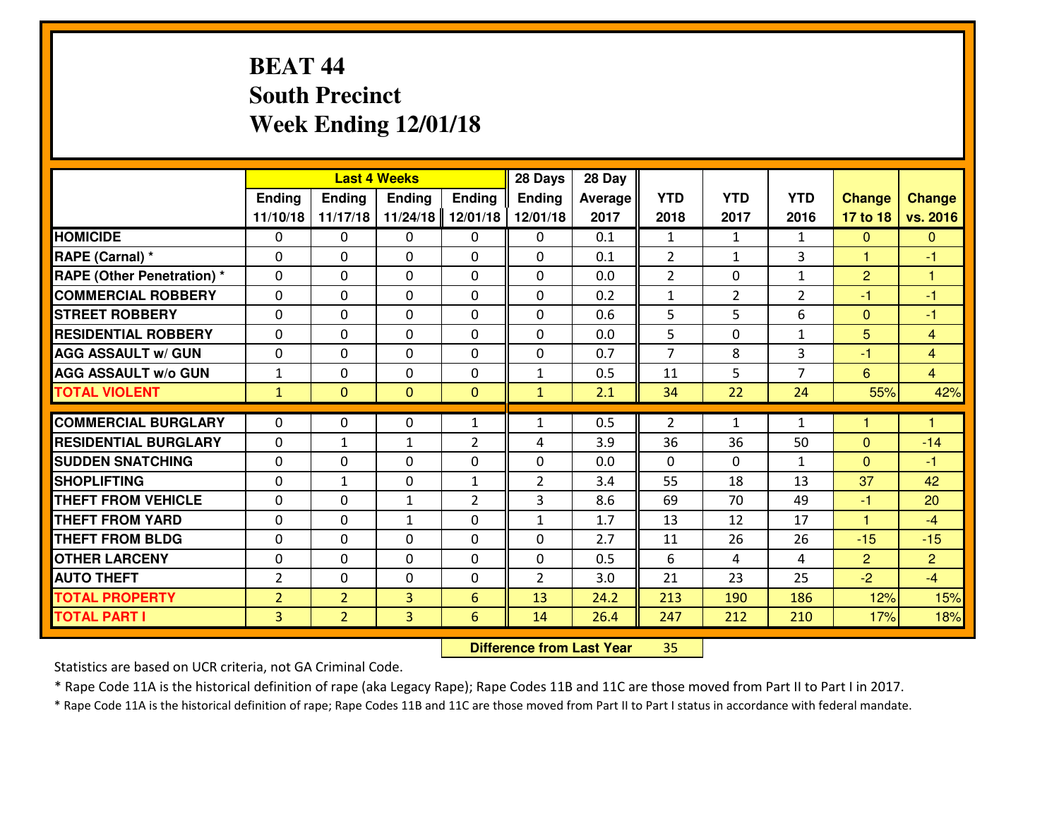# **BEAT 44 South PrecinctWeek Ending 12/01/18**

|                             |                |                | <b>Last 4 Weeks</b> |                | 28 Days        | 28 Day  |                |                |                |                |                |
|-----------------------------|----------------|----------------|---------------------|----------------|----------------|---------|----------------|----------------|----------------|----------------|----------------|
|                             | Ending         | <b>Ending</b>  | <b>Ending</b>       | <b>Ending</b>  | Ending         | Average | <b>YTD</b>     | <b>YTD</b>     | <b>YTD</b>     | <b>Change</b>  | <b>Change</b>  |
|                             | 11/10/18       | 11/17/18       | 11/24/18            | 12/01/18       | 12/01/18       | 2017    | 2018           | 2017           | 2016           | 17 to 18       | vs. 2016       |
| <b>HOMICIDE</b>             | $\Omega$       | 0              | $\Omega$            | 0              | $\Omega$       | 0.1     | 1              | $\mathbf{1}$   | $\mathbf{1}$   | $\Omega$       | $\mathbf{0}$   |
| RAPE (Carnal) *             | $\mathbf{0}$   | 0              | $\mathbf{0}$        | 0              | $\Omega$       | 0.1     | 2              | $\mathbf{1}$   | 3              | $\mathbf{1}$   | $-1$           |
| RAPE (Other Penetration) *  | $\Omega$       | 0              | $\mathbf{0}$        | $\Omega$       | $\Omega$       | 0.0     | $\overline{2}$ | 0              | $\mathbf{1}$   | $\overline{2}$ | 1              |
| <b>COMMERCIAL ROBBERY</b>   | $\mathbf{0}$   | 0              | 0                   | 0              | $\Omega$       | 0.2     | $\mathbf{1}$   | $\overline{2}$ | $\overline{2}$ | $-1$           | $-1$           |
| <b>STREET ROBBERY</b>       | 0              | 0              | $\mathbf 0$         | $\Omega$       | 0              | 0.6     | 5              | 5              | 6              | $\mathbf{0}$   | $-1$           |
| <b>RESIDENTIAL ROBBERY</b>  | $\Omega$       | $\Omega$       | $\mathbf 0$         | $\Omega$       | 0              | 0.0     | 5              | $\Omega$       | $\mathbf{1}$   | 5              | $\overline{4}$ |
| <b>AGG ASSAULT w/ GUN</b>   | 0              | 0              | $\mathbf 0$         | $\Omega$       | 0              | 0.7     | $\overline{7}$ | 8              | 3              | $-1$           | $\overline{4}$ |
| <b>AGG ASSAULT W/o GUN</b>  | $1\,$          | 0              | $\mathbf 0$         | $\mathbf 0$    | $\mathbf{1}$   | 0.5     | 11             | 5              | $\overline{7}$ | 6              | $\overline{4}$ |
| <b>TOTAL VIOLENT</b>        | $\mathbf{1}$   | $\mathbf{0}$   | $\overline{0}$      | $\mathbf{0}$   | $\mathbf{1}$   | 2.1     | 34             | 22             | 24             | 55%            | 42%            |
| <b>COMMERCIAL BURGLARY</b>  | $\Omega$       | 0              | $\mathbf{0}$        | $\mathbf{1}$   | 1              | 0.5     | 2              | $\mathbf{1}$   | $\mathbf{1}$   | 1              | 1              |
| <b>RESIDENTIAL BURGLARY</b> | 0              | $\mathbf{1}$   | $\mathbf{1}$        | $\overline{2}$ | 4              | 3.9     | 36             | 36             | 50             | $\Omega$       | $-14$          |
| <b>SUDDEN SNATCHING</b>     | 0              | 0              | 0                   | 0              | 0              | 0.0     | 0              | $\mathbf{0}$   | $\mathbf{1}$   | $\overline{0}$ | $-1$           |
| <b>SHOPLIFTING</b>          | 0              | $\mathbf{1}$   | $\mathbf 0$         | $\mathbf{1}$   | $\overline{2}$ | 3.4     | 55             | 18             | 13             | 37             | 42             |
| <b>THEFT FROM VEHICLE</b>   | $\Omega$       | 0              | $\mathbf{1}$        | $\overline{2}$ | 3              | 8.6     | 69             | 70             | 49             | $-1$           | 20             |
| <b>THEFT FROM YARD</b>      | 0              | 0              | 1                   | 0              | $\mathbf{1}$   | 1.7     | 13             | 12             | 17             | $\overline{1}$ | $-4$           |
| <b>THEFT FROM BLDG</b>      | 0              | 0              | $\mathbf 0$         | 0              | 0              | 2.7     | 11             | 26             | 26             | $-15$          | $-15$          |
| <b>OTHER LARCENY</b>        | 0              | 0              | $\mathbf 0$         | 0              | 0              | 0.5     | 6              | 4              | 4              | $\overline{2}$ | $\overline{2}$ |
| <b>AUTO THEFT</b>           | $\overline{2}$ | 0              | $\mathbf{0}$        | 0              | $\overline{2}$ | 3.0     | 21             | 23             | 25             | $-2$           | $-4$           |
| <b>TOTAL PROPERTY</b>       | $\overline{2}$ | $\overline{2}$ | $\overline{3}$      | 6              | 13             | 24.2    | 213            | 190            | 186            | 12%            | 15%            |
|                             |                |                |                     |                |                |         |                |                |                |                |                |
| <b>TOTAL PART I</b>         | $\overline{3}$ | $\overline{2}$ | 3                   | 6              | 14             | 26.4    | 247            | 212            | 210            | 17%            | 18%            |

 **Difference from Last Year**<sup>35</sup>

Statistics are based on UCR criteria, not GA Criminal Code.

\* Rape Code 11A is the historical definition of rape (aka Legacy Rape); Rape Codes 11B and 11C are those moved from Part II to Part I in 2017.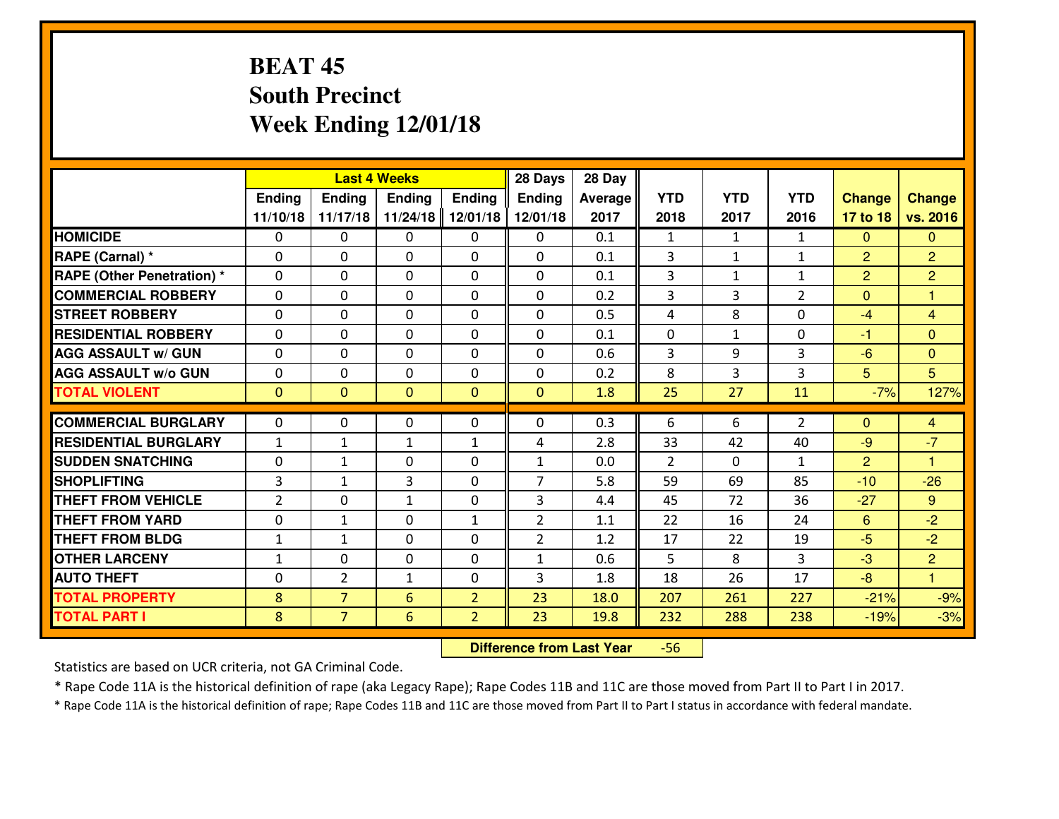# **BEAT 45 South PrecinctWeek Ending 12/01/18**

|                             |               |                | <b>Last 4 Weeks</b> |                | 28 Days        | 28 Day         |                |              |                |                |                      |
|-----------------------------|---------------|----------------|---------------------|----------------|----------------|----------------|----------------|--------------|----------------|----------------|----------------------|
|                             | <b>Ending</b> | <b>Ending</b>  | <b>Ending</b>       | <b>Ending</b>  | <b>Ending</b>  | <b>Average</b> | <b>YTD</b>     | <b>YTD</b>   | <b>YTD</b>     | <b>Change</b>  | <b>Change</b>        |
|                             | 11/10/18      | 11/17/18       | 11/24/18            | 12/01/18       | 12/01/18       | 2017           | 2018           | 2017         | 2016           | 17 to 18       | vs. 2016             |
| <b>HOMICIDE</b>             | $\Omega$      | 0              | $\mathbf{0}$        | $\mathbf{0}$   | 0              | 0.1            | $\mathbf{1}$   | $\mathbf{1}$ | $\mathbf{1}$   | $\Omega$       | $\Omega$             |
| RAPE (Carnal) *             | $\Omega$      | 0              | $\mathbf{0}$        | $\Omega$       | $\Omega$       | 0.1            | 3              | $\mathbf{1}$ | $\mathbf{1}$   | $\overline{2}$ | $\overline{2}$       |
| RAPE (Other Penetration) *  | $\Omega$      | 0              | $\mathbf{0}$        | 0              | $\Omega$       | 0.1            | 3              | $\mathbf{1}$ | $\mathbf{1}$   | $\overline{2}$ | $\overline{2}$       |
| <b>COMMERCIAL ROBBERY</b>   | $\mathbf{0}$  | 0              | 0                   | 0              | 0              | 0.2            | 3              | 3            | $\overline{2}$ | $\mathbf{0}$   | $\mathbf{1}$         |
| <b>STREET ROBBERY</b>       | 0             | 0              | $\mathbf 0$         | 0              | $\Omega$       | 0.5            | 4              | 8            | 0              | $-4$           | $\overline{4}$       |
| <b>RESIDENTIAL ROBBERY</b>  | $\Omega$      | 0              | $\mathbf 0$         | 0              | 0              | 0.1            | $\mathbf{0}$   | $\mathbf{1}$ | 0              | $-1$           | $\overline{0}$       |
| <b>AGG ASSAULT w/ GUN</b>   | 0             | 0              | 0                   | 0              | 0              | 0.6            | 3              | 9            | 3              | $-6$           | $\overline{0}$       |
| <b>AGG ASSAULT W/o GUN</b>  | 0             | 0              | $\mathbf 0$         | 0              | 0              | 0.2            | 8              | 3            | 3              | 5              | 5 <sup>5</sup>       |
| <b>TOTAL VIOLENT</b>        | $\mathbf{0}$  | $\overline{0}$ | $\mathbf{0}$        | $\mathbf{0}$   | $\mathbf{0}$   | 1.8            | 25             | 27           | 11             | $-7%$          | 127%                 |
| <b>COMMERCIAL BURGLARY</b>  | $\Omega$      | 0              | $\mathbf{0}$        | 0              | $\Omega$       | 0.3            | 6              | 6            | $\overline{2}$ | $\Omega$       | $\overline{4}$       |
| <b>RESIDENTIAL BURGLARY</b> | $\mathbf{1}$  | $\mathbf{1}$   | $\mathbf{1}$        | $\mathbf{1}$   | 4              | 2.8            | 33             | 42           | 40             | $-9$           | $-7$                 |
| <b>SUDDEN SNATCHING</b>     | $\Omega$      | 1              | 0                   | $\Omega$       | $\mathbf{1}$   | 0.0            | $\overline{2}$ | $\Omega$     | $\mathbf{1}$   | $\overline{2}$ | $\blacktriangleleft$ |
| <b>SHOPLIFTING</b>          | 3             | $\mathbf{1}$   | 3                   | $\Omega$       | $\overline{7}$ | 5.8            | 59             | 69           | 85             | $-10$          | $-26$                |
| <b>THEFT FROM VEHICLE</b>   | 2             | $\Omega$       | $\mathbf{1}$        | 0              | 3              | 4.4            | 45             | 72           | 36             | $-27$          | 9                    |
| <b>THEFT FROM YARD</b>      | 0             | $\mathbf{1}$   | $\mathbf 0$         | $\mathbf{1}$   | $\overline{2}$ | 1.1            | 22             | 16           | 24             | 6              | $-2$                 |
| <b>THEFT FROM BLDG</b>      | $\mathbf{1}$  | $\mathbf{1}$   | $\mathbf 0$         | 0              | $\overline{2}$ | 1.2            | 17             | 22           | 19             | $-5$           | $-2$                 |
| <b>OTHER LARCENY</b>        | $1\,$         | 0              | $\mathbf 0$         | 0              | 1              | 0.6            | 5              | 8            | 3              | $-3$           | $\overline{2}$       |
| <b>AUTO THEFT</b>           | $\Omega$      | $\overline{2}$ | $\mathbf{1}$        | $\Omega$       | 3              | 1.8            | 18             | 26           | 17             | $-8$           | $\blacktriangleleft$ |
| <b>TOTAL PROPERTY</b>       | 8             | $\overline{7}$ | 6                   | $\overline{2}$ | 23             | 18.0           | 207            | 261          | 227            | $-21%$         | $-9%$                |
| <b>TOTAL PART I</b>         | 8             | $\overline{7}$ | 6                   | $\overline{2}$ | 23             | 19.8           | 232            | 288          | 238            | $-19%$         | $-3%$                |
|                             |               |                |                     |                |                |                |                |              |                |                |                      |

 **Difference from Last Year**-56

Statistics are based on UCR criteria, not GA Criminal Code.

\* Rape Code 11A is the historical definition of rape (aka Legacy Rape); Rape Codes 11B and 11C are those moved from Part II to Part I in 2017.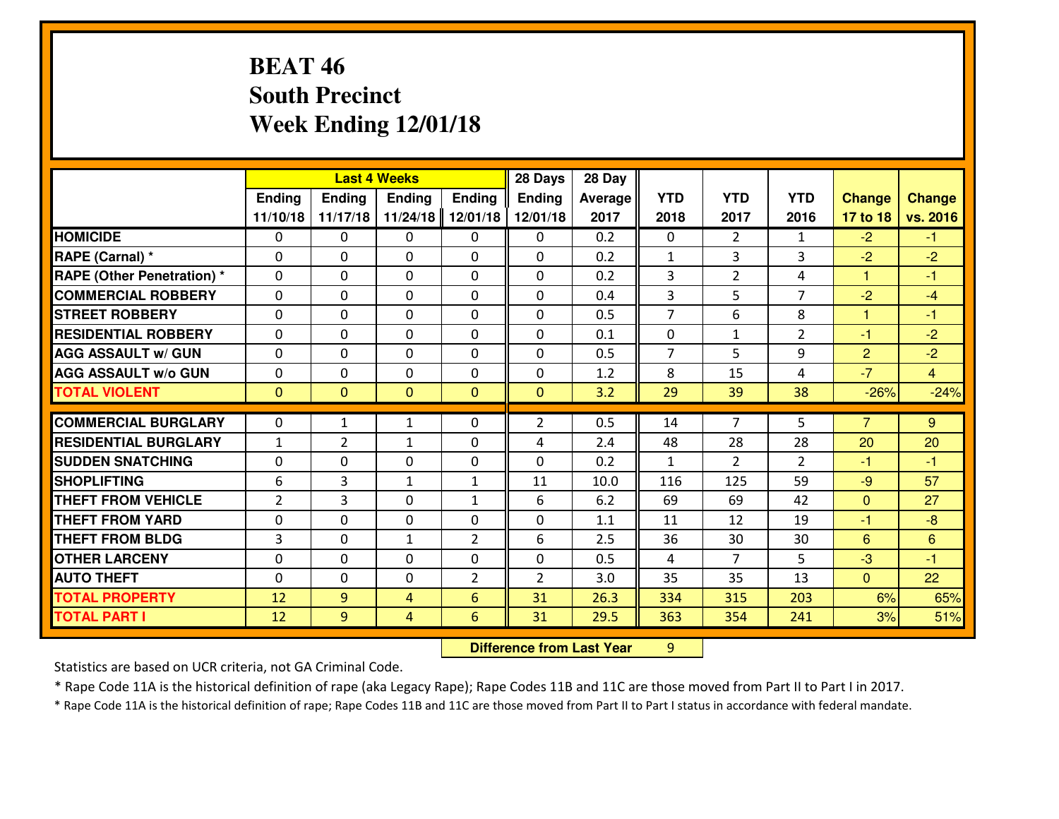# **BEAT 46 South PrecinctWeek Ending 12/01/18**

|                                              |              |                | <b>Last 4 Weeks</b> |                | 28 Days        | 28 Day       |                |                |                |                |                |
|----------------------------------------------|--------------|----------------|---------------------|----------------|----------------|--------------|----------------|----------------|----------------|----------------|----------------|
|                                              | Ending       | Ending         | Ending              | <b>Ending</b>  | <b>Ending</b>  | Average      | <b>YTD</b>     | <b>YTD</b>     | <b>YTD</b>     | <b>Change</b>  | <b>Change</b>  |
|                                              | 11/10/18     | 11/17/18       | 11/24/18            | 12/01/18       | 12/01/18       | 2017         | 2018           | 2017           | 2016           | 17 to 18       | vs. 2016       |
| <b>HOMICIDE</b>                              | $\Omega$     | 0              | 0                   | $\Omega$       | 0              | 0.2          | 0              | $\overline{2}$ | $\mathbf{1}$   | $-2$           | $-1$           |
| RAPE (Carnal) *                              | $\mathbf{0}$ | 0              | $\mathbf{0}$        | 0              | $\Omega$       | 0.2          | $\mathbf{1}$   | 3              | 3              | $-2$           | $-2$           |
| <b>RAPE (Other Penetration) *</b>            | $\mathbf{0}$ | 0              | $\mathbf{0}$        | 0              | $\Omega$       | 0.2          | 3              | $\overline{2}$ | 4              | 1              | $-1$           |
| <b>COMMERCIAL ROBBERY</b>                    | $\mathbf{0}$ | 0              | 0                   | $\Omega$       | $\Omega$       | 0.4          | 3              | 5.             | $\overline{7}$ | $-2$           | $-4$           |
| <b>STREET ROBBERY</b>                        | $\mathbf{0}$ | 0              | $\mathbf{0}$        | 0              | $\Omega$       | 0.5          | $\overline{7}$ | 6              | 8              | 1              | $-1$           |
| <b>RESIDENTIAL ROBBERY</b>                   | $\Omega$     | 0              | $\mathbf 0$         | 0              | 0              | 0.1          | 0              | $\mathbf{1}$   | $\overline{2}$ | $-1$           | $-2$           |
| <b>AGG ASSAULT W/ GUN</b>                    | 0            | 0              | $\mathbf 0$         | 0              | 0              | 0.5          | $\overline{7}$ | 5              | 9              | $\overline{2}$ | $-2$           |
| <b>AGG ASSAULT W/o GUN</b>                   | 0            | 0              | $\mathbf 0$         | 0              | 0              | 1.2          | 8              | 15             | 4              | $-7$           | $\overline{4}$ |
| <b>TOTAL VIOLENT</b>                         | $\mathbf{0}$ | $\overline{0}$ | $\mathbf{0}$        | $\mathbf{0}$   | $\mathbf{0}$   | 3.2          | 29             | 39             | 38             | $-26%$         | $-24%$         |
| <b>COMMERCIAL BURGLARY</b>                   | $\mathbf{0}$ | $\mathbf{1}$   | 1                   | 0              | $\overline{2}$ | 0.5          | 14             | 7              | 5              | $\overline{7}$ | 9              |
| <b>RESIDENTIAL BURGLARY</b>                  | $\mathbf{1}$ | $\overline{2}$ | 1                   | 0              | 4              | 2.4          | 48             | 28             | 28             | 20             | 20             |
| <b>SUDDEN SNATCHING</b>                      | $\mathbf{0}$ | 0              | $\mathbf 0$         | 0              | 0              | 0.2          | $\mathbf{1}$   | $\mathcal{L}$  | $\overline{2}$ | -1             | $-1$           |
| <b>SHOPLIFTING</b>                           | 6            |                |                     |                |                |              |                |                |                |                |                |
|                                              |              |                |                     |                |                |              |                |                |                |                |                |
|                                              |              | 3              | 1                   | $\mathbf{1}$   | 11             | 10.0         | 116            | 125            | 59             | $-9$           | 57             |
| <b>THEFT FROM VEHICLE</b>                    | 2            | 3              | $\mathbf 0$         | $\mathbf{1}$   | 6              | 6.2          | 69             | 69             | 42             | $\mathbf{0}$   | 27             |
| <b>THEFT FROM YARD</b>                       | 0            | 0              | $\mathbf 0$         | 0              | 0              | 1.1          | 11             | 12             | 19             | $-1$           | $-8$           |
| <b>THEFT FROM BLDG</b>                       | 3            | 0              | 1                   | $\overline{2}$ | 6              | 2.5          | 36             | 30             | 30             | 6              | 6              |
| <b>OTHER LARCENY</b>                         | 0            | 0              | $\mathbf 0$         | 0              | 0              | 0.5          | 4              | $\overline{7}$ | 5              | $-3$           | $-1$           |
| <b>AUTO THEFT</b>                            | $\mathbf{0}$ | 0              | 0                   | 2              | $\overline{2}$ | 3.0          | 35             | 35             | 13             | $\mathbf{0}$   | 22             |
| <b>TOTAL PROPERTY</b><br><b>TOTAL PART I</b> | 12<br>12     | 9<br>9         | 4<br>4              | 6<br>6         | 31<br>31       | 26.3<br>29.5 | 334<br>363     | 315<br>354     | 203<br>241     | 6%<br>3%       | 65%<br>51%     |

 **Difference from Last Year**<sup>9</sup>

Statistics are based on UCR criteria, not GA Criminal Code.

\* Rape Code 11A is the historical definition of rape (aka Legacy Rape); Rape Codes 11B and 11C are those moved from Part II to Part I in 2017.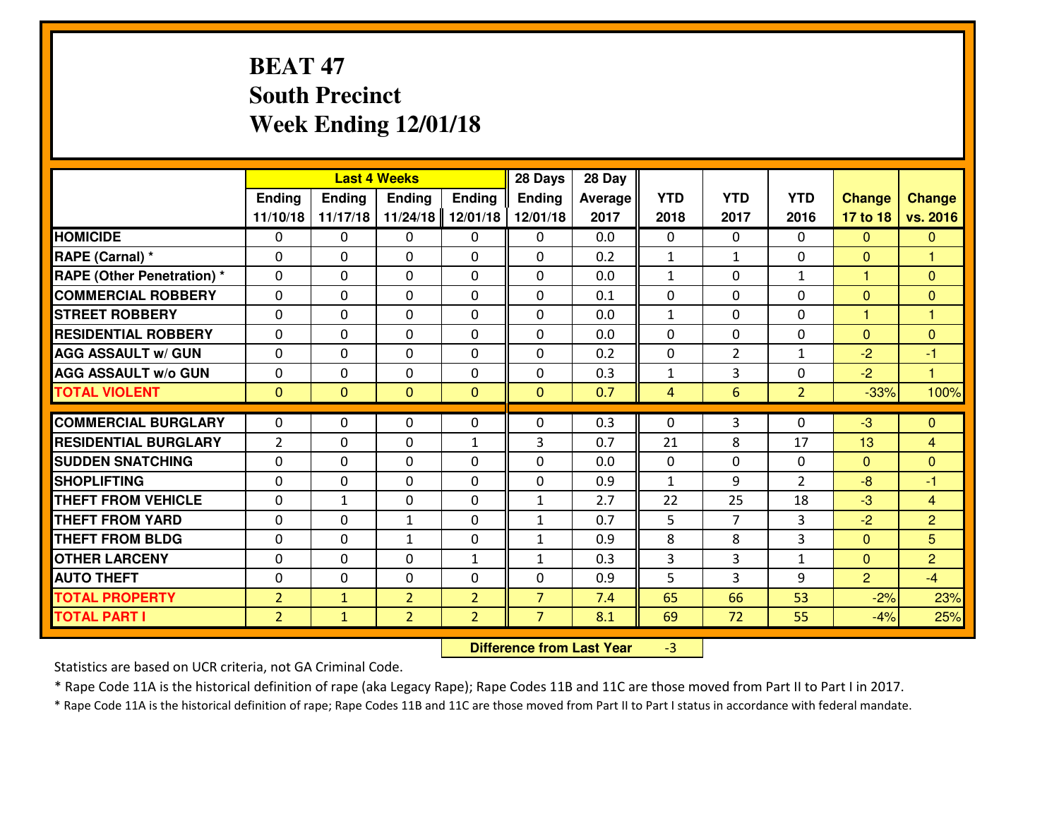# **BEAT 47 South PrecinctWeek Ending 12/01/18**

|                                                |                                  |                | <b>Last 4 Weeks</b> |                | 28 Days                      | 28 Day     |                     |                      |                   |                                  |                     |
|------------------------------------------------|----------------------------------|----------------|---------------------|----------------|------------------------------|------------|---------------------|----------------------|-------------------|----------------------------------|---------------------|
|                                                | Ending                           | <b>Ending</b>  | <b>Ending</b>       | <b>Ending</b>  | <b>Ending</b>                | Average    | <b>YTD</b>          | <b>YTD</b>           | <b>YTD</b>        | <b>Change</b>                    | Change              |
|                                                | 11/10/18                         | 11/17/18       | 11/24/18            | 12/01/18       | 12/01/18                     | 2017       | 2018                | 2017                 | 2016              | 17 to 18                         | vs. 2016            |
| <b>HOMICIDE</b>                                | $\mathbf{0}$                     | 0              | $\mathbf{0}$        | $\mathbf{0}$   | 0                            | 0.0        | $\Omega$            | $\Omega$             | $\Omega$          | $\mathbf{0}$                     | $\overline{0}$      |
| RAPE (Carnal) *                                | $\Omega$                         | 0              | $\mathbf{0}$        | 0              | $\Omega$                     | 0.2        | 1                   | $\mathbf{1}$         | $\Omega$          | $\mathbf{0}$                     | 1                   |
| <b>RAPE (Other Penetration) *</b>              | $\Omega$                         | $\Omega$       | $\Omega$            | $\Omega$       | $\Omega$                     | 0.0        | $\mathbf{1}$        | $\Omega$             | $\mathbf{1}$      | 1                                | $\mathbf{0}$        |
| <b>COMMERCIAL ROBBERY</b>                      | 0                                | 0              | $\mathbf 0$         | 0              | 0                            | 0.1        | 0                   | $\mathbf{0}$         | 0                 | $\mathbf{0}$                     | $\mathbf{0}$        |
| <b>STREET ROBBERY</b>                          | $\Omega$                         | 0              | $\mathbf 0$         | $\Omega$       | 0                            | 0.0        | $\mathbf{1}$        | $\Omega$             | $\Omega$          | 1                                | 1                   |
| <b>RESIDENTIAL ROBBERY</b>                     | $\Omega$                         | $\Omega$       | $\mathbf 0$         | $\Omega$       | 0                            | 0.0        | $\Omega$            | $\Omega$             | 0                 | $\overline{0}$                   | $\mathbf{0}$        |
| <b>AGG ASSAULT W/ GUN</b>                      | $\Omega$                         | 0              | $\mathbf 0$         | $\Omega$       | 0                            | 0.2        | 0                   | $\overline{2}$       | $\mathbf{1}$      | $-2$                             | $-1$                |
| <b>AGG ASSAULT W/o GUN</b>                     | 0                                | 0              | $\mathbf 0$         | 0              | 0                            | 0.3        | $\mathbf{1}$        | 3                    | 0                 | $-2$                             | $\mathbf{1}$        |
| <b>TOTAL VIOLENT</b>                           | $\mathbf{0}$                     | $\overline{0}$ | $\mathbf{0}$        | $\mathbf{0}$   | $\mathbf{0}$                 | 0.7        | $\overline{4}$      | 6                    | $\overline{2}$    | $-33%$                           | 100%                |
| <b>COMMERCIAL BURGLARY</b>                     | $\mathbf{0}$                     | 0              | 0                   | 0              | $\Omega$                     | 0.3        | $\mathbf{0}$        | 3                    | $\Omega$          | $-3$                             | $\mathbf{0}$        |
|                                                |                                  |                |                     |                |                              |            |                     |                      |                   |                                  |                     |
|                                                |                                  |                |                     |                |                              |            |                     |                      |                   |                                  |                     |
| <b>RESIDENTIAL BURGLARY</b>                    | $\overline{2}$                   | 0              | $\mathbf{0}$        | $\mathbf{1}$   | 3                            | 0.7        | 21                  | 8                    | 17                | 13                               | 4                   |
| <b>SUDDEN SNATCHING</b>                        | $\Omega$                         | 0              | $\mathbf{0}$        | $\Omega$       | $\Omega$                     | 0.0        | $\Omega$            | $\Omega$             | $\Omega$          | $\mathbf{0}$                     | $\mathbf{0}$        |
| <b>SHOPLIFTING</b>                             | 0                                | 0              | $\mathbf 0$         | 0              | 0                            | 0.9        | $\mathbf{1}$        | 9                    | $\overline{2}$    | $-8$                             | $-1$                |
| <b>THEFT FROM VEHICLE</b>                      | $\Omega$                         | 1              | $\mathbf{0}$        | $\Omega$       | $\mathbf{1}$                 | 2.7        | 22                  | 25<br>$\overline{7}$ | 18                | $-3$                             | $\overline{4}$      |
| <b>THEFT FROM YARD</b>                         | 0                                | 0              | 1<br>$\mathbf{1}$   | 0<br>0         | $\mathbf{1}$                 | 0.7        | 5                   |                      | 3                 | $-2$                             | $\overline{2}$      |
| <b>THEFT FROM BLDG</b><br><b>OTHER LARCENY</b> | 0<br>0                           | 0<br>0         | $\mathbf 0$         | $\mathbf{1}$   | $\mathbf{1}$<br>$\mathbf{1}$ | 0.9<br>0.3 | 8<br>$\overline{3}$ | 8<br>3               | 3<br>$\mathbf{1}$ | $\overline{0}$<br>$\overline{0}$ | 5<br>$\overline{2}$ |
| <b>AUTO THEFT</b>                              | 0                                | 0              | $\mathbf 0$         | 0              | 0                            | 0.9        | 5                   | 3                    | 9                 | $\overline{2}$                   | $-4$                |
| <b>TOTAL PROPERTY</b>                          |                                  | $\mathbf{1}$   | $\overline{2}$      | $\overline{2}$ | $\overline{7}$               | 7.4        | 65                  | 66                   | 53                |                                  |                     |
| <b>TOTAL PART I</b>                            | $\overline{2}$<br>2 <sup>1</sup> | $\mathbf{1}$   | $\overline{2}$      | $\overline{2}$ | $\overline{7}$               | 8.1        | 69                  | 72                   | 55                | $-2%$<br>$-4%$                   | 23%<br>25%          |

 **Difference from Last Year**-3

Statistics are based on UCR criteria, not GA Criminal Code.

\* Rape Code 11A is the historical definition of rape (aka Legacy Rape); Rape Codes 11B and 11C are those moved from Part II to Part I in 2017.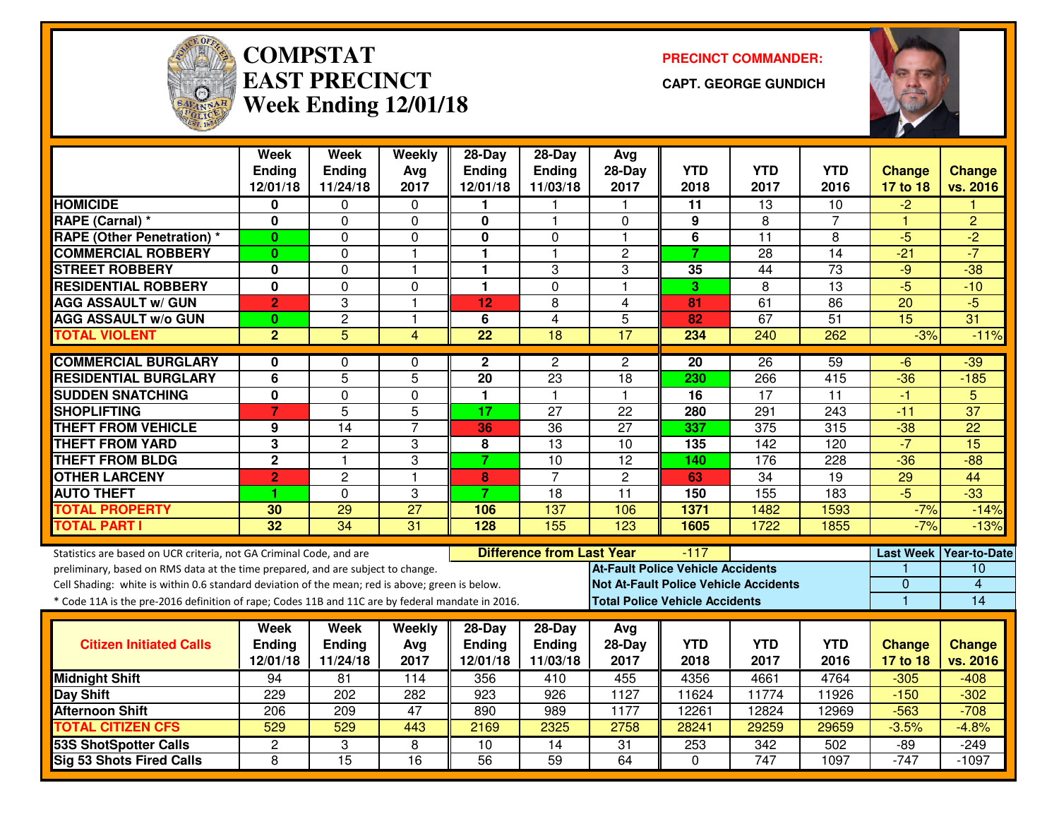

#### **COMPSTATEAST PRECINCTWeek Ending 12/01/18**

**PRECINCT COMMANDER:**

**CAPT. GEORGE GUNDICH**



|                                                                                                  | <b>Week</b>                    | <b>Week</b>      | <b>Weekly</b>    | $28-Day$                | $28-Day$                         | Avg                                          |                                       |                  |                 |                 |                          |
|--------------------------------------------------------------------------------------------------|--------------------------------|------------------|------------------|-------------------------|----------------------------------|----------------------------------------------|---------------------------------------|------------------|-----------------|-----------------|--------------------------|
|                                                                                                  | <b>Ending</b>                  | <b>Ending</b>    | Avg              | <b>Ending</b>           | Ending                           | $28-Day$                                     | <b>YTD</b>                            | <b>YTD</b>       | <b>YTD</b>      | Change          | <b>Change</b>            |
| <b>HOMICIDE</b>                                                                                  | 12/01/18<br>0                  | 11/24/18<br>0    | 2017<br>$\Omega$ | 12/01/18                | 11/03/18                         | 2017                                         | 2018<br>11                            | 2017<br>13       | 2016<br>10      | 17 to 18        | vs. 2016                 |
| RAPE (Carnal) *                                                                                  | $\mathbf{0}$                   | 0                | $\mathbf 0$      | $\mathbf 0$             | 1                                | $\Omega$                                     | 9                                     | 8                | 7               | -2<br>1         | $\overline{2}$           |
| <b>RAPE (Other Penetration) *</b>                                                                | $\bf{0}$                       | 0                | $\mathbf 0$      | $\bf{0}$                | 0                                | $\mathbf{1}$                                 | 6                                     | 11               | 8               | $-5$            | $\overline{2}$           |
| <b>COMMERCIAL ROBBERY</b>                                                                        | 0                              | 0                | $\mathbf{1}$     | 1                       | 1                                | $\overline{c}$                               | $\overline{7}$                        | 28               | $\overline{14}$ | $-21$           | $-7$                     |
| <b>STREET ROBBERY</b>                                                                            | 0                              | 0                | $\mathbf{1}$     | 1                       | 3                                | 3                                            | 35                                    | 44               | 73              | $-9$            | $-38$                    |
| <b>RESIDENTIAL ROBBERY</b>                                                                       | $\mathbf{0}$                   | 0                | 0                | 1                       | $\Omega$                         | $\overline{1}$                               | 3                                     | 8                | 13              | $-5$            | $-10$                    |
| <b>AGG ASSAULT w/ GUN</b>                                                                        |                                | 3                | $\overline{1}$   | 12                      | 8                                | $\overline{4}$                               | 81                                    | 61               | 86              | $\overline{20}$ | $-5$                     |
| <b>AGG ASSAULT w/o GUN</b>                                                                       | $\overline{2}$                 | $\overline{2}$   | $\mathbf{1}$     | 6                       | $\overline{4}$                   | 5                                            | 82                                    | 67               | $\overline{51}$ | $\overline{15}$ | 31                       |
| <b>TOTAL VIOLENT</b>                                                                             | $\mathbf{0}$<br>$\overline{2}$ | $\overline{5}$   | 4                | $\overline{22}$         | 18                               | 17                                           | 234                                   | 240              | 262             | $-3%$           | $-11%$                   |
|                                                                                                  |                                |                  |                  |                         |                                  |                                              |                                       |                  |                 |                 |                          |
| <b>COMMERCIAL BURGLARY</b>                                                                       | 0                              | 0                | 0                | $\mathbf{2}$            | $\overline{c}$                   | $\overline{c}$                               | 20                                    | 26               | 59              | -6              | $-39$                    |
| <b>RESIDENTIAL BURGLARY</b>                                                                      | $\overline{6}$                 | $\overline{5}$   | $\overline{5}$   | 20                      | 23                               | $\overline{18}$                              | 230                                   | 266              | 415             | $-36$           | $-185$                   |
| <b>SUDDEN SNATCHING</b>                                                                          | 0                              | 0                | 0                | 1                       | $\mathbf{1}$                     | $\mathbf{1}$                                 | 16                                    | $\overline{17}$  | 11              | $-1$            | 5                        |
| <b>SHOPLIFTING</b>                                                                               | $\overline{7}$                 | $\overline{5}$   | 5                | 17                      | 27                               | 22                                           | 280                                   | 291              | 243             | $-11$           | $\overline{37}$          |
| <b>THEFT FROM VEHICLE</b>                                                                        | 9                              | $\overline{14}$  | $\overline{7}$   | 36                      | $\overline{36}$                  | $\overline{27}$                              | 337                                   | $\overline{375}$ | 315             | $-38$           | $\overline{22}$          |
| <b>THEFT FROM YARD</b>                                                                           | $\overline{\mathbf{3}}$        | $\overline{2}$   | 3                | $\overline{\mathbf{8}}$ | $\overline{13}$                  | 10                                           | $\overline{135}$                      | $\overline{142}$ | 120             | $-7$            | 15                       |
| <b>THEFT FROM BLDG</b>                                                                           | $\mathbf 2$                    | $\mathbf{1}$     | 3                | $\overline{7}$          | 10                               | 12                                           | 140                                   | 176              | 228             | $-36$           | $-88$                    |
| <b>OTHER LARCENY</b>                                                                             | $\overline{2}$                 | $\overline{2}$   | $\overline{1}$   | 8                       | $\overline{7}$                   | $\overline{2}$                               | 63                                    | $\overline{34}$  | 19              | 29              | 44                       |
| <b>AUTO THEFT</b>                                                                                | 1                              | 0                | 3                | $\overline{7}$          | 18                               | 11                                           | 150                                   | 155              | 183             | $-5$            | $\overline{-33}$         |
| <b>TOTAL PROPERTY</b>                                                                            | 30                             | $\overline{29}$  | $\overline{27}$  | 106                     | 137                              | 106                                          | 1371                                  | 1482             | 1593            | $-7%$           | $-14%$                   |
| <b>TOTAL PART I</b>                                                                              | 32                             | 34               | 31               | 128                     | 155                              | 123                                          | 1605                                  | 1722             | 1855            | $-7%$           | $-13%$                   |
|                                                                                                  |                                |                  |                  |                         |                                  |                                              |                                       |                  |                 |                 |                          |
| Statistics are based on UCR criteria, not GA Criminal Code, and are                              |                                |                  |                  |                         | <b>Difference from Last Year</b> |                                              | $-117$                                |                  |                 |                 | Last Week   Year-to-Date |
| preliminary, based on RMS data at the time prepared, and are subject to change.                  |                                |                  |                  |                         |                                  | <b>At-Fault Police Vehicle Accidents</b>     |                                       |                  |                 | $\overline{0}$  | 10<br>$\overline{4}$     |
| Cell Shading: white is within 0.6 standard deviation of the mean; red is above; green is below.  |                                |                  |                  |                         |                                  | <b>Not At-Fault Police Vehicle Accidents</b> |                                       |                  |                 | $\blacksquare$  | 14                       |
| * Code 11A is the pre-2016 definition of rape; Codes 11B and 11C are by federal mandate in 2016. |                                |                  |                  |                         |                                  |                                              | <b>Total Police Vehicle Accidents</b> |                  |                 |                 |                          |
|                                                                                                  | Week                           | Week             | Weekly           | 28-Day                  | 28-Day                           | Avg                                          |                                       |                  |                 |                 |                          |
| <b>Citizen Initiated Calls</b>                                                                   | <b>Ending</b>                  | <b>Ending</b>    | Avg              | <b>Ending</b>           | Ending                           | $28-Day$                                     | <b>YTD</b>                            | <b>YTD</b>       | <b>YTD</b>      | <b>Change</b>   | <b>Change</b>            |
|                                                                                                  | 12/01/18                       | 11/24/18         | 2017             | 12/01/18                | 11/03/18                         | 2017                                         | 2018                                  | 2017             | 2016            | 17 to 18        | vs. 2016                 |
| <b>Midnight Shift</b>                                                                            | 94                             | $\overline{81}$  | 114              | 356                     | 410                              | 455                                          | 4356                                  | 4661             | 4764            | $-305$          | $-408$                   |
| Day Shift                                                                                        | 229                            | $\overline{202}$ | 282              | $\overline{923}$        | $\overline{926}$                 | 1127                                         | 11624                                 | 11774            | 11926           | $-150$          | $-302$                   |
| <b>Afternoon Shift</b>                                                                           | 206                            | 209              | 47               | 890                     | 989                              | 1177                                         | 12261                                 | 12824            | 12969           | $-563$          | $-708$                   |
| <b>TOTAL CITIZEN CFS</b>                                                                         | 529                            | 529              | 443              | 2169                    | 2325                             | 2758                                         | 28241                                 | 29259            | 29659           | $-3.5%$         | $-4.8%$                  |
| <b>53S ShotSpotter Calls</b>                                                                     | $\overline{c}$                 | 3                | 8                | $\overline{10}$         | 14                               | $\overline{31}$                              | 253                                   | $\overline{342}$ | 502             | $-89$           | $-249$                   |
| <b>Sig 53 Shots Fired Calls</b>                                                                  | 8                              | $\overline{15}$  | $\overline{16}$  | $\overline{56}$         | $\overline{59}$                  | 64                                           | $\Omega$                              | $\overline{747}$ | 1097            | $-747$          | $-1097$                  |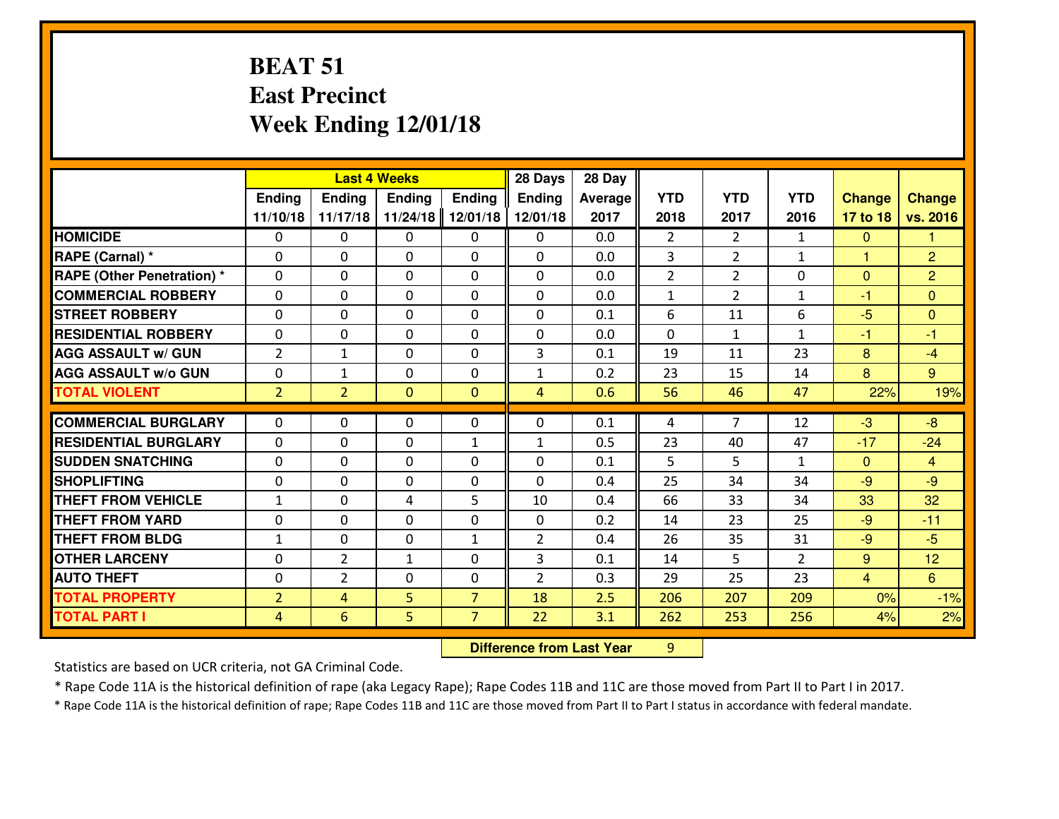### **BEAT 51 East PrecinctWeek Ending 12/01/18**

|                                   | <b>Last 4 Weeks</b> |                |                |                | 28 Days        | 28 Day  |                |                |                |                |                |
|-----------------------------------|---------------------|----------------|----------------|----------------|----------------|---------|----------------|----------------|----------------|----------------|----------------|
|                                   | Ending              | Ending         | <b>Ending</b>  | <b>Ending</b>  | Ending         | Average | <b>YTD</b>     | <b>YTD</b>     | <b>YTD</b>     | <b>Change</b>  | <b>Change</b>  |
|                                   | 11/10/18            | 11/17/18       | 11/24/18       | 12/01/18       | 12/01/18       | 2017    | 2018           | 2017           | 2016           | 17 to 18       | vs. 2016       |
| <b>HOMICIDE</b>                   | $\Omega$            | $\Omega$       | $\Omega$       | 0              | $\Omega$       | 0.0     | $\mathfrak{D}$ | $\overline{2}$ | $\mathbf{1}$   | $\mathbf{0}$   | 1.             |
| RAPE (Carnal) *                   | $\Omega$            | 0              | $\mathbf{0}$   | $\Omega$       | 0              | 0.0     | 3              | $\overline{2}$ | $\mathbf{1}$   | $\mathbf{1}$   | $\overline{2}$ |
| <b>RAPE (Other Penetration) *</b> | $\Omega$            | 0              | $\Omega$       | $\Omega$       | 0              | 0.0     | $\overline{2}$ | $\overline{2}$ | 0              | $\mathbf{0}$   | $\overline{2}$ |
| <b>COMMERCIAL ROBBERY</b>         | $\mathbf 0$         | 0              | $\mathbf{0}$   | $\Omega$       | 0              | 0.0     | $\mathbf{1}$   | $\overline{2}$ | $\mathbf{1}$   | $-1$           | $\mathbf{0}$   |
| <b>STREET ROBBERY</b>             | $\mathbf 0$         | 0              | $\mathbf 0$    | 0              | $\Omega$       | 0.1     | 6              | 11             | 6              | $-5$           | $\overline{0}$ |
| <b>RESIDENTIAL ROBBERY</b>        | $\Omega$            | 0              | $\Omega$       | 0              | $\Omega$       | 0.0     | $\Omega$       | $\mathbf{1}$   | $\mathbf{1}$   | $-1$           | $-1$           |
| <b>AGG ASSAULT w/ GUN</b>         | $\overline{2}$      | $\mathbf{1}$   | $\mathbf 0$    | 0              | 3              | 0.1     | 19             | 11             | 23             | 8              | $-4$           |
| <b>AGG ASSAULT W/o GUN</b>        | $\mathbf 0$         | $\mathbf{1}$   | $\mathbf 0$    | 0              | $\mathbf{1}$   | 0.2     | 23             | 15             | 14             | 8              | 9 <sup>°</sup> |
| <b>TOTAL VIOLENT</b>              | 2 <sup>1</sup>      | $\overline{2}$ | $\overline{0}$ | $\mathbf{0}$   | 4              | 0.6     | 56             | 46             | 47             | 22%            | 19%            |
| <b>COMMERCIAL BURGLARY</b>        | $\Omega$            | 0              | $\Omega$       | $\Omega$       | 0              | 0.1     | 4              | $\overline{7}$ | 12             | $-3$           | $-8$           |
| <b>RESIDENTIAL BURGLARY</b>       | $\mathbf 0$         | 0              | $\mathbf 0$    | $\mathbf{1}$   | $\mathbf{1}$   | 0.5     | 23             | 40             | 47             | $-17$          | $-24$          |
| <b>SUDDEN SNATCHING</b>           | $\mathbf 0$         | 0              | $\mathbf 0$    | 0              | 0              | 0.1     | 5              | 5              | $\mathbf{1}$   | $\mathbf{0}$   | $\overline{4}$ |
| <b>SHOPLIFTING</b>                | $\mathbf 0$         | 0              | $\mathbf 0$    | 0              | $\Omega$       | 0.4     | 25             | 34             | 34             | $-9$           | $-9$           |
| <b>THEFT FROM VEHICLE</b>         | $\mathbf{1}$        | 0              | 4              | 5              | 10             | 0.4     | 66             | 33             | 34             | 33             | 32             |
| <b>THEFT FROM YARD</b>            | $\mathbf 0$         | 0              | $\mathbf 0$    | $\mathbf 0$    | 0              | 0.2     | 14             | 23             | 25             | $-9$           | $-11$          |
| <b>THEFT FROM BLDG</b>            | $\mathbf{1}$        | 0              | $\mathbf 0$    | $\mathbf{1}$   | $\overline{2}$ | 0.4     | 26             | 35             | 31             | $-9$           | $-5$           |
| <b>OTHER LARCENY</b>              | $\mathbf 0$         | $\overline{2}$ | $\mathbf{1}$   | 0              | 3              | 0.1     | 14             | 5              | $\overline{2}$ | 9              | 12             |
| <b>AUTO THEFT</b>                 | $\mathbf{0}$        | $\overline{2}$ | $\mathbf{0}$   | $\Omega$       | $\overline{2}$ | 0.3     | 29             | 25             | 23             | $\overline{4}$ | 6              |
| <b>TOTAL PROPERTY</b>             | $\overline{2}$      | 4              | 5              | $\overline{7}$ | 18             | 2.5     | 206            | 207            | 209            | 0%             | $-1%$          |
| <b>TOTAL PART I</b>               | $\overline{4}$      | $6\phantom{1}$ | 5              | $\overline{7}$ | 22             | 3.1     | 262            | 253            | 256            | 4%             | 2%             |
|                                   |                     |                |                |                |                |         |                |                |                |                |                |

 **Difference from Last Year**<sup>9</sup>

Statistics are based on UCR criteria, not GA Criminal Code.

\* Rape Code 11A is the historical definition of rape (aka Legacy Rape); Rape Codes 11B and 11C are those moved from Part II to Part I in 2017.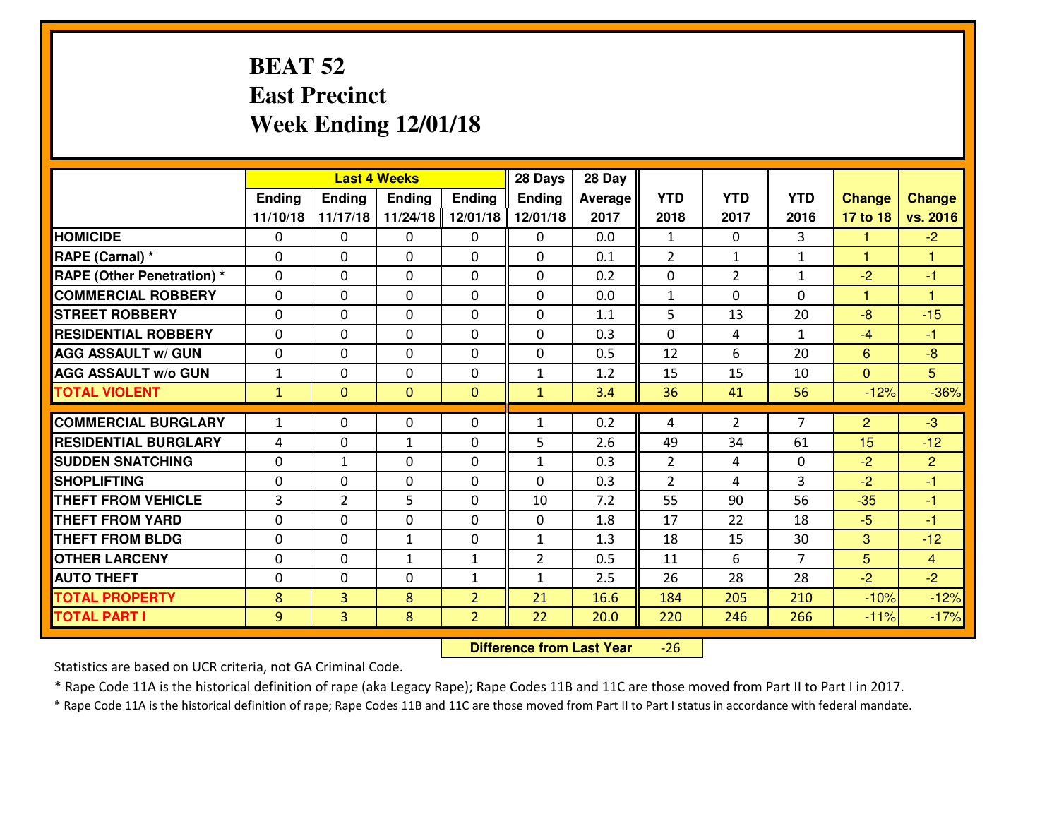### **BEAT 52 East PrecinctWeek Ending 12/01/18**

|                                  | <b>Last 4 Weeks</b> |                |                |                | 28 Days        | 28 Day  |                |                |                |                |                |
|----------------------------------|---------------------|----------------|----------------|----------------|----------------|---------|----------------|----------------|----------------|----------------|----------------|
|                                  | Ending              | <b>Ending</b>  | <b>Ending</b>  | Ending         | <b>Ending</b>  | Average | <b>YTD</b>     | <b>YTD</b>     | <b>YTD</b>     | <b>Change</b>  | <b>Change</b>  |
|                                  | 11/10/18            | 11/17/18       | 11/24/18       | 12/01/18       | 12/01/18       | 2017    | 2018           | 2017           | 2016           | 17 to 18       | vs. 2016       |
| <b>HOMICIDE</b>                  | $\Omega$            | 0              | 0              | 0              | $\Omega$       | 0.0     | 1              | $\Omega$       | 3              | -1             | $-2$           |
| RAPE (Carnal) *                  | $\Omega$            | 0              | $\Omega$       | $\Omega$       | $\Omega$       | 0.1     | 2              | $\mathbf{1}$   | $\mathbf{1}$   | $\mathbf{1}$   | 1              |
| <b>RAPE (Other Penetration)*</b> | 0                   | 0              | $\mathbf 0$    | 0              | 0              | 0.2     | 0              | $\overline{2}$ | $\mathbf{1}$   | $-2$           | $-1$           |
| <b>COMMERCIAL ROBBERY</b>        | 0                   | 0              | $\mathbf 0$    | 0              | 0              | 0.0     | $\mathbf{1}$   | 0              | 0              | $\mathbf{1}$   | $\overline{1}$ |
| <b>STREET ROBBERY</b>            | 0                   | 0              | $\mathbf 0$    | 0              | 0              | 1.1     | 5              | 13             | 20             | $-8$           | $-15$          |
| <b>RESIDENTIAL ROBBERY</b>       | $\Omega$            | 0              | $\mathbf 0$    | 0              | 0              | 0.3     | 0              | 4              | $\mathbf{1}$   | $-4$           | $-1$           |
| <b>AGG ASSAULT W/ GUN</b>        | 0                   | 0              | $\mathbf 0$    | 0              | 0              | 0.5     | 12             | 6              | 20             | $6\phantom{1}$ | $-8$           |
| <b>AGG ASSAULT W/o GUN</b>       | $\mathbf{1}$        | 0              | 0              | 0              | $\mathbf{1}$   | 1.2     | 15             | 15             | 10             | $\mathbf{0}$   | 5              |
| <b>TOTAL VIOLENT</b>             | $\mathbf{1}$        | $\overline{0}$ | $\overline{0}$ | $\mathbf{0}$   | $\mathbf{1}$   | 3.4     | 36             | 41             | 56             | $-12%$         | $-36%$         |
| <b>COMMERCIAL BURGLARY</b>       | $\mathbf{1}$        | 0              | $\mathbf{0}$   | 0              | $\mathbf{1}$   | 0.2     | 4              | $\overline{2}$ | $\overline{7}$ | 2              | $-3$           |
| <b>RESIDENTIAL BURGLARY</b>      | 4                   | 0              | 1              | 0              | 5              | 2.6     | 49             | 34             | 61             | 15             | $-12$          |
| <b>SUDDEN SNATCHING</b>          | $\mathbf{0}$        | $\mathbf{1}$   | $\mathbf 0$    | 0              | $\mathbf{1}$   | 0.3     | $\overline{2}$ | 4              | 0              | $-2$           | $\overline{2}$ |
| <b>SHOPLIFTING</b>               | 0                   | 0              | $\mathbf 0$    | 0              | $\Omega$       | 0.3     | $\overline{2}$ | 4              | $\overline{3}$ | $-2$           | $-1$           |
| <b>THEFT FROM VEHICLE</b>        | $\overline{3}$      | $\overline{2}$ | 5              | 0              | 10             | 7.2     | 55             | 90             | 56             | $-35$          | $-1$           |
| <b>THEFT FROM YARD</b>           | 0                   | 0              | $\mathbf 0$    | 0              | 0              | 1.8     | 17             | 22             | 18             | $-5$           | $-1$           |
| <b>THEFT FROM BLDG</b>           | 0                   | 0              | $\mathbf{1}$   | $\mathbf{0}$   | $\mathbf{1}$   | 1.3     | 18             | 15             | 30             | 3              | $-12$          |
| <b>OTHER LARCENY</b>             | 0                   | 0              | $\mathbf{1}$   | $\mathbf{1}$   | $\overline{2}$ | 0.5     | 11             | 6              | $\overline{7}$ | 5              | $\overline{4}$ |
| <b>AUTO THEFT</b>                | 0                   | 0              | $\mathbf 0$    | $\mathbf{1}$   | $\mathbf{1}$   | 2.5     | 26             | 28             | 28             | $-2$           | $-2$           |
| <b>TOTAL PROPERTY</b>            | 8                   | 3              | 8              | $\overline{2}$ | 21             | 16.6    | 184            | 205            | 210            | $-10%$         | $-12%$         |
| <b>TOTAL PART I</b>              | 9                   | $\overline{3}$ | 8              | $\overline{2}$ | 22             | 20.0    | 220            | 246            | 266            | $-11%$         | $-17%$         |

 **Difference from Last Year**-26

Statistics are based on UCR criteria, not GA Criminal Code.

\* Rape Code 11A is the historical definition of rape (aka Legacy Rape); Rape Codes 11B and 11C are those moved from Part II to Part I in 2017.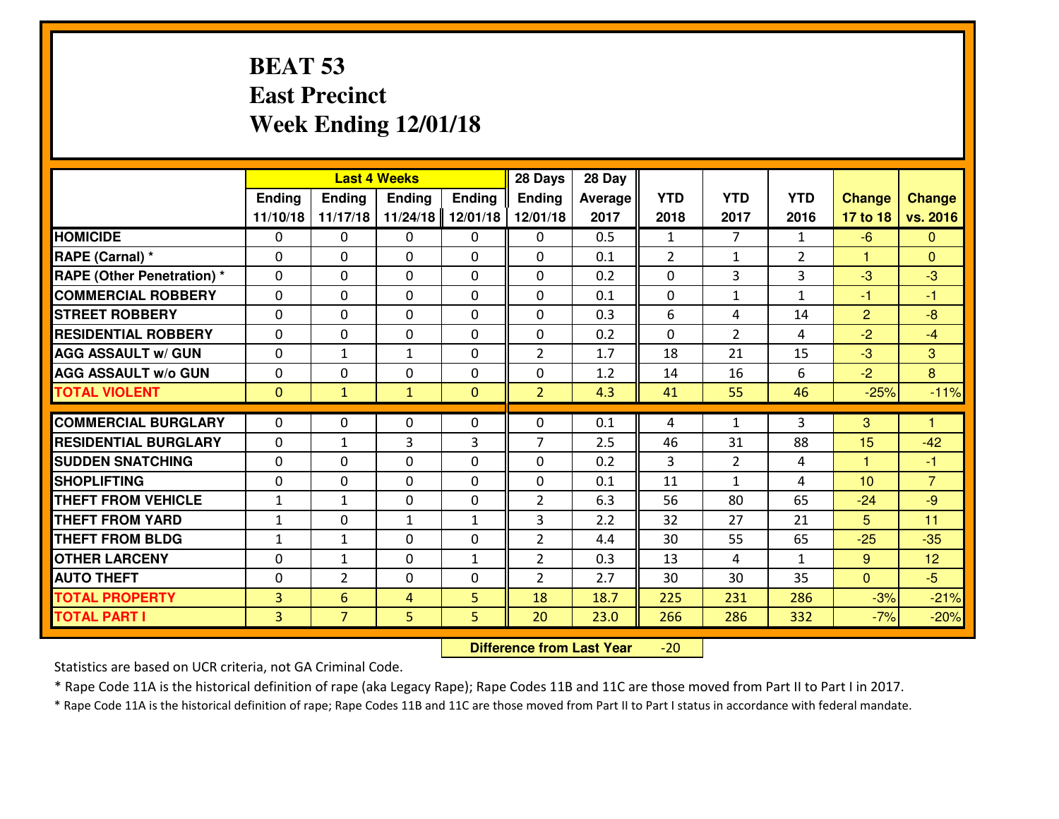### **BEAT 53 East PrecinctWeek Ending 12/01/18**

|                                   | <b>Last 4 Weeks</b> |                |               |               | 28 Days        | 28 Day         |                |                |                |                |                |
|-----------------------------------|---------------------|----------------|---------------|---------------|----------------|----------------|----------------|----------------|----------------|----------------|----------------|
|                                   | <b>Ending</b>       | Ending         | <b>Ending</b> | <b>Ending</b> | <b>Ending</b>  | <b>Average</b> | <b>YTD</b>     | <b>YTD</b>     | <b>YTD</b>     | <b>Change</b>  | <b>Change</b>  |
|                                   | 11/10/18            | 11/17/18       | 11/24/18      | 12/01/18      | 12/01/18       | 2017           | 2018           | 2017           | 2016           | 17 to 18       | vs. 2016       |
| <b>HOMICIDE</b>                   | $\Omega$            | 0              | $\mathbf{0}$  | $\Omega$      | $\mathbf{0}$   | 0.5            | $\mathbf{1}$   | $\overline{7}$ | $\mathbf{1}$   | $-6$           | $\Omega$       |
| RAPE (Carnal) *                   | $\Omega$            | 0              | $\mathbf{0}$  | $\Omega$      | 0              | 0.1            | $\overline{2}$ | $\mathbf{1}$   | $\overline{2}$ | $\mathbf{1}$   | $\Omega$       |
| <b>RAPE (Other Penetration) *</b> | $\Omega$            | 0              | $\mathbf{0}$  | $\Omega$      | 0              | 0.2            | $\mathbf{0}$   | 3              | 3              | $-3$           | $-3$           |
| <b>COMMERCIAL ROBBERY</b>         | $\mathbf{0}$        | 0              | $\Omega$      | 0             | $\Omega$       | 0.1            | $\Omega$       | $\mathbf{1}$   | $\mathbf{1}$   | $-1$           | $-1$           |
| <b>STREET ROBBERY</b>             | $\mathbf 0$         | 0              | $\mathbf 0$   | 0             | 0              | 0.3            | 6              | 4              | 14             | $\overline{2}$ | $-8$           |
| <b>RESIDENTIAL ROBBERY</b>        | $\mathbf 0$         | 0              | $\mathbf 0$   | 0             | 0              | 0.2            | $\mathbf 0$    | $\overline{2}$ | 4              | $-2$           | $-4$           |
| <b>AGG ASSAULT w/ GUN</b>         | $\mathbf 0$         | $\mathbf{1}$   | $\mathbf{1}$  | 0             | $\overline{2}$ | 1.7            | 18             | 21             | 15             | $-3$           | 3              |
| <b>AGG ASSAULT W/o GUN</b>        | $\mathbf 0$         | 0              | $\mathbf 0$   | 0             | 0              | 1.2            | 14             | 16             | 6              | $-2$           | 8              |
| <b>TOTAL VIOLENT</b>              | $\overline{0}$      | $\mathbf{1}$   | $\mathbf{1}$  | $\mathbf{0}$  | $\overline{2}$ | 4.3            | 41             | 55             | 46             | $-25%$         | $-11%$         |
|                                   |                     |                |               |               |                |                |                |                |                |                |                |
| <b>COMMERCIAL BURGLARY</b>        | $\mathbf 0$         | $\mathbf{0}$   | $\mathbf{0}$  | 0             | 0              | 0.1            | 4              | $\mathbf{1}$   | 3              | 3              | $\mathbf{1}$   |
| <b>RESIDENTIAL BURGLARY</b>       | $\mathbf 0$         | $\mathbf{1}$   | 3             | 3             | $\overline{7}$ | 2.5            | 46             | 31             | 88             | 15             | $-42$          |
| <b>SUDDEN SNATCHING</b>           | $\Omega$            | 0              | 0             | 0             | 0              | 0.2            | 3              | $\overline{2}$ | 4              | $\mathbf{1}$   | $-1$           |
| <b>SHOPLIFTING</b>                | $\mathbf 0$         | 0              | $\mathbf 0$   | 0             | 0              | 0.1            | 11             | $\mathbf{1}$   | 4              | 10             | $\overline{7}$ |
| <b>THEFT FROM VEHICLE</b>         | $\mathbf{1}$        | $\mathbf{1}$   | $\Omega$      | $\Omega$      | $\overline{2}$ | 6.3            | 56             | 80             | 65             | $-24$          | $-9$           |
| <b>THEFT FROM YARD</b>            | $\mathbf{1}$        | 0              | $\mathbf{1}$  | $\mathbf{1}$  | 3              | 2.2            | 32             | 27             | 21             | 5              | 11             |
| <b>THEFT FROM BLDG</b>            | $\mathbf{1}$        | $\mathbf{1}$   | $\mathbf 0$   | 0             | $\overline{2}$ | 4.4            | 30             | 55             | 65             | $-25$          | $-35$          |
| <b>OTHER LARCENY</b>              | $\mathbf 0$         | 1              | $\mathbf{0}$  | $\mathbf{1}$  | $\overline{2}$ | 0.3            | 13             | 4              | $\mathbf{1}$   | 9              | 12             |
| <b>AUTO THEFT</b>                 | $\mathbf 0$         | $\overline{2}$ | $\mathbf{0}$  | 0             | $\overline{2}$ | 2.7            | 30             | 30             | 35             | $\overline{0}$ | $-5$           |
| <b>TOTAL PROPERTY</b>             | $\overline{3}$      | 6              | 4             | 5             | 18             | 18.7           | 225            | 231            | 286            | $-3%$          | $-21%$         |
| <b>TOTAL PART I</b>               | 3 <sup>1</sup>      | $\overline{7}$ | 5             | 5             | 20             | 23.0           | 266            | 286            | 332            | $-7%$          | $-20%$         |

 **Difference from Last Year**-20

Statistics are based on UCR criteria, not GA Criminal Code.

\* Rape Code 11A is the historical definition of rape (aka Legacy Rape); Rape Codes 11B and 11C are those moved from Part II to Part I in 2017.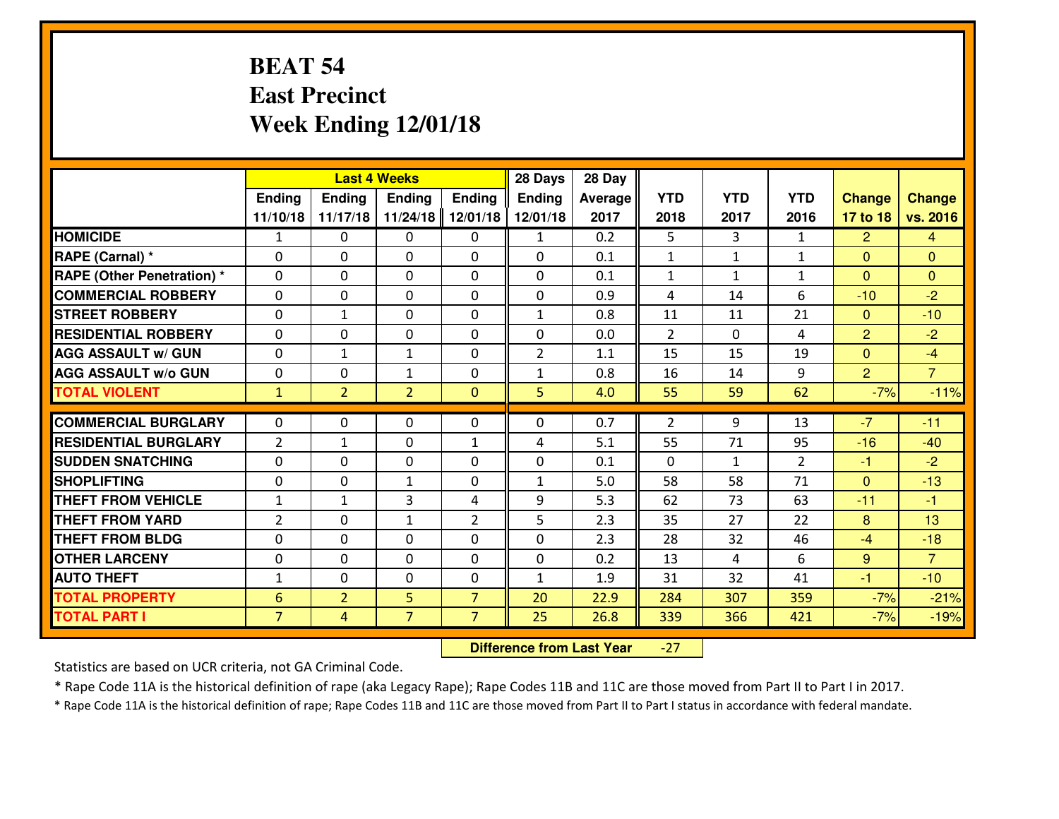### **BEAT 54 East PrecinctWeek Ending 12/01/18**

|                                   | <b>Last 4 Weeks</b> |                |                |                | 28 Days        | 28 Day  |            |              |                |                |                |
|-----------------------------------|---------------------|----------------|----------------|----------------|----------------|---------|------------|--------------|----------------|----------------|----------------|
|                                   | <b>Ending</b>       | Ending         | <b>Ending</b>  | <b>Ending</b>  | <b>Ending</b>  | Average | <b>YTD</b> | <b>YTD</b>   | <b>YTD</b>     | <b>Change</b>  | <b>Change</b>  |
|                                   | 11/10/18            | 11/17/18       | 11/24/18       | 12/01/18       | 12/01/18       | 2017    | 2018       | 2017         | 2016           | 17 to 18       | vs. 2016       |
| <b>HOMICIDE</b>                   | $\mathbf{1}$        | 0              | $\Omega$       | $\Omega$       | $\mathbf{1}$   | 0.2     | 5          | 3            | $\mathbf{1}$   | $\overline{2}$ | $\overline{4}$ |
| RAPE (Carnal) *                   | $\Omega$            | 0              | $\Omega$       | $\Omega$       | 0              | 0.1     | 1          | $\mathbf{1}$ | $\mathbf{1}$   | $\Omega$       | $\Omega$       |
| <b>RAPE (Other Penetration) *</b> | $\Omega$            | 0              | $\mathbf{0}$   | 0              | $\Omega$       | 0.1     | 1          | $\mathbf{1}$ | $\mathbf{1}$   | $\Omega$       | $\mathbf{0}$   |
| <b>COMMERCIAL ROBBERY</b>         | $\mathbf 0$         | 0              | $\mathbf 0$    | 0              | 0              | 0.9     | 4          | 14           | 6              | $-10$          | $-2$           |
| <b>STREET ROBBERY</b>             | $\mathbf 0$         | $\mathbf{1}$   | $\mathbf 0$    | 0              | $\mathbf{1}$   | 0.8     | 11         | 11           | 21             | $\mathbf{0}$   | $-10$          |
| <b>RESIDENTIAL ROBBERY</b>        | $\mathbf 0$         | 0              | $\mathbf 0$    | 0              | 0              | 0.0     | 2          | $\Omega$     | 4              | $\overline{2}$ | $-2$           |
| <b>AGG ASSAULT W/ GUN</b>         | $\mathbf 0$         | 1              | $\mathbf{1}$   | 0              | $\overline{2}$ | 1.1     | 15         | 15           | 19             | $\mathbf{0}$   | $-4$           |
| <b>AGG ASSAULT W/o GUN</b>        | $\mathbf 0$         | 0              | $\mathbf{1}$   | 0              | $\mathbf{1}$   | 0.8     | 16         | 14           | 9              | $\overline{2}$ | $\overline{7}$ |
| <b>TOTAL VIOLENT</b>              | $\mathbf{1}$        | $\overline{2}$ | $\overline{2}$ | $\mathbf{0}$   | 5              | 4.0     | 55         | 59           | 62             | $-7%$          | $-11%$         |
|                                   | $\Omega$            |                | $\Omega$       |                | $\Omega$       |         |            |              |                | $-7$           |                |
| <b>COMMERCIAL BURGLARY</b>        |                     | 0              |                | 0              |                | 0.7     | 2          | 9            | 13             |                | $-11$          |
| <b>RESIDENTIAL BURGLARY</b>       | $\overline{2}$      | $\mathbf{1}$   | $\mathbf 0$    | $\mathbf{1}$   | 4              | 5.1     | 55         | 71           | 95             | $-16$          | $-40$          |
| <b>SUDDEN SNATCHING</b>           | $\Omega$            | 0              | $\mathbf 0$    | 0              | 0              | 0.1     | $\Omega$   | $\mathbf{1}$ | $\overline{2}$ | $-1$           | $-2$           |
| <b>SHOPLIFTING</b>                | $\mathbf 0$         | 0              | $\mathbf{1}$   | 0              | $\mathbf{1}$   | 5.0     | 58         | 58           | 71             | $\overline{0}$ | $-13$          |
| <b>THEFT FROM VEHICLE</b>         | $\mathbf{1}$        | $\mathbf{1}$   | 3              | 4              | 9              | 5.3     | 62         | 73           | 63             | $-11$          | $-1$           |
| <b>THEFT FROM YARD</b>            | $\overline{2}$      | 0              | $\mathbf{1}$   | $\overline{2}$ | 5              | 2.3     | 35         | 27           | 22             | 8              | 13             |
| <b>THEFT FROM BLDG</b>            | $\mathbf 0$         | 0              | $\mathbf 0$    | 0              | 0              | 2.3     | 28         | 32           | 46             | $-4$           | $-18$          |
| <b>OTHER LARCENY</b>              | $\mathbf 0$         | 0              | $\mathbf 0$    | 0              | 0              | 0.2     | 13         | 4            | 6              | 9              | $\overline{7}$ |
| <b>AUTO THEFT</b>                 | $\mathbf{1}$        | 0              | $\mathbf{0}$   | 0              | $\mathbf{1}$   | 1.9     | 31         | 32           | 41             | $-1$           | $-10$          |
| <b>TOTAL PROPERTY</b>             | 6                   | $\overline{2}$ | 5              | $\overline{7}$ | 20             | 22.9    | 284        | 307          | 359            | $-7%$          | $-21%$         |
| <b>TOTAL PART I</b>               | $\overline{7}$      | $\overline{4}$ | $\overline{7}$ | $\overline{7}$ | 25             | 26.8    | 339        | 366          | 421            | $-7%$          | $-19%$         |

 **Difference from Last Year**-27

Statistics are based on UCR criteria, not GA Criminal Code.

\* Rape Code 11A is the historical definition of rape (aka Legacy Rape); Rape Codes 11B and 11C are those moved from Part II to Part I in 2017.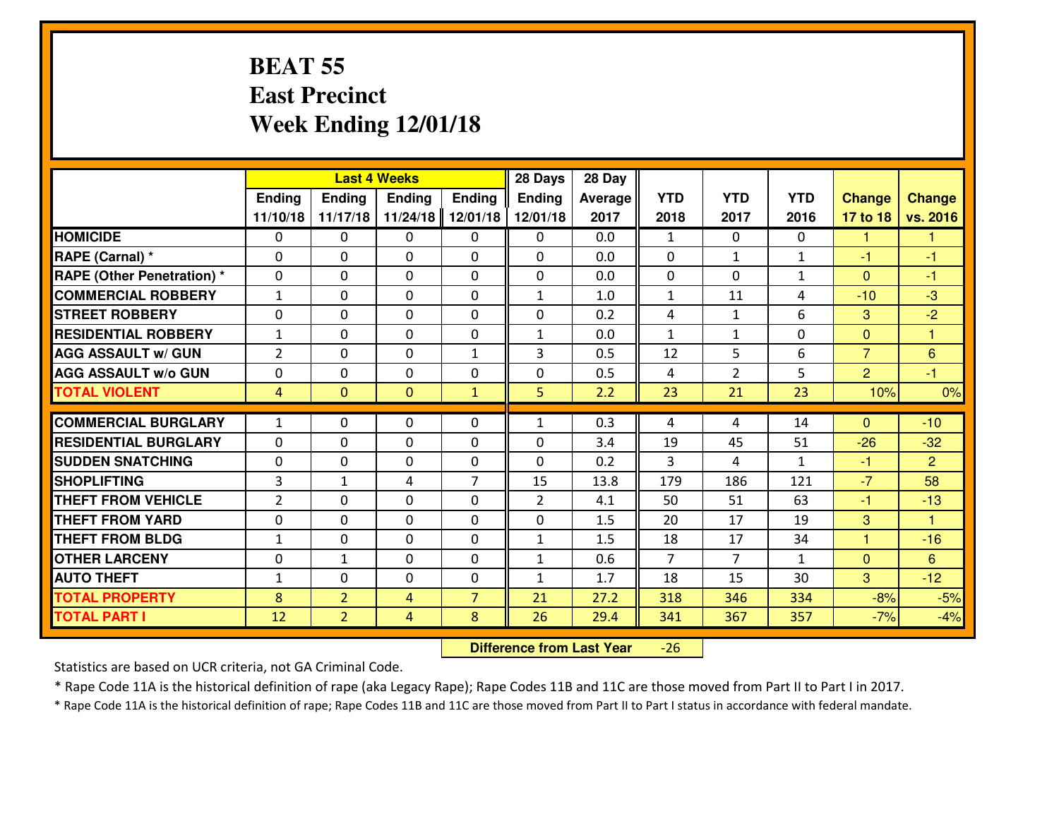### **BEAT 55 East PrecinctWeek Ending 12/01/18**

|                                  | <b>Last 4 Weeks</b> |                |                |                | 28 Days        | 28 Day  |                |                |              |                |                |
|----------------------------------|---------------------|----------------|----------------|----------------|----------------|---------|----------------|----------------|--------------|----------------|----------------|
|                                  | <b>Ending</b>       | Ending         | <b>Ending</b>  | <b>Ending</b>  | <b>Ending</b>  | Average | <b>YTD</b>     | <b>YTD</b>     | <b>YTD</b>   | <b>Change</b>  | <b>Change</b>  |
|                                  | 11/10/18            | 11/17/18       | 11/24/18       | 12/01/18       | 12/01/18       | 2017    | 2018           | 2017           | 2016         | 17 to 18       | vs. 2016       |
| <b>HOMICIDE</b>                  | $\mathbf{0}$        | 0              | $\mathbf{0}$   | 0              | 0              | 0.0     | 1              | $\Omega$       | 0            | 1              | 1              |
| RAPE (Carnal) *                  | $\Omega$            | 0              | $\mathbf{0}$   | $\Omega$       | $\Omega$       | 0.0     | $\mathbf{0}$   | $\mathbf{1}$   | $\mathbf{1}$ | $-1$           | $-1$           |
| <b>RAPE (Other Penetration)*</b> | $\mathbf{0}$        | 0              | $\mathbf{0}$   | 0              | $\Omega$       | 0.0     | $\mathbf{0}$   | $\Omega$       | $\mathbf{1}$ | $\Omega$       | $-1$           |
| <b>COMMERCIAL ROBBERY</b>        | $\mathbf{1}$        | $\Omega$       | $\mathbf 0$    | $\Omega$       | $\mathbf{1}$   | 1.0     | $\mathbf{1}$   | 11             | 4            | $-10$          | $-3$           |
| <b>STREET ROBBERY</b>            | 0                   | 0              | $\mathbf 0$    | 0              | 0              | 0.2     | 4              | $\mathbf{1}$   | 6            | 3              | $-2$           |
| <b>RESIDENTIAL ROBBERY</b>       | $1\,$               | 0              | $\mathbf 0$    | 0              | $\mathbf{1}$   | 0.0     | $\mathbf{1}$   | $\mathbf{1}$   | 0            | $\overline{0}$ | $\overline{1}$ |
| <b>AGG ASSAULT w/ GUN</b>        | $\overline{2}$      | 0              | $\mathbf 0$    | $\mathbf{1}$   | 3              | 0.5     | 12             | 5              | 6            | $\overline{7}$ | 6              |
| <b>AGG ASSAULT w/o GUN</b>       | 0                   | 0              | $\mathbf 0$    | $\Omega$       | 0              | 0.5     | 4              | $\overline{2}$ | 5            | $\overline{2}$ | $-1$           |
| <b>TOTAL VIOLENT</b>             | $\overline{4}$      | $\overline{0}$ | $\mathbf{0}$   | $\overline{1}$ | 5              | 2.2     | 23             | 21             | 23           | 10%            | 0%             |
|                                  |                     |                |                |                |                |         |                |                |              |                |                |
| <b>COMMERCIAL BURGLARY</b>       | $\mathbf{1}$        | 0              | $\mathbf{0}$   | 0              | $\mathbf{1}$   | 0.3     | 4              | 4              | 14           | $\Omega$       | $-10$          |
| <b>RESIDENTIAL BURGLARY</b>      | 0                   | 0              | $\mathbf 0$    | 0              | 0              | 3.4     | 19             | 45             | 51           | $-26$          | $-32$          |
| <b>SUDDEN SNATCHING</b>          | 0                   | 0              | $\mathbf 0$    | $\Omega$       | 0              | 0.2     | 3              | 4              | $\mathbf{1}$ | $-1$           | $\overline{2}$ |
| <b>SHOPLIFTING</b>               | 3                   | 1              | 4              | 7              | 15             | 13.8    | 179            | 186            | 121          | $-7$           | 58             |
| <b>THEFT FROM VEHICLE</b>        | $\overline{2}$      | $\Omega$       | $\mathbf 0$    | $\Omega$       | $\overline{2}$ | 4.1     | 50             | 51             | 63           | $-1$           | $-13$          |
| <b>THEFT FROM YARD</b>           | 0                   | 0              | $\mathbf 0$    | $\Omega$       | 0              | 1.5     | 20             | 17             | 19           | 3              | $\overline{1}$ |
| <b>THEFT FROM BLDG</b>           | $\mathbf{1}$        | 0              | $\mathbf 0$    | 0              | $\mathbf{1}$   | 1.5     | 18             | 17             | 34           | $\mathbf{1}$   | $-16$          |
| <b>OTHER LARCENY</b>             | $\mathbf{0}$        | $\mathbf{1}$   | $\mathbf{0}$   | $\Omega$       | 1              | 0.6     | $\overline{7}$ | 7              | $\mathbf{1}$ | $\mathbf{0}$   | 6              |
| <b>AUTO THEFT</b>                | $\mathbf{1}$        | 0              | $\mathbf 0$    | 0              | 1              | 1.7     | 18             | 15             | 30           | 3              | $-12$          |
| <b>TOTAL PROPERTY</b>            | 8                   | $\overline{2}$ | 4              | $\overline{7}$ | 21             | 27.2    | 318            | 346            | 334          | $-8%$          | $-5%$          |
| <b>TOTAL PART I</b>              | 12                  | $\overline{2}$ | $\overline{4}$ | 8              | 26             | 29.4    | 341            | 367            | 357          | $-7%$          | $-4%$          |

 **Difference from Last Year**-26

Statistics are based on UCR criteria, not GA Criminal Code.

\* Rape Code 11A is the historical definition of rape (aka Legacy Rape); Rape Codes 11B and 11C are those moved from Part II to Part I in 2017.